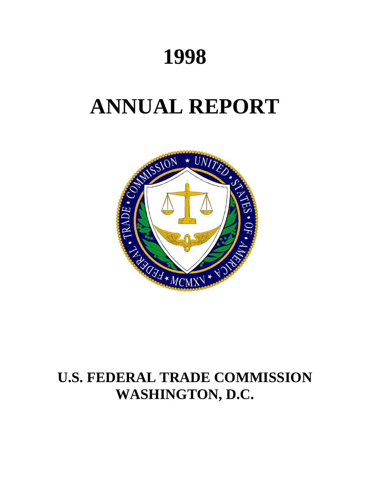# **1998**

# **ANNUAL REPORT**



# **U.S. FEDERAL TRADE COMMISSION WASHINGTON, D.C.**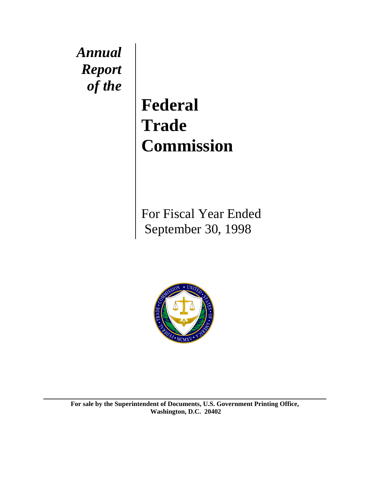*Annual Report of the* 

# **Federal Trade Commission**

For Fiscal Year Ended September 30, 1998



**For sale by the Superintendent of Documents, U.S. Government Printing Office, Washington, D.C. 20402**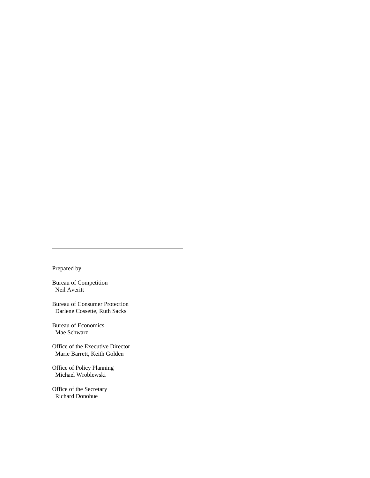Prepared by

Bureau of Competition Neil Averitt

Bureau of Consumer Protection Darlene Cossette, Ruth Sacks

Bureau of Economics Mae Schwarz

Office of the Executive Director Marie Barrett, Keith Golden

Office of Policy Planning Michael Wroblewski

Office of the Secretary Richard Donohue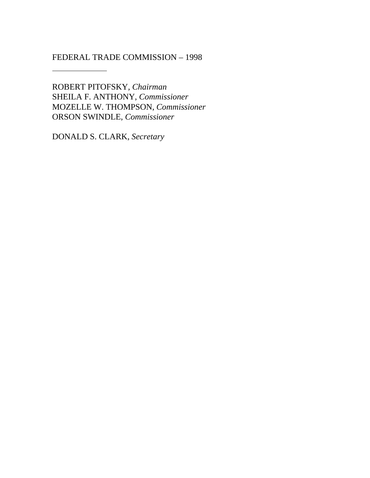# FEDERAL TRADE COMMISSION – 1998

ROBERT PITOFSKY*, Chairman* SHEILA F. ANTHONY, *Commissioner* MOZELLE W. THOMPSON, *Commissioner* ORSON SWINDLE, *Commissioner*

DONALD S. CLARK, *Secretary*

 $\overline{\phantom{a}}$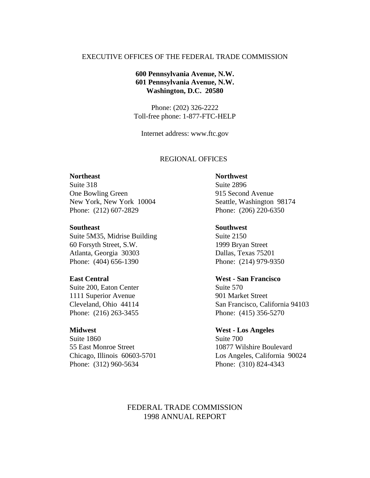# EXECUTIVE OFFICES OF THE FEDERAL TRADE COMMISSION

# **600 Pennsylvania Avenue, N.W. 601 Pennsylvania Avenue, N.W. Washington, D.C. 20580**

Phone: (202) 326-2222 Toll-free phone: 1-877-FTC-HELP

Internet address: www.ftc.gov

# REGIONAL OFFICES

#### **Northeast**

Suite 318 One Bowling Green New York, New York 10004 Phone: (212) 607-2829

#### **Southeast**

Suite 5M35, Midrise Building 60 Forsyth Street, S.W. Atlanta, Georgia 30303 Phone: (404) 656-1390

#### **East Central**

Suite 200, Eaton Center 1111 Superior Avenue Cleveland, Ohio 44114 Phone: (216) 263-3455

#### **Midwest**

Suite 1860 55 East Monroe Street Chicago, Illinois 60603-5701 Phone: (312) 960-5634

#### **Northwest**

Suite 2896 915 Second Avenue Seattle, Washington 98174 Phone: (206) 220-6350

# **Southwest**

Suite 2150 1999 Bryan Street Dallas, Texas 75201 Phone: (214) 979-9350

# **West - San Francisco**

Suite 570 901 Market Street San Francisco, California 94103 Phone: (415) 356-5270

#### **West - Los Angeles**

Suite 700 10877 Wilshire Boulevard Los Angeles, California 90024 Phone: (310) 824-4343

# FEDERAL TRADE COMMISSION 1998 ANNUAL REPORT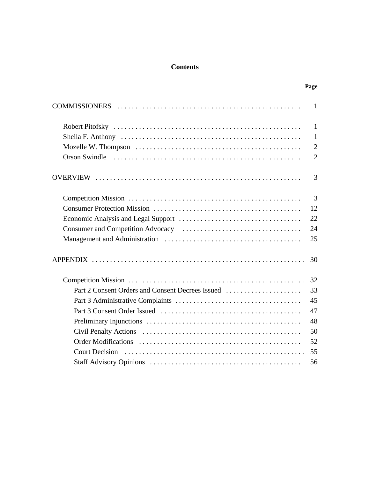# **Contents**

|                                                  | $\mathbf{1}$   |
|--------------------------------------------------|----------------|
|                                                  | $\mathbf{1}$   |
|                                                  | $\mathbf{1}$   |
|                                                  | $\overline{2}$ |
|                                                  | $\overline{2}$ |
|                                                  | 3              |
|                                                  | $\overline{3}$ |
|                                                  | 12             |
|                                                  | 22             |
|                                                  | 24             |
|                                                  | 25             |
|                                                  | 30             |
|                                                  | 32             |
| Part 2 Consent Orders and Consent Decrees Issued | 33             |
|                                                  | 45             |
|                                                  | 47             |
|                                                  | 48             |
|                                                  | 50             |
|                                                  | 52             |
|                                                  | 55             |
|                                                  | 56             |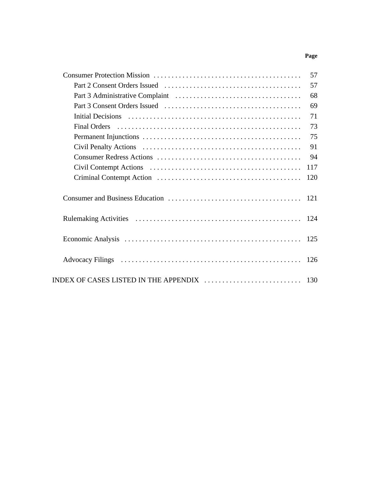# **Page**

|                                                                                                            | 57  |
|------------------------------------------------------------------------------------------------------------|-----|
|                                                                                                            | 57  |
|                                                                                                            | 68  |
|                                                                                                            | 69  |
|                                                                                                            | 71  |
|                                                                                                            | 73  |
|                                                                                                            | 75  |
|                                                                                                            | 91  |
|                                                                                                            | 94  |
|                                                                                                            | 117 |
|                                                                                                            | 120 |
|                                                                                                            |     |
|                                                                                                            |     |
|                                                                                                            |     |
|                                                                                                            | 126 |
| INDEX OF CASES LISTED IN THE APPENDIX $\ldots \ldots \ldots \ldots \ldots \ldots \ldots \ldots \ldots$ 130 |     |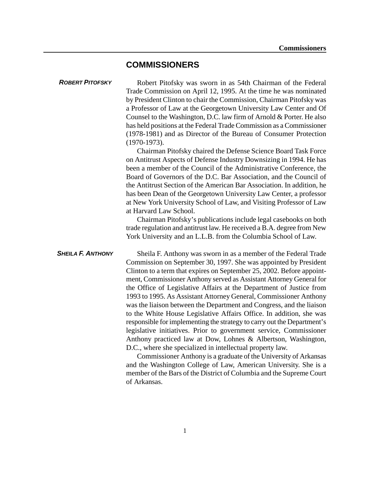# **COMMISSIONERS**

**ROBERT PITOFSKY Robert Pitofsky was sworn in as 54th Chairman of the Federal** Trade Commission on April 12, 1995. At the time he was nominated by President Clinton to chair the Commission, Chairman Pitofsky was a Professor of Law at the Georgetown University Law Center and Of Counsel to the Washington, D.C. law firm of Arnold & Porter. He also has held positions at the Federal Trade Commission as a Commissioner (1978-1981) and as Director of the Bureau of Consumer Protection (1970-1973).

> Chairman Pitofsky chaired the Defense Science Board Task Force on Antitrust Aspects of Defense Industry Downsizing in 1994. He has been a member of the Council of the Administrative Conference, the Board of Governors of the D.C. Bar Association, and the Council of the Antitrust Section of the American Bar Association. In addition, he has been Dean of the Georgetown University Law Center, a professor at New York University School of Law, and Visiting Professor of Law at Harvard Law School.

> Chairman Pitofsky's publications include legal casebooks on both trade regulation and antitrust law. He received a B.A. degree from New York University and an L.L.B. from the Columbia School of Law.

**SHEILA F. ANTHONY** Sheila F. Anthony was sworn in as a member of the Federal Trade Commission on September 30, 1997. She was appointed by President Clinton to a term that expires on September 25, 2002. Before appointment, Commissioner Anthony served as Assistant Attorney General for the Office of Legislative Affairs at the Department of Justice from 1993 to 1995. As Assistant Attorney General, Commissioner Anthony was the liaison between the Department and Congress, and the liaison to the White House Legislative Affairs Office. In addition, she was responsible for implementing the strategy to carry out the Department's legislative initiatives. Prior to government service, Commissioner Anthony practiced law at Dow, Lohnes & Albertson, Washington, D.C., where she specialized in intellectual property law.

> Commissioner Anthony is a graduate of the University of Arkansas and the Washington College of Law, American University. She is a member of the Bars of the District of Columbia and the Supreme Court of Arkansas.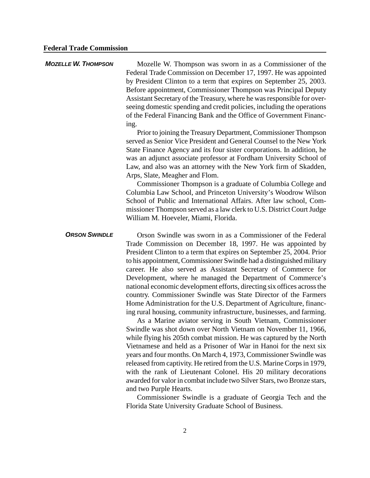*MOZELLE W. THOMPSON* Mozelle W. Thompson was sworn in as a Commissioner of the Federal Trade Commission on December 17, 1997. He was appointed by President Clinton to a term that expires on September 25, 2003. Before appointment, Commissioner Thompson was Principal Deputy Assistant Secretary of the Treasury, where he was responsible for overseeing domestic spending and credit policies, including the operations of the Federal Financing Bank and the Office of Government Financing. Prior to joining the Treasury Department, Commissioner Thompson served as Senior Vice President and General Counsel to the New York State Finance Agency and its four sister corporations. In addition, he was an adjunct associate professor at Fordham University School of Law, and also was an attorney with the New York firm of Skadden, Arps, Slate, Meagher and Flom. Commissioner Thompson is a graduate of Columbia College and Columbia Law School, and Princeton University's Woodrow Wilson School of Public and International Affairs. After law school, Commissioner Thompson served as a law clerk to U.S. District Court Judge William M. Hoeveler, Miami, Florida. **ORSON SWINDLE** Orson Swindle was sworn in as a Commissioner of the Federal Trade Commission on December 18, 1997. He was appointed by President Clinton to a term that expires on September 25, 2004. Prior to his appointment, Commissioner Swindle had a distinguished military career. He also served as Assistant Secretary of Commerce for Development, where he managed the Department of Commerce's national economic development efforts, directing six offices acrossthe country. Commissioner Swindle was State Director of the Farmers Home Administration for the U.S. Department of Agriculture, financing rural housing, community infrastructure, businesses, and farming. As a Marine aviator serving in South Vietnam, Commissioner Swindle was shot down over North Vietnam on November 11, 1966, while flying his 205th combat mission. He was captured by the North Vietnamese and held as a Prisoner of War in Hanoi for the next six years and four months. On March 4, 1973, Commissioner Swindle was released from captivity. He retired from the U.S. Marine Corps in 1979, with the rank of Lieutenant Colonel. His 20 military decorations awarded for valor in combat include two Silver Stars, two Bronze stars, and two Purple Hearts. Commissioner Swindle is a graduate of Georgia Tech and the Florida State University Graduate School of Business.

2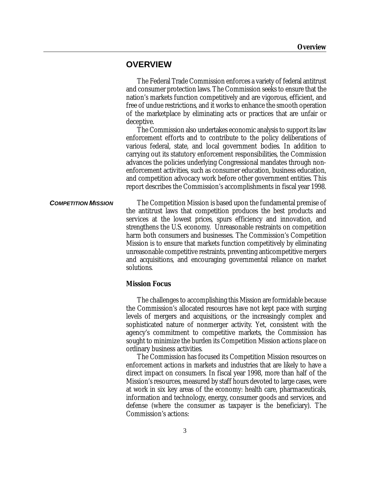# **OVERVIEW**

The Federal Trade Commission enforces a variety of federal antitrust and consumer protection laws. The Commission seeks to ensure that the nation's markets function competitively and are vigorous, efficient, and free of undue restrictions, and it works to enhance the smooth operation of the marketplace by eliminating acts or practices that are unfair or deceptive.

The Commission also undertakes economic analysis to support its law enforcement efforts and to contribute to the policy deliberations of various federal, state, and local government bodies. In addition to carrying out its statutory enforcement responsibilities, the Commission advances the policies underlying Congressional mandates through nonenforcement activities, such as consumer education, business education, and competition advocacy work before other government entities. This report describes the Commission's accomplishments in fiscal year 1998.

**COMPETITION MISSION** The Competition Mission is based upon the fundamental premise of the antitrust laws that competition produces the best products and services at the lowest prices, spurs efficiency and innovation, and strengthens the U.S. economy. Unreasonable restraints on competition harm both consumers and businesses. The Commission's Competition Mission is to ensure that markets function competitively by eliminating unreasonable competitive restraints, preventing anticompetitive mergers and acquisitions, and encouraging governmental reliance on market solutions.

#### *Mission Focus*

The challenges to accomplishing this Mission are formidable because the Commission's allocated resources have not kept pace with surging levels of mergers and acquisitions, or the increasingly complex and sophisticated nature of nonmerger activity. Yet, consistent with the agency's commitment to competitive markets, the Commission has sought to minimize the burden its Competition Mission actions place on ordinary business activities.

The Commission has focused its Competition Mission resources on enforcement actions in markets and industries that are likely to have a direct impact on consumers. In fiscal year 1998, more than half of the Mission's resources, measured by staff hours devoted to large cases, were at work in six key areas of the economy: health care, pharmaceuticals, information and technology, energy, consumer goods and services, and defense (where the consumer as taxpayer is the beneficiary). The Commission's actions: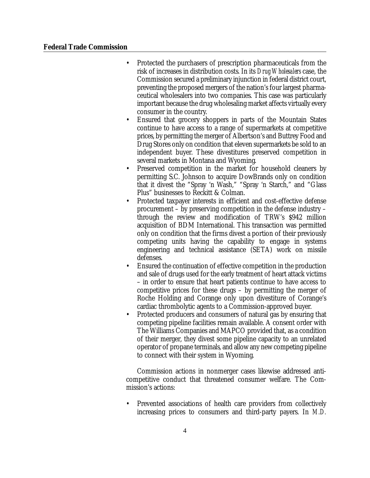- Protected the purchasers of prescription pharmaceuticals from the risk of increases in distribution costs. In its *Drug Wholesalers* case, the Commission secured a preliminary injunction in federal district court, preventing the proposed mergers of the nation's four largest pharmaceutical wholesalers into two companies. This case was particularly important because the drug wholesaling market affects virtually every consumer in the country.
- Ensured that grocery shoppers in parts of the Mountain States continue to have access to a range of supermarkets at competitive prices, by permitting the merger of Albertson's and Buttrey Food and Drug Stores only on condition that eleven supermarkets be sold to an independent buyer. These divestitures preserved competition in several markets in Montana and Wyoming.
- Preserved competition in the market for household cleaners by permitting S.C. Johnson to acquire DowBrands only on condition that it divest the "Spray 'n Wash," "Spray 'n Starch," and "Glass Plus" businesses to Reckitt & Colman.
- Protected taxpayer interests in efficient and cost-effective defense procurement – by preserving competition in the defense industry – through the review and modification of TRW's \$942 million acquisition of BDM International. This transaction was permitted only on condition that the firms divest a portion of their previously competing units having the capability to engage in systems engineering and technical assistance (SETA) work on missile defenses.
- Ensured the continuation of effective competition in the production and sale of drugs used for the early treatment of heart attack victims – in order to ensure that heart patients continue to have access to competitive prices for these drugs – by permitting the merger of Roche Holding and Corange only upon divestiture of Corange's cardiac thrombolytic agents to a Commission-approved buyer.
- Protected producers and consumers of natural gas by ensuring that competing pipeline facilities remain available. A consent order with The Williams Companies and MAPCO provided that, as a condition of their merger, they divest some pipeline capacity to an unrelated operator of propane terminals, and allow any new competing pipeline to connect with their system in Wyoming.

Commission actions in nonmerger cases likewise addressed anticompetitive conduct that threatened consumer welfare. The Commission's actions:

• Prevented associations of health care providers from collectively increasing prices to consumers and third-party payers. In *M.D.*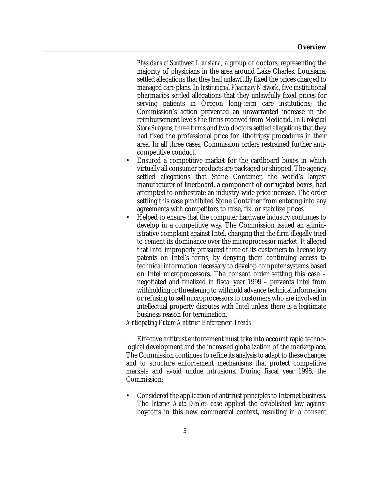*Physicians of Southwest Louisiana,* a group of doctors, representing the majority of physicians in the area around Lake Charles, Louisiana, settled allegations that they had unlawfully fixed the prices charged to managed care plans. In *Institutional Pharmacy Network,* five institutional pharmacies settled allegations that they unlawfully fixed prices for serving patients in Oregon long-term care institutions; the Commission's action prevented an unwarranted increase in the reimbursement levels the firms received from Medicaid. In *Urological Stone Surgeons,* three firms and two doctors settled allegations that they had fixed the professional price for lithotripsy procedures in their area. In all three cases, Commission orders restrained further anticompetitive conduct.

- Ensured a competitive market for the cardboard boxes in which virtually all consumer products are packaged or shipped. The agency settled allegations that Stone Container, the world's largest manufacturer of linerboard, a component of corrugated boxes, had attempted to orchestrate an industry-wide price increase. The order settling this case prohibited Stone Container from entering into any agreements with competitors to raise, fix, or stabilize prices.
- Helped to ensure that the computer hardware industry continues to develop in a competitive way. The Commission issued an administrative complaint against Intel, charging that the firm illegally tried to cement its dominance over the microprocessor market. It alleged that Intel improperly pressured three of its customers to license key patents on Intel's terms, by denying them continuing access to technical information necessary to develop computer systems based on Intel microprocessors. The consent order settling this case – negotiated and finalized in fiscal year 1999 – prevents Intel from withholding or threatening to withhold advance technical information or refusing to sell microprocessors to customers who are involved in intellectual property disputes with Intel unless there is a legitimate business reason for termination.

*Anticipating Future Antitrust Enforcement Trends*

Effective antitrust enforcement must take into account rapid technological development and the increased globalization of the marketplace. The Commission continues to refine its analysis to adapt to these changes and to structure enforcement mechanisms that protect competitive markets and avoid undue intrusions. During fiscal year 1998, the Commission:

• Considered the application of antitrust principles to Internet business. The *Internet Auto Dealers* case applied the established law against boycotts in this new commercial context, resulting in a consent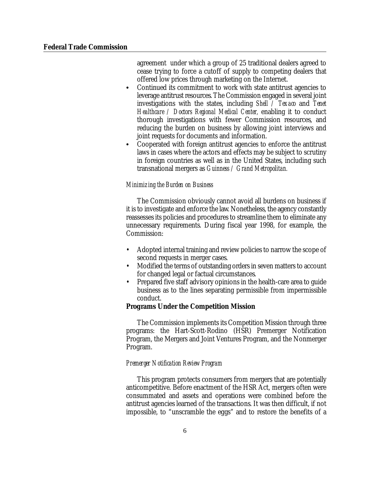agreement under which a group of 25 traditional dealers agreed to cease trying to force a cutoff of supply to competing dealers that offered low prices through marketing on the Internet.

- Continued its commitment to work with state antitrust agencies to leverage antitrust resources. The Commission engaged in several joint investigations with the states, including *Shell / Texaco* and *Tenet Healthcare / Doctors Regional Medical Center,* enabling it to conduct thorough investigations with fewer Commission resources, and reducing the burden on business by allowing joint interviews and joint requests for documents and information.
- Cooperated with foreign antitrust agencies to enforce the antitrust laws in cases where the actors and effects may be subject to scrutiny in foreign countries as well as in the United States, including such transnational mergers as *Guinness / Grand Metropolitan.*

#### *Minimizing the Burden on Business*

The Commission obviously cannot avoid all burdens on business if it is to investigate and enforce the law. Nonetheless, the agency constantly reassesses its policies and procedures to streamline them to eliminate any unnecessary requirements. During fiscal year 1998, for example, the Commission:

- Adopted internal training and review policies to narrow the scope of second requests in merger cases.
- Modified the terms of outstanding orders in seven matters to account for changed legal or factual circumstances.
- Prepared five staff advisory opinions in the health-care area to guide business as to the lines separating permissible from impermissible conduct.

# *Programs Under the Competition Mission*

The Commission implements its Competition Mission through three programs: the Hart-Scott-Rodino (HSR) Premerger Notification Program, the Mergers and Joint Ventures Program, and the Nonmerger Program.

#### *Premerger Notification Review Program*

This program protects consumers from mergers that are potentially anticompetitive. Before enactment of the HSR Act, mergers often were consummated and assets and operations were combined before the antitrust agencies learned of the transactions. It was then difficult, if not impossible, to "unscramble the eggs" and to restore the benefits of a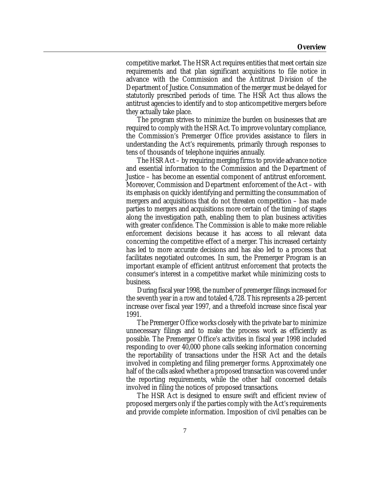competitive market. The HSR Act requires entities that meet certain size requirements and that plan significant acquisitions to file notice in advance with the Commission and the Antitrust Division of the Department of Justice. Consummation of the merger must be delayed for statutorily prescribed periods of time. The HSR Act thus allows the antitrust agencies to identify and to stop anticompetitive mergers before they actually take place.

The program strives to minimize the burden on businesses that are required to comply with the HSR Act. To improve voluntary compliance, the Commission's Premerger Office provides assistance to filers in understanding the Act's requirements, primarily through responses to tens of thousands of telephone inquiries annually.

The HSR Act – by requiring merging firms to provide advance notice and essential information to the Commission and the Department of Justice – has become an essential component of antitrust enforcement. Moreover, Commission and Department enforcement of the Act – with its emphasis on quickly identifying and permitting the consummation of mergers and acquisitions that do not threaten competition – has made parties to mergers and acquisitions more certain of the timing of stages along the investigation path, enabling them to plan business activities with greater confidence. The Commission is able to make more reliable enforcement decisions because it has access to all relevant data concerning the competitive effect of a merger. This increased certainty has led to more accurate decisions and has also led to a process that facilitates negotiated outcomes. In sum, the Premerger Program is an important example of efficient antitrust enforcement that protects the consumer's interest in a competitive market while minimizing costs to business.

During fiscal year 1998, the number of premerger filings increased for the seventh year in a row and totaled 4,728. This represents a 28-percent increase over fiscal year 1997, and a threefold increase since fiscal year 1991.

The Premerger Office works closely with the private bar to minimize unnecessary filings and to make the process work as efficiently as possible. The Premerger Office's activities in fiscal year 1998 included responding to over 40,000 phone calls seeking information concerning the reportability of transactions under the HSR Act and the details involved in completing and filing premerger forms. Approximately one half of the calls asked whether a proposed transaction was covered under the reporting requirements, while the other half concerned details involved in filing the notices of proposed transactions.

The HSR Act is designed to ensure swift and efficient review of proposed mergers only if the parties comply with the Act's requirements and provide complete information. Imposition of civil penalties can be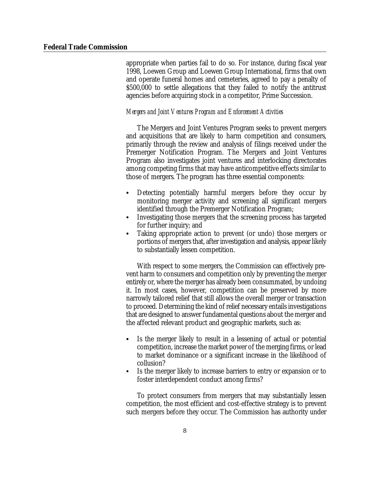appropriate when parties fail to do so. For instance, during fiscal year 1998, Loewen Group and Loewen Group International, firms that own and operate funeral homes and cemeteries, agreed to pay a penalty of \$500,000 to settle allegations that they failed to notify the antitrust agencies before acquiring stock in a competitor, Prime Succession.

#### *Mergers and Joint Ventures Program and Enforcement Activities*

The Mergers and Joint Ventures Program seeks to prevent mergers and acquisitions that are likely to harm competition and consumers, primarily through the review and analysis of filings received under the Premerger Notification Program. The Mergers and Joint Ventures Program also investigates joint ventures and interlocking directorates among competing firms that may have anticompetitive effects similar to those of mergers. The program has three essential components:

- Detecting potentially harmful mergers before they occur by monitoring merger activity and screening all significant mergers identified through the Premerger Notification Program;
- Investigating those mergers that the screening process has targeted for further inquiry; and
- Taking appropriate action to prevent (or undo) those mergers or portions of mergers that, after investigation and analysis, appear likely to substantially lessen competition.

With respect to some mergers, the Commission can effectively prevent harm to consumers and competition only by preventing the merger entirely or, where the merger has already been consummated, by undoing it. In most cases, however, competition can be preserved by more narrowly tailored relief that still allows the overall merger or transaction to proceed. Determining the kind of relief necessary entails investigations that are designed to answer fundamental questions about the merger and the affected relevant product and geographic markets, such as:

- Is the merger likely to result in a lessening of actual or potential competition, increase the market power of the merging firms, or lead to market dominance or a significant increase in the likelihood of collusion?
- Is the merger likely to increase barriers to entry or expansion or to foster interdependent conduct among firms?

To protect consumers from mergers that may substantially lessen competition, the most efficient and cost-effective strategy is to prevent such mergers before they occur. The Commission has authority under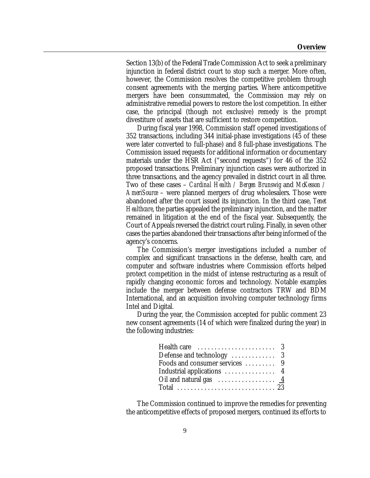Section 13(b) of the Federal Trade Commission Act to seek a preliminary injunction in federal district court to stop such a merger. More often, however, the Commission resolves the competitive problem through consent agreements with the merging parties. Where anticompetitive mergers have been consummated, the Commission may rely on administrative remedial powers to restore the lost competition. In either case, the principal (though not exclusive) remedy is the prompt divestiture of assets that are sufficient to restore competition.

During fiscal year 1998, Commission staff opened investigations of 352 transactions, including 344 initial-phase investigations (45 of these were later converted to full-phase) and 8 full-phase investigations. The Commission issued requests for additional information or documentary materials under the HSR Act ("second requests") for 46 of the 352 proposed transactions. Preliminary injunction cases were authorized in three transactions, and the agency prevailed in district court in all three. Two of these cases – *Cardinal Health / Bergen Brunswig* and *McKesson / AmeriSource* – were planned mergers of drug wholesalers. Those were abandoned after the court issued its injunction. In the third case, *Tenet Healthcare*, the parties appealed the preliminary injunction, and the matter remained in litigation at the end of the fiscal year. Subsequently, the Court of Appeals reversed the district court ruling. Finally, in seven other cases the parties abandoned their transactions after being informed of the agency's concerns.

The Commission's merger investigations included a number of complex and significant transactions in the defense, health care, and computer and software industries where Commission efforts helped protect competition in the midst of intense restructuring as a result of rapidly changing economic forces and technology. Notable examples include the merger between defense contractors TRW and BDM International, and an acquisition involving computer technology firms Intel and Digital.

During the year, the Commission accepted for public comment 23 new consent agreements (14 of which were finalized during the year) in the following industries:

| Health care $\ldots \ldots \ldots \ldots \ldots \ldots 3$ |  |
|-----------------------------------------------------------|--|
| Defense and technology  3                                 |  |
| Foods and consumer services  9                            |  |
|                                                           |  |
| Oil and natural gas $\dots \dots \dots \dots \dots \dots$ |  |
| Total  23                                                 |  |

The Commission continued to improve the remedies for preventing the anticompetitive effects of proposed mergers, continued its efforts to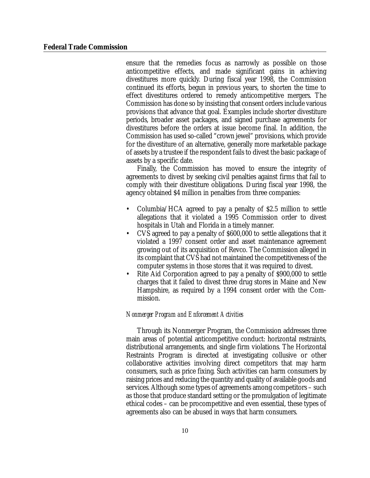ensure that the remedies focus as narrowly as possible on those anticompetitive effects, and made significant gains in achieving divestitures more quickly. During fiscal year 1998, the Commission continued its efforts, begun in previous years, to shorten the time to effect divestitures ordered to remedy anticompetitive mergers. The Commission has done so by insisting that consent orders include various provisions that advance that goal. Examples include shorter divestiture periods, broader asset packages, and signed purchase agreements for divestitures before the orders at issue become final. In addition, the Commission has used so-called "crown jewel" provisions, which provide for the divestiture of an alternative, generally more marketable package of assets by a trustee if the respondent fails to divest the basic package of assets by a specific date.

Finally, the Commission has moved to ensure the integrity of agreements to divest by seeking civil penalties against firms that fail to comply with their divestiture obligations. During fiscal year 1998, the agency obtained \$4 million in penalties from three companies:

- Columbia/HCA agreed to pay a penalty of \$2.5 million to settle allegations that it violated a 1995 Commission order to divest hospitals in Utah and Florida in a timely manner.
- CVS agreed to pay a penalty of \$600,000 to settle allegations that it violated a 1997 consent order and asset maintenance agreement growing out of its acquisition of Revco. The Commission alleged in its complaint that CVS had not maintained the competitiveness of the computer systems in those stores that it was required to divest.
- Rite Aid Corporation agreed to pay a penalty of \$900,000 to settle charges that it failed to divest three drug stores in Maine and New Hampshire, as required by a 1994 consent order with the Commission.

#### *Nonmerger Program and Enforcement Activities*

Through its Nonmerger Program, the Commission addresses three main areas of potential anticompetitive conduct: horizontal restraints, distributional arrangements, and single firm violations. The Horizontal Restraints Program is directed at investigating collusive or other collaborative activities involving direct competitors that may harm consumers, such as price fixing. Such activities can harm consumers by raising prices and reducing the quantity and quality of available goods and services. Although some types of agreements among competitors – such as those that produce standard setting or the promulgation of legitimate ethical codes – can be procompetitive and even essential, these types of agreements also can be abused in ways that harm consumers.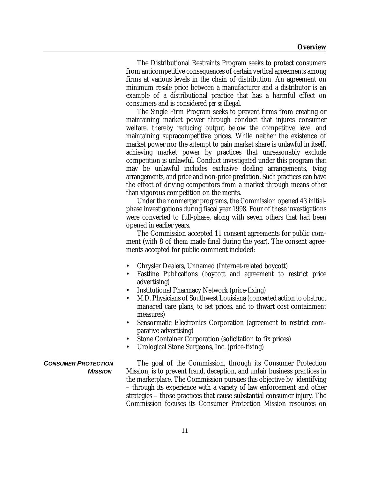The Distributional Restraints Program seeks to protect consumers from anticompetitive consequences of certain vertical agreements among firms at various levels in the chain of distribution. An agreement on minimum resale price between a manufacturer and a distributor is an example of a distributional practice that has a harmful effect on consumers and is considered *per se* illegal.

The Single Firm Program seeks to prevent firms from creating or maintaining market power through conduct that injures consumer welfare, thereby reducing output below the competitive level and maintaining supracompetitive prices. While neither the existence of market power nor the attempt to gain market share is unlawful in itself, achieving market power by practices that unreasonably exclude competition is unlawful. Conduct investigated under this program that may be unlawful includes exclusive dealing arrangements, tying arrangements, and price and non-price predation. Such practices can have the effect of driving competitors from a market through means other than vigorous competition on the merits.

Under the nonmerger programs, the Commission opened 43 initialphase investigations during fiscal year 1998. Four of these investigations were converted to full-phase, along with seven others that had been opened in earlier years.

The Commission accepted 11 consent agreements for public comment (with 8 of them made final during the year). The consent agreements accepted for public comment included:

- Chrysler Dealers, Unnamed (Internet-related boycott)
- Fastline Publications (boycott and agreement to restrict price advertising)
- Institutional Pharmacy Network (price-fixing)
- M.D. Physicians of Southwest Louisiana (concerted action to obstruct managed care plans, to set prices, and to thwart cost containment measures)
- Sensormatic Electronics Corporation (agreement to restrict comparative advertising)
- Stone Container Corporation (solicitation to fix prices)
- Urological Stone Surgeons, Inc. (price-fixing)

#### *CONSUMER PROTECTION MISSION*

The goal of the Commission, through its Consumer Protection Mission, is to prevent fraud, deception, and unfair business practices in the marketplace. The Commission pursues this objective by identifying – through its experience with a variety of law enforcement and other strategies – those practices that cause substantial consumer injury. The Commission focuses its Consumer Protection Mission resources on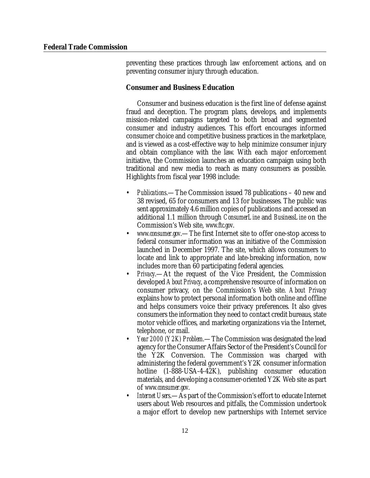preventing these practices through law enforcement actions, and on preventing consumer injury through education.

# *Consumer and Business Education*

Consumer and business education is the first line of defense against fraud and deception. The program plans, develops, and implements mission-related campaigns targeted to both broad and segmented consumer and industry audiences. This effort encourages informed consumer choice and competitive business practices in the marketplace, and is viewed as a cost-effective way to help minimize consumer injury and obtain compliance with the law. With each major enforcement initiative, the Commission launches an education campaign using both traditional and new media to reach as many consumers as possible. Highlights from fiscal year 1998 include:

- *Publications*.—The Commission issued 78 publications 40 new and 38 revised, 65 for consumers and 13 for businesses. The public was sent approximately 4.6 million copies of publications and accessed an additional 1.1 million through *ConsumerLine* and *BusinessLine* on the Commission's Web site, *www.ftc.gov*.
- *www.consumer.gov*.—The first Internet site to offer one-stop access to federal consumer information was an initiative of the Commission launched in December 1997. The site, which allows consumers to locate and link to appropriate and late-breaking information, now includes more than 60 participating federal agencies.
- *Privacy*.—At the request of the Vice President, the Commission developed *About Privacy*, a comprehensive resource of information on consumer privacy, on the Commission's Web site. *About Privacy* explains how to protect personal information both online and offline and helps consumers voice their privacy preferences. It also gives consumers the information they need to contact credit bureaus, state motor vehicle offices, and marketing organizations via the Internet, telephone, or mail.
- *Year 2000 (Y2K) Problem*.—The Commission was designated the lead agency for the Consumer Affairs Sector of the President's Council for the Y2K Conversion. The Commission was charged with administering the federal government's Y2K consumer information hotline (1-888-USA-4-42K), publishing consumer education materials, and developing a consumer-oriented Y2K Web site as part of *www.consumer.gov*.
- *Internet Users*.—As part of the Commission's effort to educate Internet users about Web resources and pitfalls, the Commission undertook a major effort to develop new partnerships with Internet service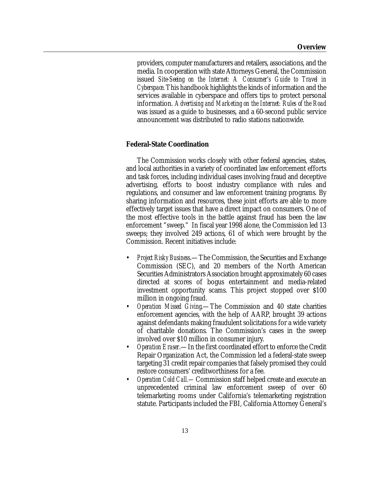providers, computer manufacturers and retailers, associations, and the media. In cooperation with state Attorneys General, the Commission issued *Site-Seeing on the Internet: A Consumer's Guide to Travel in Cyberspace*. This handbook highlights the kinds of information and the services available in cyberspace and offers tips to protect personal information. *Advertising and Marketing on the Internet: Rules of the Road* was issued as a guide to businesses, and a 60-second public service announcement was distributed to radio stations nationwide.

# *Federal-State Coordination*

The Commission works closely with other federal agencies, states, and local authorities in a variety of coordinated law enforcement efforts and task forces, including individual cases involving fraud and deceptive advertising, efforts to boost industry compliance with rules and regulations, and consumer and law enforcement training programs. By sharing information and resources, these joint efforts are able to more effectively target issues that have a direct impact on consumers. One of the most effective tools in the battle against fraud has been the law enforcement "sweep." In fiscal year 1998 alone, the Commission led 13 sweeps; they involved 249 actions, 61 of which were brought by the Commission. Recent initiatives include:

- *Project Risky Business*.—The Commission, the Securities and Exchange Commission (SEC), and 20 members of the North American Securities Administrators Association brought approximately 60 cases directed at scores of bogus entertainment and media-related investment opportunity scams. This project stopped over \$100 million in ongoing fraud.
- *Operation Missed Giving*.—The Commission and 40 state charities enforcement agencies, with the help of AARP, brought 39 actions against defendants making fraudulent solicitations for a wide variety of charitable donations. The Commission's cases in the sweep involved over \$10 million in consumer injury.
- *Operation Eraser*.—In the first coordinated effort to enforce the Credit Repair Organization Act, the Commission led a federal-state sweep targeting 31 credit repair companies that falsely promised they could restore consumers' creditworthiness for a fee.
- *Operation Cold Call.—*Commission staff helped create and execute an unprecedented criminal law enforcement sweep of over 60 telemarketing rooms under California's telemarketing registration statute. Participants included the FBI, California Attorney General's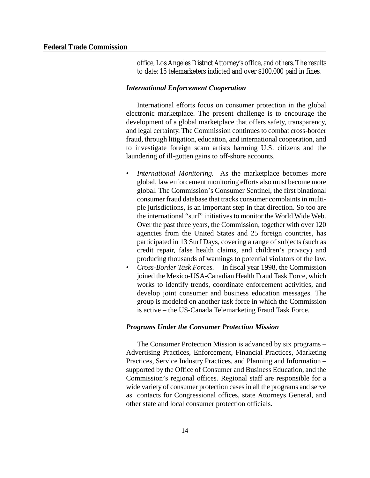office, Los Angeles District Attorney's office, and others. The results to date: 15 telemarketers indicted and over \$100,000 paid in fines.

#### *International Enforcement Cooperation*

International efforts focus on consumer protection in the global electronic marketplace. The present challenge is to encourage the development of a global marketplace that offers safety, transparency, and legal certainty. The Commission continues to combat cross-border fraud, through litigation, education, and international cooperation, and to investigate foreign scam artists harming U.S. citizens and the laundering of ill-gotten gains to off-shore accounts.

- *International Monitoring.—*As the marketplace becomes more global, law enforcement monitoring efforts also must become more global. The Commission's Consumer Sentinel, the first binational consumer fraud database that tracks consumer complaints in multiple jurisdictions, is an important step in that direction. So too are the international "surf" initiatives to monitor the World Wide Web. Over the past three years, the Commission, together with over 120 agencies from the United States and 25 foreign countries, has participated in 13 Surf Days, covering a range of subjects (such as credit repair, false health claims, and children's privacy) and producing thousands of warnings to potential violators of the law.
- *Cross-Border Task Forces.—* In fiscal year 1998, the Commission joined the Mexico-USA-Canadian Health Fraud Task Force, which works to identify trends, coordinate enforcement activities, and develop joint consumer and business education messages. The group is modeled on another task force in which the Commission is active – the US-Canada Telemarketing Fraud Task Force.

#### *Programs Under the Consumer Protection Mission*

The Consumer Protection Mission is advanced by six programs – Advertising Practices, Enforcement, Financial Practices, Marketing Practices, Service Industry Practices, and Planning and Information – supported by the Office of Consumer and Business Education, and the Commission's regional offices. Regional staff are responsible for a wide variety of consumer protection cases in all the programs and serve as contacts for Congressional offices, state Attorneys General, and other state and local consumer protection officials.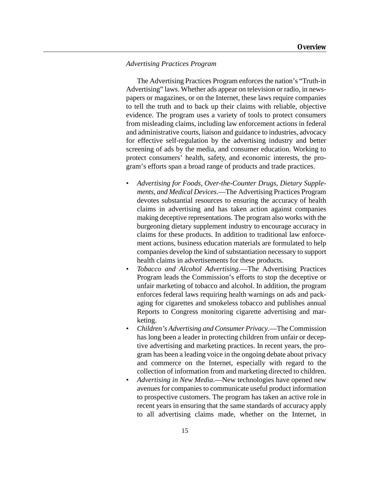#### *Advertising Practices Program*

The Advertising Practices Program enforces the nation's "Truth-in Advertising" laws. Whether ads appear on television or radio, in newspapers or magazines, or on the Internet, these laws require companies to tell the truth and to back up their claims with reliable, objective evidence. The program uses a variety of tools to protect consumers from misleading claims, including law enforcement actions in federal and administrative courts, liaison and guidance to industries, advocacy for effective self-regulation by the advertising industry and better screening of ads by the media, and consumer education. Working to protect consumers' health, safety, and economic interests, the program's efforts span a broad range of products and trade practices.

- *Advertising for Foods, Over-the-Counter Drugs, Dietary Supplements, and Medical Devices*.—The Advertising Practices Program devotes substantial resources to ensuring the accuracy of health claims in advertising and has taken action against companies making deceptive representations. The program also works with the burgeoning dietary supplement industry to encourage accuracy in claims for these products. In addition to traditional law enforcement actions, business education materials are formulated to help companies develop the kind of substantiation necessary to support health claims in advertisements for these products.
- *Tobacco and Alcohol Advertising*.—The Advertising Practices Program leads the Commission's efforts to stop the deceptive or unfair marketing of tobacco and alcohol. In addition, the program enforces federal laws requiring health warnings on ads and packaging for cigarettes and smokeless tobacco and publishes annual Reports to Congress monitoring cigarette advertising and marketing.
- *Children's Advertising and Consumer Privacy*.—The Commission has long been a leader in protecting children from unfair or deceptive advertising and marketing practices. In recent years, the program has been a leading voice in the ongoing debate about privacy and commerce on the Internet, especially with regard to the collection of information from and marketing directed to children.
- *Advertising in New Media*.—New technologies have opened new avenues for companies to communicate useful product information to prospective customers. The program has taken an active role in recent years in ensuring that the same standards of accuracy apply to all advertising claims made, whether on the Internet, in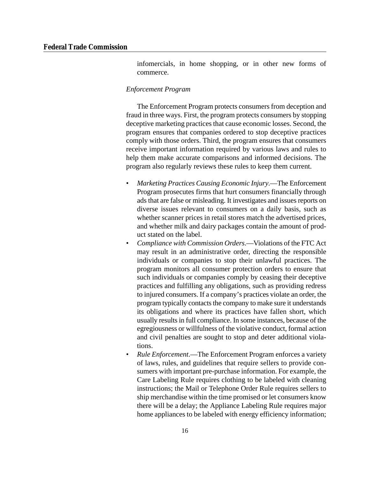infomercials, in home shopping, or in other new forms of commerce.

### *Enforcement Program*

The Enforcement Program protects consumers from deception and fraud in three ways. First, the program protects consumers by stopping deceptive marketing practices that cause economic losses. Second, the program ensures that companies ordered to stop deceptive practices comply with those orders. Third, the program ensures that consumers receive important information required by various laws and rules to help them make accurate comparisons and informed decisions. The program also regularly reviews these rules to keep them current.

- *Marketing Practices Causing Economic Injury*.—The Enforcement Program prosecutes firms that hurt consumers financially through ads that are false or misleading. It investigates and issues reports on diverse issues relevant to consumers on a daily basis, such as whether scanner prices in retail stores match the advertised prices, and whether milk and dairy packages contain the amount of product stated on the label.
- *Compliance with Commission Orders*.—Violations of the FTC Act may result in an administrative order, directing the responsible individuals or companies to stop their unlawful practices. The program monitors all consumer protection orders to ensure that such individuals or companies comply by ceasing their deceptive practices and fulfilling any obligations, such as providing redress to injured consumers. If a company's practices violate an order, the program typically contacts the company to make sure it understands its obligations and where its practices have fallen short, which usually results in full compliance. In some instances, because of the egregiousness or willfulness of the violative conduct, formal action and civil penalties are sought to stop and deter additional violations.
- *Rule Enforcement*.—The Enforcement Program enforces a variety of laws, rules, and guidelines that require sellers to provide consumers with important pre-purchase information. For example, the Care Labeling Rule requires clothing to be labeled with cleaning instructions; the Mail or Telephone Order Rule requires sellers to ship merchandise within the time promised or let consumers know there will be a delay; the Appliance Labeling Rule requires major home appliances to be labeled with energy efficiency information;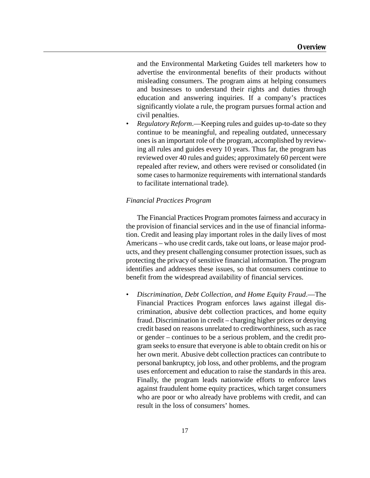and the Environmental Marketing Guides tell marketers how to advertise the environmental benefits of their products without misleading consumers. The program aims at helping consumers and businesses to understand their rights and duties through education and answering inquiries. If a company's practices significantly violate a rule, the program pursues formal action and civil penalties.

• *Regulatory Reform*.—Keeping rules and guides up-to-date so they continue to be meaningful, and repealing outdated, unnecessary ones is an important role of the program, accomplished by reviewing all rules and guides every 10 years. Thus far, the program has reviewed over 40 rules and guides; approximately 60 percent were repealed after review, and others were revised or consolidated (in some cases to harmonize requirements with international standards to facilitate international trade).

#### *Financial Practices Program*

The Financial Practices Program promotes fairness and accuracy in the provision of financial services and in the use of financial information. Credit and leasing play important roles in the daily lives of most Americans – who use credit cards, take out loans, or lease major products, and they present challenging consumer protection issues, such as protecting the privacy of sensitive financial information. The program identifies and addresses these issues, so that consumers continue to benefit from the widespread availability of financial services.

• *Discrimination, Debt Collection, and Home Equity Fraud*.—The Financial Practices Program enforces laws against illegal discrimination, abusive debt collection practices, and home equity fraud. Discrimination in credit – charging higher prices or denying credit based on reasons unrelated to creditworthiness, such as race or gender – continues to be a serious problem, and the credit program seeks to ensure that everyone is able to obtain credit on his or her own merit. Abusive debt collection practices can contribute to personal bankruptcy, job loss, and other problems, and the program uses enforcement and education to raise the standards in this area. Finally, the program leads nationwide efforts to enforce laws against fraudulent home equity practices, which target consumers who are poor or who already have problems with credit, and can result in the loss of consumers' homes.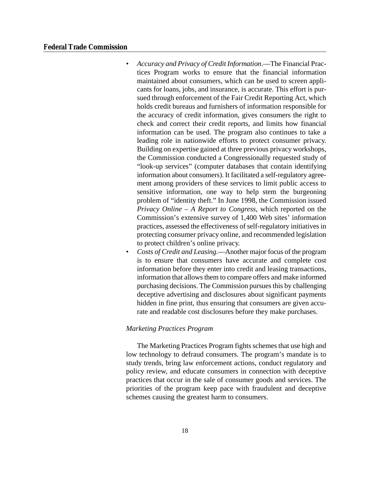- *Accuracy and Privacy of Credit Information*.—The Financial Practices Program works to ensure that the financial information maintained about consumers, which can be used to screen applicants for loans, jobs, and insurance, is accurate. This effort is pursued through enforcement of the Fair Credit Reporting Act, which holds credit bureaus and furnishers of information responsible for the accuracy of credit information, gives consumers the right to check and correct their credit reports, and limits how financial information can be used. The program also continues to take a leading role in nationwide efforts to protect consumer privacy. Building on expertise gained at three previous privacy workshops, the Commission conducted a Congressionally requested study of "look-up services" (computer databases that contain identifying information about consumers). It facilitated a self-regulatory agreement among providers of these services to limit public access to sensitive information, one way to help stem the burgeoning problem of "identity theft." In June 1998, the Commission issued *Privacy Online – A Report to Congress*, which reported on the Commission's extensive survey of 1,400 Web sites' information practices, assessed the effectiveness of self-regulatory initiatives in protecting consumer privacy online, and recommended legislation to protect children's online privacy.
- *Costs of Credit and Leasing*.—Another major focus of the program is to ensure that consumers have accurate and complete cost information before they enter into credit and leasing transactions, information that allows them to compare offers and make informed purchasing decisions. The Commission pursues this by challenging deceptive advertising and disclosures about significant payments hidden in fine print, thus ensuring that consumers are given accurate and readable cost disclosures before they make purchases.

### *Marketing Practices Program*

The Marketing Practices Program fights schemes that use high and low technology to defraud consumers. The program's mandate is to study trends, bring law enforcement actions, conduct regulatory and policy review, and educate consumers in connection with deceptive practices that occur in the sale of consumer goods and services. The priorities of the program keep pace with fraudulent and deceptive schemes causing the greatest harm to consumers.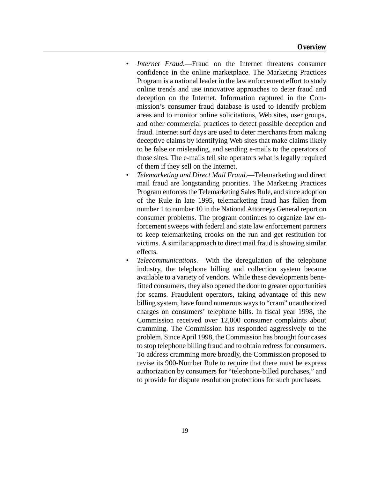- *Internet Fraud*.—Fraud on the Internet threatens consumer confidence in the online marketplace. The Marketing Practices Program is a national leader in the law enforcement effort to study online trends and use innovative approaches to deter fraud and deception on the Internet. Information captured in the Commission's consumer fraud database is used to identify problem areas and to monitor online solicitations, Web sites, user groups, and other commercial practices to detect possible deception and fraud. Internet surf days are used to deter merchants from making deceptive claims by identifying Web sites that make claims likely to be false or misleading, and sending e-mails to the operators of those sites. The e-mails tell site operators what is legally required of them if they sell on the Internet.
- *Telemarketing and Direct Mail Fraud*.—Telemarketing and direct mail fraud are longstanding priorities. The Marketing Practices Program enforces the Telemarketing Sales Rule, and since adoption of the Rule in late 1995, telemarketing fraud has fallen from number 1 to number 10 in the National Attorneys General report on consumer problems. The program continues to organize law enforcement sweeps with federal and state law enforcement partners to keep telemarketing crooks on the run and get restitution for victims. A similar approach to direct mail fraud is showing similar effects.
- *Telecommunications*.—With the deregulation of the telephone industry, the telephone billing and collection system became available to a variety of vendors. While these developments benefitted consumers, they also opened the door to greater opportunities for scams. Fraudulent operators, taking advantage of this new billing system, have found numerous ways to "cram" unauthorized charges on consumers' telephone bills. In fiscal year 1998, the Commission received over 12,000 consumer complaints about cramming. The Commission has responded aggressively to the problem. Since April 1998, the Commission has brought four cases to stop telephone billing fraud and to obtain redress for consumers. To address cramming more broadly, the Commission proposed to revise its 900-Number Rule to require that there must be express authorization by consumers for "telephone-billed purchases," and to provide for dispute resolution protections for such purchases.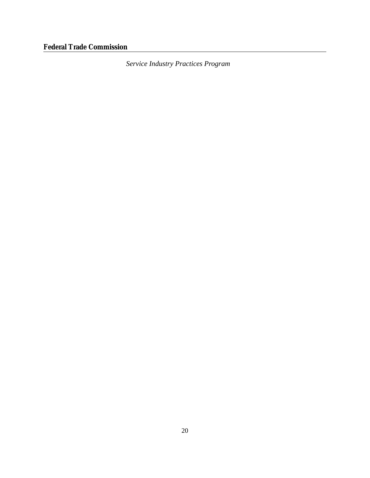**Federal Trade Commission**

*Service Industry Practices Program*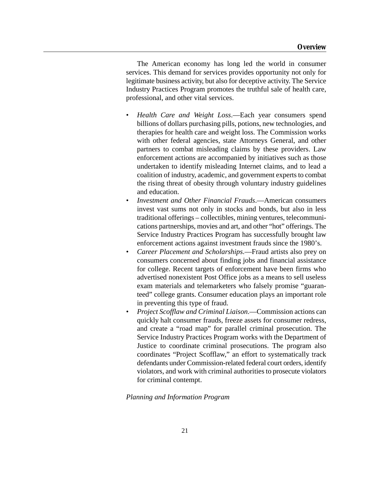The American economy has long led the world in consumer services. This demand for services provides opportunity not only for legitimate business activity, but also for deceptive activity. The Service Industry Practices Program promotes the truthful sale of health care, professional, and other vital services.

- *Health Care and Weight Loss*.—Each year consumers spend billions of dollars purchasing pills, potions, new technologies, and therapies for health care and weight loss. The Commission works with other federal agencies, state Attorneys General, and other partners to combat misleading claims by these providers. Law enforcement actions are accompanied by initiatives such as those undertaken to identify misleading Internet claims, and to lead a coalition of industry, academic, and government experts to combat the rising threat of obesity through voluntary industry guidelines and education.
- *Investment and Other Financial Frauds*.—American consumers invest vast sums not only in stocks and bonds, but also in less traditional offerings – collectibles, mining ventures, telecommunications partnerships, movies and art, and other "hot" offerings. The Service Industry Practices Program has successfully brought law enforcement actions against investment frauds since the 1980's.
- *Career Placement and Scholarships*.—Fraud artists also prey on consumers concerned about finding jobs and financial assistance for college. Recent targets of enforcement have been firms who advertised nonexistent Post Office jobs as a means to sell useless exam materials and telemarketers who falsely promise "guaranteed" college grants. Consumer education plays an important role in preventing this type of fraud.
- *Project Scofflaw and Criminal Liaison*.—Commission actions can quickly halt consumer frauds, freeze assets for consumer redress, and create a "road map" for parallel criminal prosecution. The Service Industry Practices Program works with the Department of Justice to coordinate criminal prosecutions. The program also coordinates "Project Scofflaw," an effort to systematically track defendants under Commission-related federal court orders, identify violators, and work with criminal authorities to prosecute violators for criminal contempt.

#### *Planning and Information Program*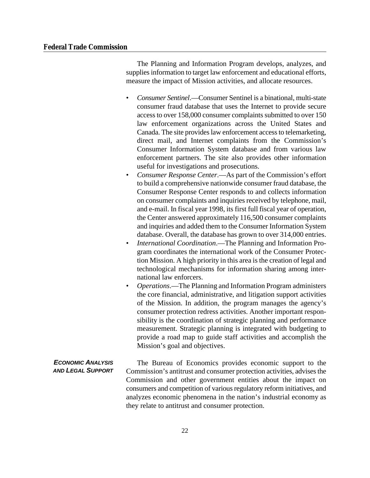The Planning and Information Program develops, analyzes, and supplies information to target law enforcement and educational efforts, measure the impact of Mission activities, and allocate resources.

- *Consumer Sentinel*.—Consumer Sentinel is a binational, multi-state consumer fraud database that uses the Internet to provide secure access to over 158,000 consumer complaints submitted to over 150 law enforcement organizations across the United States and Canada. The site provides law enforcement access to telemarketing, direct mail, and Internet complaints from the Commission's Consumer Information System database and from various law enforcement partners. The site also provides other information useful for investigations and prosecutions.
- *Consumer Response Center*.—As part of the Commission's effort to build a comprehensive nationwide consumer fraud database, the Consumer Response Center responds to and collects information on consumer complaints and inquiries received by telephone, mail, and e-mail. In fiscal year 1998, its first full fiscal year of operation, the Center answered approximately 116,500 consumer complaints and inquiries and added them to the Consumer Information System database. Overall, the database has grown to over 314,000 entries.
- *International Coordination*.—The Planning and Information Program coordinates the international work of the Consumer Protection Mission. A high priority in this area is the creation of legal and technological mechanisms for information sharing among international law enforcers.
- *Operations*.—The Planning and Information Program administers the core financial, administrative, and litigation support activities of the Mission. In addition, the program manages the agency's consumer protection redress activities. Another important responsibility is the coordination of strategic planning and performance measurement. Strategic planning is integrated with budgeting to provide a road map to guide staff activities and accomplish the Mission's goal and objectives.

*ECONOMIC ANALYSIS AND LEGAL SUPPORT* The Bureau of Economics provides economic support to the Commission's antitrust and consumer protection activities, advises the Commission and other government entities about the impact on consumers and competition of various regulatory reform initiatives, and analyzes economic phenomena in the nation's industrial economy as they relate to antitrust and consumer protection.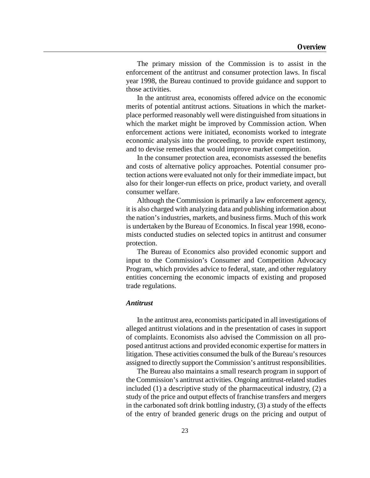The primary mission of the Commission is to assist in the enforcement of the antitrust and consumer protection laws. In fiscal year 1998, the Bureau continued to provide guidance and support to those activities.

In the antitrust area, economists offered advice on the economic merits of potential antitrust actions. Situations in which the marketplace performed reasonably well were distinguished from situations in which the market might be improved by Commission action. When enforcement actions were initiated, economists worked to integrate economic analysis into the proceeding, to provide expert testimony, and to devise remedies that would improve market competition.

In the consumer protection area, economists assessed the benefits and costs of alternative policy approaches. Potential consumer protection actions were evaluated not only for their immediate impact, but also for their longer-run effects on price, product variety, and overall consumer welfare.

Although the Commission is primarily a law enforcement agency, it is also charged with analyzing data and publishing information about the nation's industries, markets, and business firms. Much of this work is undertaken by the Bureau of Economics. In fiscal year 1998, economists conducted studies on selected topics in antitrust and consumer protection.

The Bureau of Economics also provided economic support and input to the Commission's Consumer and Competition Advocacy Program, which provides advice to federal, state, and other regulatory entities concerning the economic impacts of existing and proposed trade regulations.

# *Antitrust*

In the antitrust area, economists participated in all investigations of alleged antitrust violations and in the presentation of cases in support of complaints. Economists also advised the Commission on all proposed antitrust actions and provided economic expertise for matters in litigation. These activities consumed the bulk of the Bureau's resources assigned to directly support the Commission's antitrust responsibilities.

The Bureau also maintains a small research program in support of the Commission's antitrust activities. Ongoing antitrust-related studies included (1) a descriptive study of the pharmaceutical industry, (2) a study of the price and output effects of franchise transfers and mergers in the carbonated soft drink bottling industry, (3) a study of the effects of the entry of branded generic drugs on the pricing and output of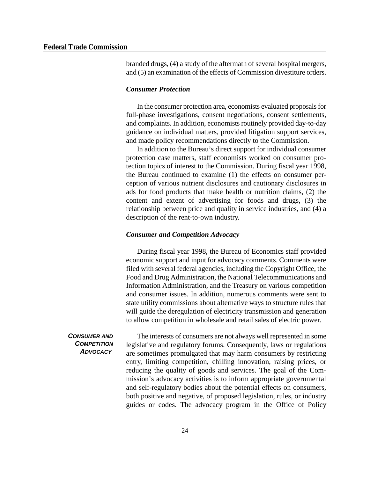branded drugs, (4) a study of the aftermath of several hospital mergers, and (5) an examination of the effects of Commission divestiture orders.

#### *Consumer Protection*

In the consumer protection area, economists evaluated proposals for full-phase investigations, consent negotiations, consent settlements, and complaints. In addition, economists routinely provided day-to-day guidance on individual matters, provided litigation support services, and made policy recommendations directly to the Commission.

In addition to the Bureau's direct support for individual consumer protection case matters, staff economists worked on consumer protection topics of interest to the Commission. During fiscal year 1998, the Bureau continued to examine (1) the effects on consumer perception of various nutrient disclosures and cautionary disclosures in ads for food products that make health or nutrition claims, (2) the content and extent of advertising for foods and drugs, (3) the relationship between price and quality in service industries, and (4) a description of the rent-to-own industry.

#### *Consumer and Competition Advocacy*

During fiscal year 1998, the Bureau of Economics staff provided economic support and input for advocacy comments. Comments were filed with several federal agencies, including the Copyright Office, the Food and Drug Administration, the National Telecommunications and Information Administration, and the Treasury on various competition and consumer issues. In addition, numerous comments were sent to state utility commissions about alternative ways to structure rules that will guide the deregulation of electricity transmission and generation to allow competition in wholesale and retail sales of electric power.

guides or codes. The advocacy program in the Office of Policy

*CONSUMER AND COMPETITION ADVOCACY*  The interests of consumers are not always well represented in some legislative and regulatory forums. Consequently, laws or regulations are sometimes promulgated that may harm consumers by restricting entry, limiting competition, chilling innovation, raising prices, or reducing the quality of goods and services. The goal of the Commission's advocacy activities is to inform appropriate governmental and self-regulatory bodies about the potential effects on consumers, both positive and negative, of proposed legislation, rules, or industry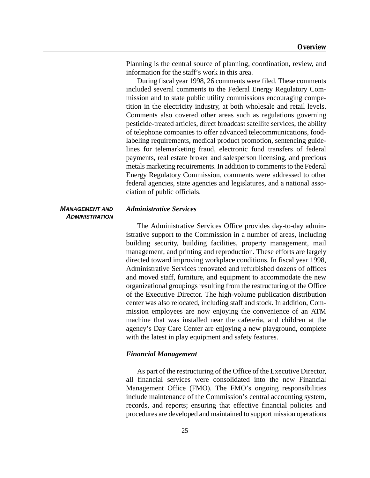Planning is the central source of planning, coordination, review, and information for the staff's work in this area.

During fiscal year 1998, 26 comments were filed. These comments included several comments to the Federal Energy Regulatory Commission and to state public utility commissions encouraging competition in the electricity industry, at both wholesale and retail levels. Comments also covered other areas such as regulations governing pesticide-treated articles, direct broadcast satellite services, the ability of telephone companies to offer advanced telecommunications, foodlabeling requirements, medical product promotion, sentencing guidelines for telemarketing fraud, electronic fund transfers of federal payments, real estate broker and salesperson licensing, and precious metals marketing requirements. In addition to comments to the Federal Energy Regulatory Commission, comments were addressed to other federal agencies, state agencies and legislatures, and a national association of public officials.

#### *MANAGEMENT AND ADMINISTRATION*

# *Administrative Services*

The Administrative Services Office provides day-to-day administrative support to the Commission in a number of areas, including building security, building facilities, property management, mail management, and printing and reproduction. These efforts are largely directed toward improving workplace conditions. In fiscal year 1998, Administrative Services renovated and refurbished dozens of offices and moved staff, furniture, and equipment to accommodate the new organizational groupings resulting from the restructuring of the Office of the Executive Director. The high-volume publication distribution center was also relocated, including staff and stock. In addition, Commission employees are now enjoying the convenience of an ATM machine that was installed near the cafeteria, and children at the agency's Day Care Center are enjoying a new playground, complete with the latest in play equipment and safety features.

#### *Financial Management*

As part of the restructuring of the Office of the Executive Director, all financial services were consolidated into the new Financial Management Office (FMO). The FMO's ongoing responsibilities include maintenance of the Commission's central accounting system, records, and reports; ensuring that effective financial policies and procedures are developed and maintained to support mission operations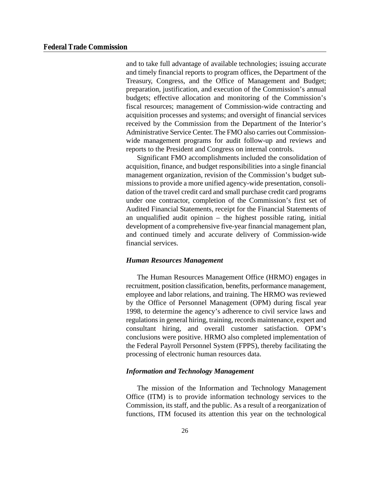and to take full advantage of available technologies; issuing accurate and timely financial reports to program offices, the Department of the Treasury, Congress, and the Office of Management and Budget; preparation, justification, and execution of the Commission's annual budgets; effective allocation and monitoring of the Commission's fiscal resources; management of Commission-wide contracting and acquisition processes and systems; and oversight of financial services received by the Commission from the Department of the Interior's Administrative Service Center. The FMO also carries out Commissionwide management programs for audit follow-up and reviews and reports to the President and Congress on internal controls.

Significant FMO accomplishments included the consolidation of acquisition, finance, and budget responsibilities into a single financial management organization, revision of the Commission's budget submissions to provide a more unified agency-wide presentation, consolidation of the travel credit card and small purchase credit card programs under one contractor, completion of the Commission's first set of Audited Financial Statements, receipt for the Financial Statements of an unqualified audit opinion – the highest possible rating, initial development of a comprehensive five-year financial management plan, and continued timely and accurate delivery of Commission-wide financial services.

#### *Human Resources Management*

The Human Resources Management Office (HRMO) engages in recruitment, position classification, benefits, performance management, employee and labor relations, and training. The HRMO was reviewed by the Office of Personnel Management (OPM) during fiscal year 1998, to determine the agency's adherence to civil service laws and regulations in general hiring, training, records maintenance, expert and consultant hiring, and overall customer satisfaction. OPM's conclusions were positive. HRMO also completed implementation of the Federal Payroll Personnel System (FPPS), thereby facilitating the processing of electronic human resources data.

#### *Information and Technology Management*

The mission of the Information and Technology Management Office (ITM) is to provide information technology services to the Commission, its staff, and the public. As a result of a reorganization of functions, ITM focused its attention this year on the technological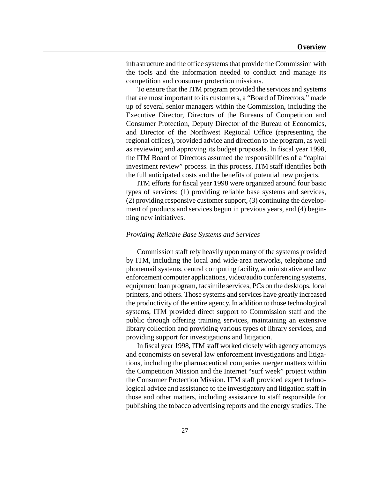infrastructure and the office systems that provide the Commission with the tools and the information needed to conduct and manage its competition and consumer protection missions.

To ensure that the ITM program provided the services and systems that are most important to its customers, a "Board of Directors," made up of several senior managers within the Commission, including the Executive Director, Directors of the Bureaus of Competition and Consumer Protection, Deputy Director of the Bureau of Economics, and Director of the Northwest Regional Office (representing the regional offices), provided advice and direction to the program, as well as reviewing and approving its budget proposals. In fiscal year 1998, the ITM Board of Directors assumed the responsibilities of a "capital investment review" process. In this process, ITM staff identifies both the full anticipated costs and the benefits of potential new projects.

ITM efforts for fiscal year 1998 were organized around four basic types of services: (1) providing reliable base systems and services, (2) providing responsive customer support, (3) continuing the development of products and services begun in previous years, and (4) beginning new initiatives.

#### *Providing Reliable Base Systems and Services*

Commission staff rely heavily upon many of the systems provided by ITM, including the local and wide-area networks, telephone and phonemail systems, central computing facility, administrative and law enforcement computer applications, video/audio conferencing systems, equipment loan program, facsimile services, PCs on the desktops, local printers, and others. Those systems and services have greatly increased the productivity of the entire agency. In addition to those technological systems, ITM provided direct support to Commission staff and the public through offering training services, maintaining an extensive library collection and providing various types of library services, and providing support for investigations and litigation.

In fiscal year 1998, ITM staff worked closely with agency attorneys and economists on several law enforcement investigations and litigations, including the pharmaceutical companies merger matters within the Competition Mission and the Internet "surf week" project within the Consumer Protection Mission. ITM staff provided expert technological advice and assistance to the investigatory and litigation staff in those and other matters, including assistance to staff responsible for publishing the tobacco advertising reports and the energy studies. The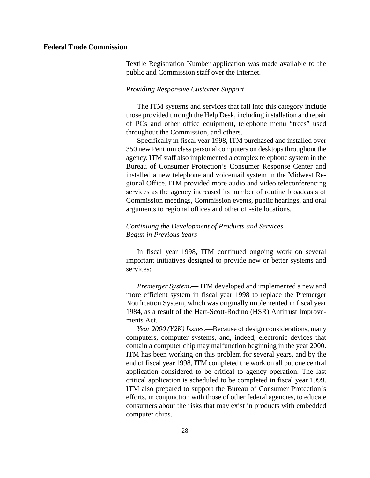Textile Registration Number application was made available to the public and Commission staff over the Internet.

#### *Providing Responsive Customer Support*

The ITM systems and services that fall into this category include those provided through the Help Desk, including installation and repair of PCs and other office equipment, telephone menu "trees" used throughout the Commission, and others.

Specifically in fiscal year 1998, ITM purchased and installed over 350 new Pentium class personal computers on desktops throughout the agency. ITM staff also implemented a complex telephone system in the Bureau of Consumer Protection's Consumer Response Center and installed a new telephone and voicemail system in the Midwest Regional Office. ITM provided more audio and video teleconferencing services as the agency increased its number of routine broadcasts of Commission meetings, Commission events, public hearings, and oral arguments to regional offices and other off-site locations.

# *Continuing the Development of Products and Services Begun in Previous Years*

In fiscal year 1998, ITM continued ongoing work on several important initiatives designed to provide new or better systems and services:

*Premerger System***.—** ITM developed and implemented a new and more efficient system in fiscal year 1998 to replace the Premerger Notification System, which was originally implemented in fiscal year 1984, as a result of the Hart-Scott-Rodino (HSR) Antitrust Improvements Act.

*Year 2000 (Y2K) Issues.*—Because of design considerations, many computers, computer systems, and, indeed, electronic devices that contain a computer chip may malfunction beginning in the year 2000. ITM has been working on this problem for several years, and by the end of fiscal year 1998, ITM completed the work on all but one central application considered to be critical to agency operation. The last critical application is scheduled to be completed in fiscal year 1999. ITM also prepared to support the Bureau of Consumer Protection's efforts, in conjunction with those of other federal agencies, to educate consumers about the risks that may exist in products with embedded computer chips.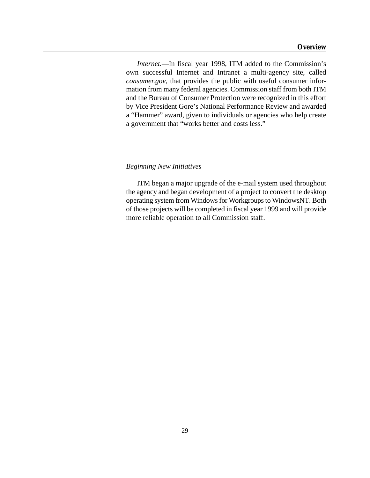*Internet.*—In fiscal year 1998, ITM added to the Commission's own successful Internet and Intranet a multi-agency site, called *consumer.gov*, that provides the public with useful consumer information from many federal agencies. Commission staff from both ITM and the Bureau of Consumer Protection were recognized in this effort by Vice President Gore's National Performance Review and awarded a "Hammer" award, given to individuals or agencies who help create a government that "works better and costs less."

#### *Beginning New Initiatives*

ITM began a major upgrade of the e-mail system used throughout the agency and began development of a project to convert the desktop operating system from Windows for Workgroups to WindowsNT. Both of those projects will be completed in fiscal year 1999 and will provide more reliable operation to all Commission staff.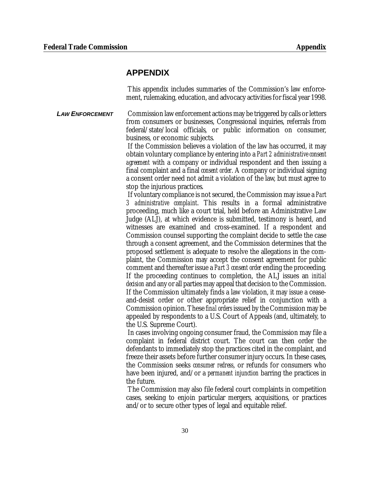# **APPENDIX**

This appendix includes summaries of the Commission's law enforcement, rulemaking, education, and advocacy activitiesfor fiscal year 1998.

**LAW ENFORCEMENT** Commission law enforcement actions may be triggered by calls or letters from consumers or businesses, Congressional inquiries, referrals from federal/state/local officials, or public information on consumer, business, or economic subjects.

> If the Commission believes a violation of the law has occurred, it may obtain voluntary compliance by entering into a *Part 2 administrative consent agreement* with a company or individual respondent and then issuing a final complaint and a final *consent order*. A company or individual signing a consent order need not admit a violation of the law, but must agree to stop the injurious practices.

> If voluntary compliance is not secured, the Commission may issue a *Part 3 administrative complaint*. This results in a formal administrative proceeding, much like a court trial, held before an Administrative Law Judge (ALJ), at which evidence is submitted, testimony is heard, and witnesses are examined and cross-examined. If a respondent and Commission counsel supporting the complaint decide to settle the case through a consent agreement, and the Commission determines that the proposed settlement is adequate to resolve the allegations in the complaint, the Commission may accept the consent agreement for public comment and thereafter issue a *Part 3 consent order* ending the proceeding. If the proceeding continues to completion, the ALJ issues an *initial decision* and any or all parties may appeal that decision to the Commission. If the Commission ultimately finds a law violation, it may issue a ceaseand-desist order or other appropriate relief in conjunction with a Commission opinion. These *final orders* issued by the Commission may be appealed by respondents to a U.S. Court of Appeals (and, ultimately, to the U.S. Supreme Court).

> In cases involving ongoing consumer fraud, the Commission may file a complaint in federal district court. The court can then order the defendants to immediately stop the practices cited in the complaint, and freeze their assets before further consumer injury occurs. In these cases, the Commission seeks *consumer redress*, or refunds for consumers who have been injured, and/or a *permanent injunction* barring the practices in the future.

> The Commission may also file federal court complaints in competition cases, seeking to enjoin particular mergers, acquisitions, or practices and/or to secure other types of legal and equitable relief.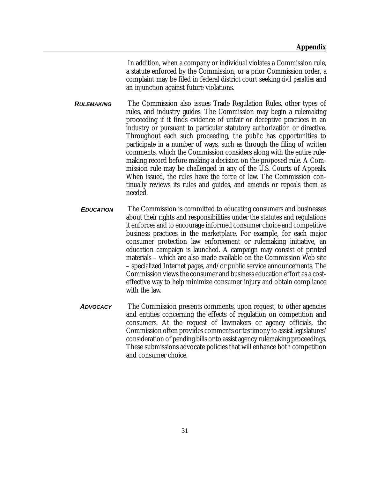In addition, when a company or individual violates a Commission rule, a statute enforced by the Commission, or a prior Commission order, a complaint may be filed in federal district court seeking *civil penalties* and an injunction against future violations.

- *RULEMAKING* The Commission also issues Trade Regulation Rules, other types of rules, and industry guides. The Commission may begin a rulemaking proceeding if it finds evidence of unfair or deceptive practices in an industry or pursuant to particular statutory authorization or directive. Throughout each such proceeding, the public has opportunities to participate in a number of ways, such as through the filing of written comments, which the Commission considers along with the entire rulemaking record before making a decision on the proposed rule. A Commission rule may be challenged in any of the U.S. Courts of Appeals. When issued, the rules have the force of law. The Commission continually reviews its rules and guides, and amends or repeals them as needed.
	- *EDUCATION* The Commission is committed to educating consumers and businesses about their rights and responsibilities under the statutes and regulations it enforces and to encourage informed consumer choice and competitive business practices in the marketplace. For example, for each major consumer protection law enforcement or rulemaking initiative, an education campaign is launched. A campaign may consist of printed materials – which are also made available on the Commission Web site – specialized Internet pages, and/or public service announcements. The Commission viewsthe consumer and business education effort as a costeffective way to help minimize consumer injury and obtain compliance with the law.
	- *ADVOCACY* The Commission presents comments, upon request, to other agencies and entities concerning the effects of regulation on competition and consumers. At the request of lawmakers or agency officials, the Commission often provides comments or testimony to assist legislatures' consideration of pending bills or to assist agency rulemaking proceedings. These submissions advocate policies that will enhance both competition and consumer choice.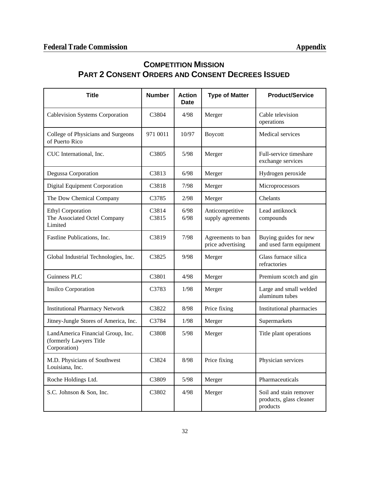# **COMPETITION MISSION PART 2 CONSENT ORDERS AND CONSENT DECREES ISSUED**

| <b>Title</b>                                                                 | <b>Number</b>  | <b>Action</b><br><b>Date</b> | <b>Type of Matter</b>                  | <b>Product/Service</b>                                        |
|------------------------------------------------------------------------------|----------------|------------------------------|----------------------------------------|---------------------------------------------------------------|
| Cablevision Systems Corporation                                              | C3804          | 4/98                         | Merger                                 | Cable television<br>operations                                |
| College of Physicians and Surgeons<br>of Puerto Rico                         | 971 0011       | 10/97                        | <b>Boycott</b>                         | Medical services                                              |
| CUC International, Inc.                                                      | C3805          | 5/98                         | Merger                                 | Full-service timeshare<br>exchange services                   |
| Degussa Corporation                                                          | C3813          | 6/98                         | Merger                                 | Hydrogen peroxide                                             |
| Digital Equipment Corporation                                                | C3818          | 7/98                         | Merger                                 | Microprocessors                                               |
| The Dow Chemical Company                                                     | C3785          | 2/98                         | Merger                                 | Chelants                                                      |
| <b>Ethyl Corporation</b><br>The Associated Octel Company<br>Limited          | C3814<br>C3815 | 6/98<br>6/98                 | Anticompetitive<br>supply agreements   | Lead antiknock<br>compounds                                   |
| Fastline Publications, Inc.                                                  | C3819          | 7/98                         | Agreements to ban<br>price advertising | Buying guides for new<br>and used farm equipment              |
| Global Industrial Technologies, Inc.                                         | C3825          | 9/98                         | Merger                                 | Glass furnace silica<br>refractories                          |
| Guinness PLC                                                                 | C3801          | 4/98                         | Merger                                 | Premium scotch and gin                                        |
| Insilco Corporation                                                          | C3783          | 1/98                         | Merger                                 | Large and small welded<br>aluminum tubes                      |
| <b>Institutional Pharmacy Network</b>                                        | C3822          | 8/98                         | Price fixing                           | Institutional pharmacies                                      |
| Jitney-Jungle Stores of America, Inc.                                        | C3784          | 1/98                         | Merger                                 | Supermarkets                                                  |
| LandAmerica Financial Group, Inc.<br>(formerly Lawyers Title<br>Corporation) | C3808          | $5/98$                       | Merger                                 | Title plant operations                                        |
| M.D. Physicians of Southwest<br>Louisiana, Inc.                              | C3824          | 8/98                         | Price fixing                           | Physician services                                            |
| Roche Holdings Ltd.                                                          | C3809          | $5/98$                       | Merger                                 | Pharmaceuticals                                               |
| S.C. Johnson & Son, Inc.                                                     | C3802          | 4/98                         | Merger                                 | Soil and stain remover<br>products, glass cleaner<br>products |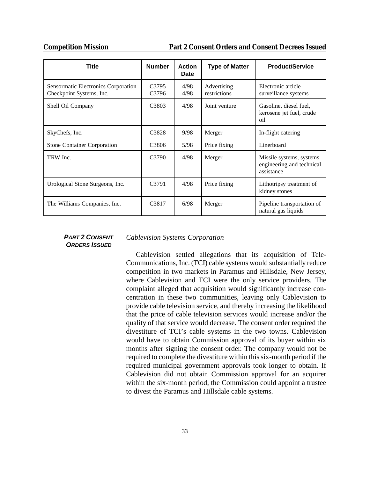#### **Competition Mission Part 2 Consent Orders and Consent Decrees Issued**

| <b>Title</b>                                                    | <b>Number</b>      | <b>Action</b><br><b>Date</b> | <b>Type of Matter</b>       | <b>Product/Service</b>                                              |
|-----------------------------------------------------------------|--------------------|------------------------------|-----------------------------|---------------------------------------------------------------------|
| Sensormatic Electronics Corporation<br>Checkpoint Systems, Inc. | C3795<br>C3796     | 4/98<br>4/98                 | Advertising<br>restrictions | Electronic article<br>surveillance systems                          |
| Shell Oil Company                                               | C <sub>3803</sub>  | 4/98                         | Joint venture               | Gasoline, diesel fuel,<br>kerosene jet fuel, crude<br>oil           |
| SkyChefs, Inc.                                                  | C <sub>3</sub> 828 | 9/98                         | Merger                      | In-flight catering                                                  |
| <b>Stone Container Corporation</b>                              | C <sub>3806</sub>  | 5/98                         | Price fixing                | Linerboard                                                          |
| TRW Inc.                                                        | C3790              | 4/98                         | Merger                      | Missile systems, systems<br>engineering and technical<br>assistance |
| Urological Stone Surgeons, Inc.                                 | C3791              | 4/98                         | Price fixing                | Lithotripsy treatment of<br>kidney stones                           |
| The Williams Companies, Inc.                                    | C <sub>3817</sub>  | 6/98                         | Merger                      | Pipeline transportation of<br>natural gas liquids                   |

#### *PART 2 CONSENT ORDERS ISSUED*

#### *Cablevision Systems Corporation*

Cablevision settled allegations that its acquisition of Tele-Communications, Inc. (TCI) cable systems would substantially reduce competition in two markets in Paramus and Hillsdale, New Jersey, where Cablevision and TCI were the only service providers. The complaint alleged that acquisition would significantly increase concentration in these two communities, leaving only Cablevision to provide cable television service, and thereby increasing the likelihood that the price of cable television services would increase and/or the quality of that service would decrease. The consent order required the divestiture of TCI's cable systems in the two towns. Cablevision would have to obtain Commission approval of its buyer within six months after signing the consent order. The company would not be required to complete the divestiture within this six-month period if the required municipal government approvals took longer to obtain. If Cablevision did not obtain Commission approval for an acquirer within the six-month period, the Commission could appoint a trustee to divest the Paramus and Hillsdale cable systems.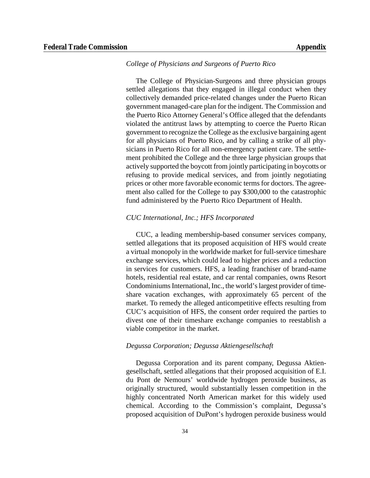#### *College of Physicians and Surgeons of Puerto Rico*

The College of Physician-Surgeons and three physician groups settled allegations that they engaged in illegal conduct when they collectively demanded price-related changes under the Puerto Rican government managed-care plan for the indigent. The Commission and the Puerto Rico Attorney General's Office alleged that the defendants violated the antitrust laws by attempting to coerce the Puerto Rican government to recognize the College asthe exclusive bargaining agent for all physicians of Puerto Rico, and by calling a strike of all physicians in Puerto Rico for all non-emergency patient care. The settlement prohibited the College and the three large physician groups that actively supported the boycott from jointly participating in boycotts or refusing to provide medical services, and from jointly negotiating prices or other more favorable economic terms for doctors. The agreement also called for the College to pay \$300,000 to the catastrophic fund administered by the Puerto Rico Department of Health.

#### *CUC International, Inc.; HFS Incorporated*

CUC, a leading membership-based consumer services company, settled allegations that its proposed acquisition of HFS would create a virtual monopoly in the worldwide market for full-service timeshare exchange services, which could lead to higher prices and a reduction in services for customers. HFS, a leading franchiser of brand-name hotels, residential real estate, and car rental companies, owns Resort Condominiums International, Inc., the world's largest provider of timeshare vacation exchanges, with approximately 65 percent of the market. To remedy the alleged anticompetitive effects resulting from CUC's acquisition of HFS, the consent order required the parties to divest one of their timeshare exchange companies to reestablish a viable competitor in the market.

#### *Degussa Corporation; Degussa Aktiengesellschaft*

Degussa Corporation and its parent company, Degussa Aktiengesellschaft, settled allegations that their proposed acquisition of E.I. du Pont de Nemours' worldwide hydrogen peroxide business, as originally structured, would substantially lessen competition in the highly concentrated North American market for this widely used chemical. According to the Commission's complaint, Degussa's proposed acquisition of DuPont's hydrogen peroxide business would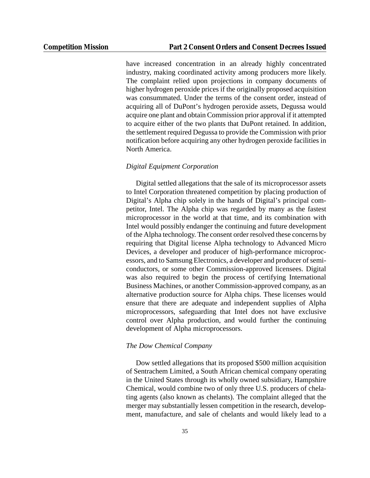have increased concentration in an already highly concentrated industry, making coordinated activity among producers more likely. The complaint relied upon projections in company documents of higher hydrogen peroxide prices if the originally proposed acquisition was consummated. Under the terms of the consent order, instead of acquiring all of DuPont's hydrogen peroxide assets, Degussa would acquire one plant and obtain Commission prior approval if it attempted to acquire either of the two plants that DuPont retained. In addition, the settlement required Degussa to provide the Commission with prior notification before acquiring any other hydrogen peroxide facilities in North America.

## *Digital Equipment Corporation*

Digital settled allegations that the sale of its microprocessor assets to Intel Corporation threatened competition by placing production of Digital's Alpha chip solely in the hands of Digital's principal competitor, Intel. The Alpha chip was regarded by many as the fastest microprocessor in the world at that time, and its combination with Intel would possibly endanger the continuing and future development of the Alpha technology. The consent order resolved these concerns by requiring that Digital license Alpha technology to Advanced Micro Devices, a developer and producer of high-performance microprocessors, and to Samsung Electronics, a developer and producer of semiconductors, or some other Commission-approved licensees. Digital was also required to begin the process of certifying International Business Machines, or another Commission-approved company, as an alternative production source for Alpha chips. These licenses would ensure that there are adequate and independent supplies of Alpha microprocessors, safeguarding that Intel does not have exclusive control over Alpha production, and would further the continuing development of Alpha microprocessors.

#### *The Dow Chemical Company*

Dow settled allegations that its proposed \$500 million acquisition of Sentrachem Limited, a South African chemical company operating in the United States through its wholly owned subsidiary, Hampshire Chemical, would combine two of only three U.S. producers of chelating agents (also known as chelants). The complaint alleged that the merger may substantially lessen competition in the research, development, manufacture, and sale of chelants and would likely lead to a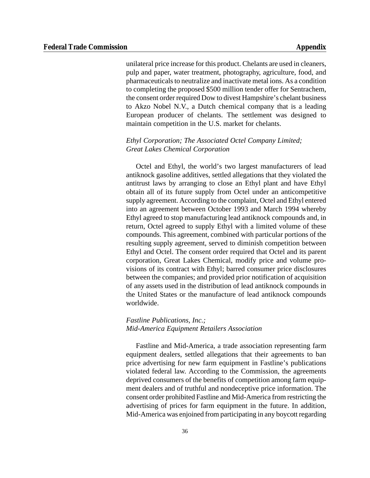unilateral price increase for this product. Chelants are used in cleaners, pulp and paper, water treatment, photography, agriculture, food, and pharmaceuticals to neutralize and inactivate metal ions. As a condition to completing the proposed \$500 million tender offer for Sentrachem, the consent order required Dow to divest Hampshire's chelant business to Akzo Nobel N.V., a Dutch chemical company that is a leading European producer of chelants. The settlement was designed to maintain competition in the U.S. market for chelants.

# *Ethyl Corporation; The Associated Octel Company Limited; Great Lakes Chemical Corporation*

Octel and Ethyl, the world's two largest manufacturers of lead antiknock gasoline additives, settled allegations that they violated the antitrust laws by arranging to close an Ethyl plant and have Ethyl obtain all of its future supply from Octel under an anticompetitive supply agreement. According to the complaint, Octel and Ethyl entered into an agreement between October 1993 and March 1994 whereby Ethyl agreed to stop manufacturing lead antiknock compounds and, in return, Octel agreed to supply Ethyl with a limited volume of these compounds. This agreement, combined with particular portions of the resulting supply agreement, served to diminish competition between Ethyl and Octel. The consent order required that Octel and its parent corporation, Great Lakes Chemical, modify price and volume provisions of its contract with Ethyl; barred consumer price disclosures between the companies; and provided prior notification of acquisition of any assets used in the distribution of lead antiknock compounds in the United States or the manufacture of lead antiknock compounds worldwide.

# *Fastline Publications, Inc.; Mid-America Equipment Retailers Association*

Fastline and Mid-America, a trade association representing farm equipment dealers, settled allegations that their agreements to ban price advertising for new farm equipment in Fastline's publications violated federal law. According to the Commission, the agreements deprived consumers of the benefits of competition among farm equipment dealers and of truthful and nondeceptive price information. The consent order prohibited Fastline and Mid-America from restricting the advertising of prices for farm equipment in the future. In addition, Mid-America was enjoined from participating in any boycott regarding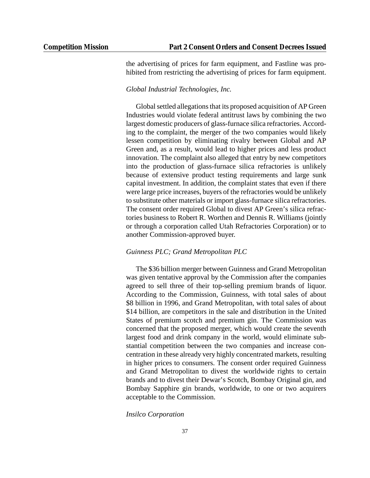the advertising of prices for farm equipment, and Fastline was prohibited from restricting the advertising of prices for farm equipment.

# *Global Industrial Technologies, Inc.*

Global settled allegations that its proposed acquisition of AP Green Industries would violate federal antitrust laws by combining the two largest domestic producers of glass-furnace silica refractories. According to the complaint, the merger of the two companies would likely lessen competition by eliminating rivalry between Global and AP Green and, as a result, would lead to higher prices and less product innovation. The complaint also alleged that entry by new competitors into the production of glass-furnace silica refractories is unlikely because of extensive product testing requirements and large sunk capital investment. In addition, the complaint states that even if there were large price increases, buyers of the refractories would be unlikely to substitute other materials or import glass-furnace silica refractories. The consent order required Global to divest AP Green's silica refractories business to Robert R. Worthen and Dennis R. Williams (jointly or through a corporation called Utah Refractories Corporation) or to another Commission-approved buyer.

#### *Guinness PLC; Grand Metropolitan PLC*

The \$36 billion merger between Guinness and Grand Metropolitan was given tentative approval by the Commission after the companies agreed to sell three of their top-selling premium brands of liquor. According to the Commission, Guinness, with total sales of about \$8 billion in 1996, and Grand Metropolitan, with total sales of about \$14 billion, are competitors in the sale and distribution in the United States of premium scotch and premium gin. The Commission was concerned that the proposed merger, which would create the seventh largest food and drink company in the world, would eliminate substantial competition between the two companies and increase concentration in these already very highly concentrated markets, resulting in higher prices to consumers. The consent order required Guinness and Grand Metropolitan to divest the worldwide rights to certain brands and to divest their Dewar's Scotch, Bombay Original gin, and Bombay Sapphire gin brands, worldwide, to one or two acquirers acceptable to the Commission.

#### *Insilco Corporation*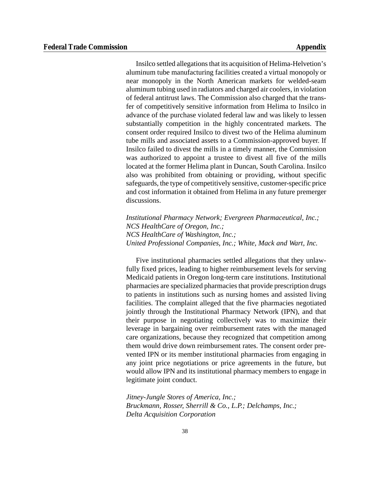Insilco settled allegations that its acquisition of Helima-Helvetion's aluminum tube manufacturing facilities created a virtual monopoly or near monopoly in the North American markets for welded-seam aluminum tubing used in radiators and charged air coolers, in violation of federal antitrust laws. The Commission also charged that the transfer of competitively sensitive information from Helima to Insilco in advance of the purchase violated federal law and was likely to lessen substantially competition in the highly concentrated markets. The consent order required Insilco to divest two of the Helima aluminum tube mills and associated assets to a Commission-approved buyer. If Insilco failed to divest the mills in a timely manner, the Commission was authorized to appoint a trustee to divest all five of the mills located at the former Helima plant in Duncan, South Carolina. Insilco also was prohibited from obtaining or providing, without specific safeguards, the type of competitively sensitive, customer-specific price and cost information it obtained from Helima in any future premerger discussions.

*Institutional Pharmacy Network; Evergreen Pharmaceutical, Inc.; NCS HealthCare of Oregon, Inc.; NCS HealthCare of Washington, Inc.; United Professional Companies, Inc.; White, Mack and Wart, Inc.*

Five institutional pharmacies settled allegations that they unlawfully fixed prices, leading to higher reimbursement levels for serving Medicaid patients in Oregon long-term care institutions. Institutional pharmacies are specialized pharmacies that provide prescription drugs to patients in institutions such as nursing homes and assisted living facilities. The complaint alleged that the five pharmacies negotiated jointly through the Institutional Pharmacy Network (IPN), and that their purpose in negotiating collectively was to maximize their leverage in bargaining over reimbursement rates with the managed care organizations, because they recognized that competition among them would drive down reimbursement rates. The consent order prevented IPN or its member institutional pharmacies from engaging in any joint price negotiations or price agreements in the future, but would allow IPN and its institutional pharmacy members to engage in legitimate joint conduct.

*Jitney-Jungle Stores of America, Inc.; Bruckmann, Rosser, Sherrill & Co., L.P.; Delchamps, Inc.; Delta Acquisition Corporation*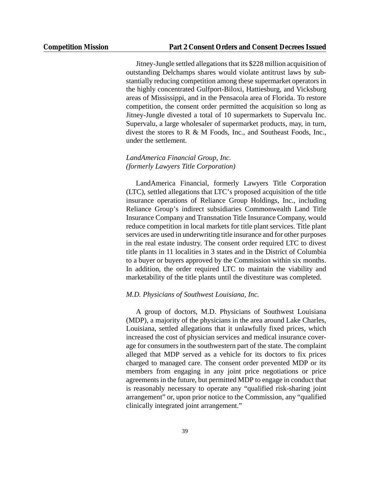Jitney-Jungle settled allegationsthat its \$228 million acquisition of outstanding Delchamps shares would violate antitrust laws by substantially reducing competition among these supermarket operators in the highly concentrated Gulfport-Biloxi, Hattiesburg, and Vicksburg areas of Mississippi, and in the Pensacola area of Florida. To restore competition, the consent order permitted the acquisition so long as Jitney-Jungle divested a total of 10 supermarkets to Supervalu Inc. Supervalu, a large wholesaler of supermarket products, may, in turn, divest the stores to R & M Foods, Inc., and Southeast Foods, Inc., under the settlement.

# *LandAmerica Financial Group, Inc. (formerly Lawyers Title Corporation)*

LandAmerica Financial, formerly Lawyers Title Corporation (LTC), settled allegations that LTC's proposed acquisition of the title insurance operations of Reliance Group Holdings, Inc., including Reliance Group's indirect subsidiaries Commonwealth Land Title Insurance Company and Transnation Title Insurance Company, would reduce competition in local markets for title plant services. Title plant services are used in underwriting title insurance and for other purposes in the real estate industry. The consent order required LTC to divest title plants in 11 localities in 3 states and in the District of Columbia to a buyer or buyers approved by the Commission within six months. In addition, the order required LTC to maintain the viability and marketability of the title plants until the divestiture was completed.

#### *M.D. Physicians of Southwest Louisiana, Inc.*

A group of doctors, M.D. Physicians of Southwest Louisiana (MDP), a majority of the physicians in the area around Lake Charles, Louisiana, settled allegations that it unlawfully fixed prices, which increased the cost of physician services and medical insurance coverage for consumers in the southwestern part of the state. The complaint alleged that MDP served as a vehicle for its doctors to fix prices charged to managed care. The consent order prevented MDP or its members from engaging in any joint price negotiations or price agreements in the future, but permitted MDP to engage in conduct that is reasonably necessary to operate any "qualified risk-sharing joint arrangement" or, upon prior notice to the Commission, any "qualified clinically integrated joint arrangement."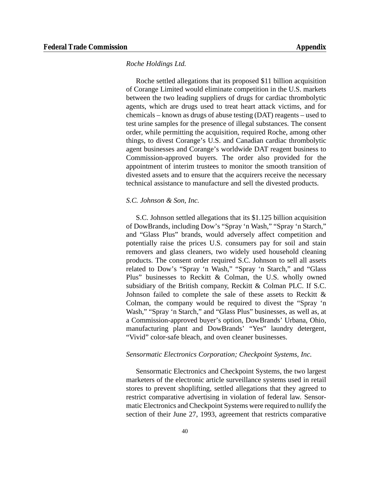#### *Roche Holdings Ltd.*

Roche settled allegations that its proposed \$11 billion acquisition of Corange Limited would eliminate competition in the U.S. markets between the two leading suppliers of drugs for cardiac thrombolytic agents, which are drugs used to treat heart attack victims, and for chemicals – known as drugs of abuse testing (DAT) reagents – used to test urine samples for the presence of illegal substances. The consent order, while permitting the acquisition, required Roche, among other things, to divest Corange's U.S. and Canadian cardiac thrombolytic agent businesses and Corange's worldwide DAT reagent business to Commission-approved buyers. The order also provided for the appointment of interim trustees to monitor the smooth transition of divested assets and to ensure that the acquirers receive the necessary technical assistance to manufacture and sell the divested products.

#### *S.C. Johnson & Son, Inc.*

S.C. Johnson settled allegations that its \$1.125 billion acquisition of DowBrands, including Dow's "Spray 'n Wash," "Spray 'n Starch," and "Glass Plus" brands, would adversely affect competition and potentially raise the prices U.S. consumers pay for soil and stain removers and glass cleaners, two widely used household cleaning products. The consent order required S.C. Johnson to sell all assets related to Dow's "Spray 'n Wash," "Spray 'n Starch," and "Glass Plus" businesses to Reckitt & Colman, the U.S. wholly owned subsidiary of the British company, Reckitt & Colman PLC. If S.C. Johnson failed to complete the sale of these assets to Reckitt & Colman, the company would be required to divest the "Spray 'n Wash," "Spray 'n Starch," and "Glass Plus" businesses, as well as, at a Commission-approved buyer's option, DowBrands' Urbana, Ohio, manufacturing plant and DowBrands' "Yes" laundry detergent, "Vivid" color-safe bleach, and oven cleaner businesses.

#### *Sensormatic Electronics Corporation; Checkpoint Systems, Inc.*

Sensormatic Electronics and Checkpoint Systems, the two largest marketers of the electronic article surveillance systems used in retail stores to prevent shoplifting, settled allegations that they agreed to restrict comparative advertising in violation of federal law. Sensormatic Electronics and Checkpoint Systems were required to nullify the section of their June 27, 1993, agreement that restricts comparative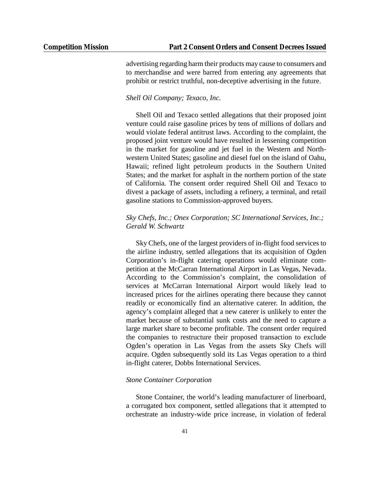advertising regarding harm their products may cause to consumers and to merchandise and were barred from entering any agreements that prohibit or restrict truthful, non-deceptive advertising in the future.

#### *Shell Oil Company; Texaco, Inc.*

Shell Oil and Texaco settled allegations that their proposed joint venture could raise gasoline prices by tens of millions of dollars and would violate federal antitrust laws. According to the complaint, the proposed joint venture would have resulted in lessening competition in the market for gasoline and jet fuel in the Western and Northwestern United States; gasoline and diesel fuel on the island of Oahu, Hawaii; refined light petroleum products in the Southern United States; and the market for asphalt in the northern portion of the state of California. The consent order required Shell Oil and Texaco to divest a package of assets, including a refinery, a terminal, and retail gasoline stations to Commission-approved buyers.

# *Sky Chefs, Inc.; Onex Corporation; SC International Services, Inc.; Gerald W. Schwartz*

Sky Chefs, one of the largest providers of in-flight food services to the airline industry, settled allegations that its acquisition of Ogden Corporation's in-flight catering operations would eliminate competition at the McCarran International Airport in Las Vegas, Nevada. According to the Commission's complaint, the consolidation of services at McCarran International Airport would likely lead to increased prices for the airlines operating there because they cannot readily or economically find an alternative caterer. In addition, the agency's complaint alleged that a new caterer is unlikely to enter the market because of substantial sunk costs and the need to capture a large market share to become profitable. The consent order required the companies to restructure their proposed transaction to exclude Ogden's operation in Las Vegas from the assets Sky Chefs will acquire. Ogden subsequently sold its Las Vegas operation to a third in-flight caterer, Dobbs International Services.

#### *Stone Container Corporation*

Stone Container, the world's leading manufacturer of linerboard, a corrugated box component, settled allegations that it attempted to orchestrate an industry-wide price increase, in violation of federal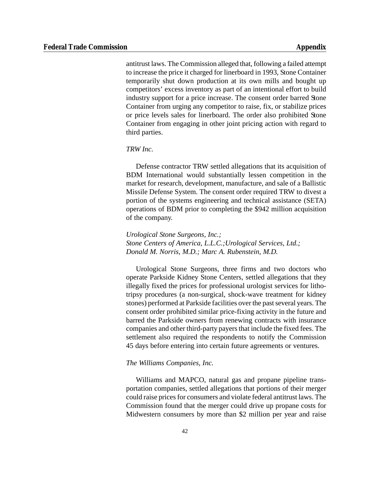antitrust laws. The Commission alleged that, following a failed attempt to increase the price it charged for linerboard in 1993, Stone Container temporarily shut down production at its own mills and bought up competitors' excess inventory as part of an intentional effort to build industry support for a price increase. The consent order barred Stone Container from urging any competitor to raise, fix, or stabilize prices or price levels sales for linerboard. The order also prohibited Stone Container from engaging in other joint pricing action with regard to third parties.

# *TRW Inc.*

Defense contractor TRW settled allegations that its acquisition of BDM International would substantially lessen competition in the market for research, development, manufacture, and sale of a Ballistic Missile Defense System. The consent order required TRW to divest a portion of the systems engineering and technical assistance (SETA) operations of BDM prior to completing the \$942 million acquisition of the company.

*Urological Stone Surgeons, Inc.; Stone Centers of America, L.L.C.;Urological Services, Ltd.; Donald M. Norris, M.D.; Marc A. Rubenstein, M.D.*

Urological Stone Surgeons, three firms and two doctors who operate Parkside Kidney Stone Centers, settled allegations that they illegally fixed the prices for professional urologist services for lithotripsy procedures (a non-surgical, shock-wave treatment for kidney stones) performed at Parkside facilities over the past several years. The consent order prohibited similar price-fixing activity in the future and barred the Parkside owners from renewing contracts with insurance companies and other third-party payers that include the fixed fees. The settlement also required the respondents to notify the Commission 45 days before entering into certain future agreements or ventures.

#### *The Williams Companies, Inc.*

Williams and MAPCO, natural gas and propane pipeline transportation companies, settled allegations that portions of their merger could raise prices for consumers and violate federal antitrust laws. The Commission found that the merger could drive up propane costs for Midwestern consumers by more than \$2 million per year and raise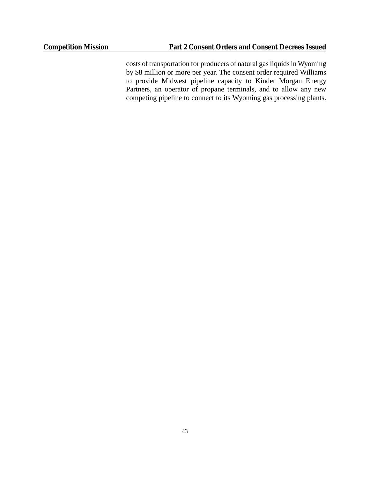costs of transportation for producers of natural gas liquids in Wyoming by \$8 million or more per year. The consent order required Williams to provide Midwest pipeline capacity to Kinder Morgan Energy Partners, an operator of propane terminals, and to allow any new competing pipeline to connect to its Wyoming gas processing plants.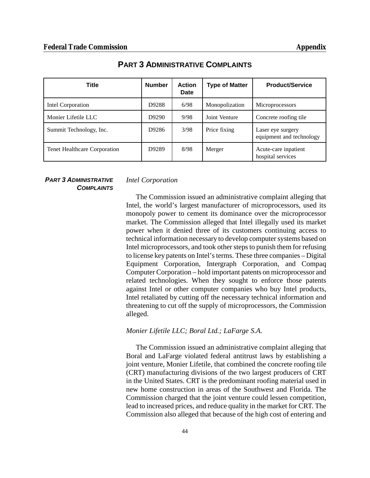| Title                        | <b>Number</b> | <b>Action</b><br><b>Date</b> | <b>Type of Matter</b> | <b>Product/Service</b>                        |
|------------------------------|---------------|------------------------------|-----------------------|-----------------------------------------------|
| Intel Corporation            | D9288         | 6/98                         | Monopolization        | Microprocessors                               |
| Monier Lifetile LLC          | D9290         | 9/98                         | Joint Venture         | Concrete roofing tile                         |
| Summit Technology, Inc.      | D9286         | 3/98                         | Price fixing          | Laser eye surgery<br>equipment and technology |
| Tenet Healthcare Corporation | D9289         | 8/98                         | Merger                | Acute-care inpatient<br>hospital services     |

# **PART 3 ADMINISTRATIVE COMPLAINTS**

*PART 3 ADMINISTRATIVE COMPLAINTS*

#### *Intel Corporation*

The Commission issued an administrative complaint alleging that Intel, the world's largest manufacturer of microprocessors, used its monopoly power to cement its dominance over the microprocessor market. The Commission alleged that Intel illegally used its market power when it denied three of its customers continuing access to technical information necessary to develop computer systems based on Intel microprocessors, and took other steps to punish them for refusing to license key patents on Intel'sterms. These three companies – Digital Equipment Corporation, Intergraph Corporation, and Compaq Computer Corporation – hold important patents on microprocessor and related technologies. When they sought to enforce those patents against Intel or other computer companies who buy Intel products, Intel retaliated by cutting off the necessary technical information and threatening to cut off the supply of microprocessors, the Commission alleged.

#### *Monier Lifetile LLC; Boral Ltd.; LaFarge S.A.*

The Commission issued an administrative complaint alleging that Boral and LaFarge violated federal antitrust laws by establishing a joint venture, Monier Lifetile, that combined the concrete roofing tile (CRT) manufacturing divisions of the two largest producers of CRT in the United States. CRT is the predominant roofing material used in new home construction in areas of the Southwest and Florida. The Commission charged that the joint venture could lessen competition, lead to increased prices, and reduce quality in the market for CRT. The Commission also alleged that because of the high cost of entering and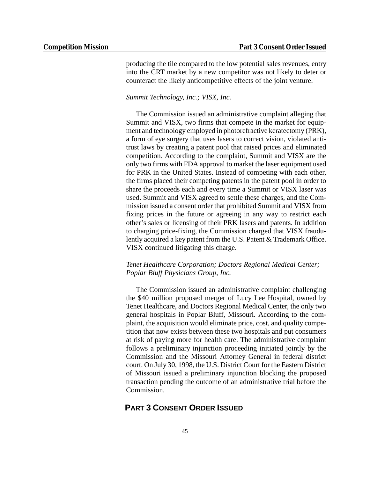producing the tile compared to the low potential sales revenues, entry into the CRT market by a new competitor was not likely to deter or counteract the likely anticompetitive effects of the joint venture.

#### *Summit Technology, Inc.; VISX, Inc.*

The Commission issued an administrative complaint alleging that Summit and VISX, two firms that compete in the market for equipment and technology employed in photorefractive keratectomy (PRK), a form of eye surgery that uses lasers to correct vision, violated antitrust laws by creating a patent pool that raised prices and eliminated competition. According to the complaint, Summit and VISX are the only two firms with FDA approval to market the laser equipment used for PRK in the United States. Instead of competing with each other, the firms placed their competing patents in the patent pool in order to share the proceeds each and every time a Summit or VISX laser was used. Summit and VISX agreed to settle these charges, and the Commission issued a consent order that prohibited Summit and VISX from fixing prices in the future or agreeing in any way to restrict each other's sales or licensing of their PRK lasers and patents. In addition to charging price-fixing, the Commission charged that VISX fraudulently acquired a key patent from the U.S. Patent & Trademark Office. VISX continued litigating this charge.

# *Tenet Healthcare Corporation; Doctors Regional Medical Center; Poplar Bluff Physicians Group, Inc.*

The Commission issued an administrative complaint challenging the \$40 million proposed merger of Lucy Lee Hospital, owned by Tenet Healthcare, and Doctors Regional Medical Center, the only two general hospitals in Poplar Bluff, Missouri. According to the complaint, the acquisition would eliminate price, cost, and quality competition that now exists between these two hospitals and put consumers at risk of paying more for health care. The administrative complaint follows a preliminary injunction proceeding initiated jointly by the Commission and the Missouri Attorney General in federal district court. On July 30, 1998, the U.S. District Court for the Eastern District of Missouri issued a preliminary injunction blocking the proposed transaction pending the outcome of an administrative trial before the Commission.

# **PART 3 CONSENT ORDER ISSUED**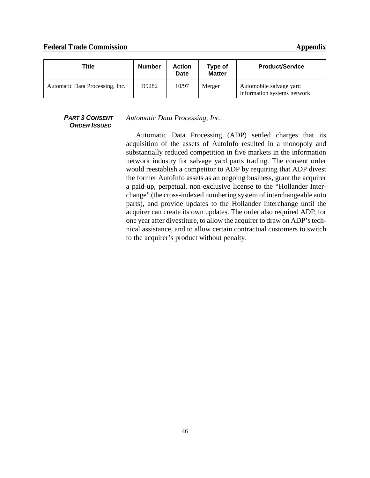| ⊤itle                           | <b>Number</b> | <b>Action</b><br>Date | Type of<br><b>Matter</b> | <b>Product/Service</b>                                 |
|---------------------------------|---------------|-----------------------|--------------------------|--------------------------------------------------------|
| Automatic Data Processing, Inc. | D9282         | 10/97                 | Merger                   | Automobile salvage yard<br>information systems network |

*PART 3 CONSENT ORDER ISSUED* 

*Automatic Data Processing, Inc.*

Automatic Data Processing (ADP) settled charges that its acquisition of the assets of AutoInfo resulted in a monopoly and substantially reduced competition in five markets in the information network industry for salvage yard parts trading. The consent order would reestablish a competitor to ADP by requiring that ADP divest the former AutoInfo assets as an ongoing business, grant the acquirer a paid-up, perpetual, non-exclusive license to the "Hollander Interchange" (the cross-indexed numbering system of interchangeable auto parts), and provide updates to the Hollander Interchange until the acquirer can create its own updates. The order also required ADP, for one year after divestiture, to allow the acquirer to draw on ADP'stechnical assistance, and to allow certain contractual customers to switch to the acquirer's product without penalty.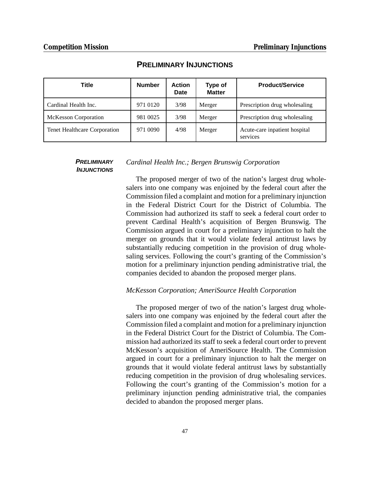| Title                        | <b>Number</b> | <b>Action</b><br>Date | <b>Type of</b><br><b>Matter</b> | <b>Product/Service</b>                    |
|------------------------------|---------------|-----------------------|---------------------------------|-------------------------------------------|
| Cardinal Health Inc.         | 971 0120      | 3/98                  | Merger                          | Prescription drug wholesaling             |
| <b>McKesson Corporation</b>  | 981 0025      | 3/98                  | Merger                          | Prescription drug wholesaling             |
| Tenet Healthcare Corporation | 971 0090      | 4/98                  | Merger                          | Acute-care inpatient hospital<br>services |

# **PRELIMINARY INJUNCTIONS**

*PRELIMINARY INJUNCTIONS*

# *Cardinal Health Inc.; Bergen Brunswig Corporation*

The proposed merger of two of the nation's largest drug wholesalers into one company was enjoined by the federal court after the Commission filed a complaint and motion for a preliminary injunction in the Federal District Court for the District of Columbia. The Commission had authorized its staff to seek a federal court order to prevent Cardinal Health's acquisition of Bergen Brunswig. The Commission argued in court for a preliminary injunction to halt the merger on grounds that it would violate federal antitrust laws by substantially reducing competition in the provision of drug wholesaling services. Following the court's granting of the Commission's motion for a preliminary injunction pending administrative trial, the companies decided to abandon the proposed merger plans.

# *McKesson Corporation; AmeriSource Health Corporation*

The proposed merger of two of the nation's largest drug wholesalers into one company was enjoined by the federal court after the Commission filed a complaint and motion for a preliminary injunction in the Federal District Court for the District of Columbia. The Commission had authorized its staff to seek a federal court order to prevent McKesson's acquisition of AmeriSource Health. The Commission argued in court for a preliminary injunction to halt the merger on grounds that it would violate federal antitrust laws by substantially reducing competition in the provision of drug wholesaling services. Following the court's granting of the Commission's motion for a preliminary injunction pending administrative trial, the companies decided to abandon the proposed merger plans.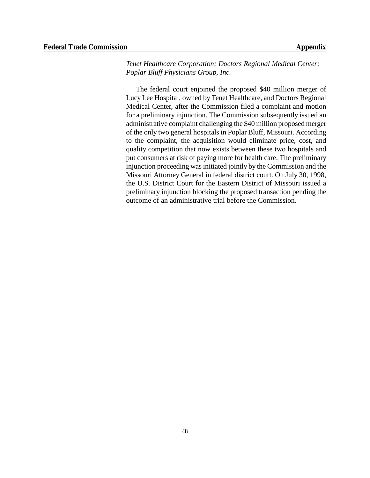*Tenet Healthcare Corporation; Doctors Regional Medical Center; Poplar Bluff Physicians Group, Inc.*

The federal court enjoined the proposed \$40 million merger of Lucy Lee Hospital, owned by Tenet Healthcare, and Doctors Regional Medical Center, after the Commission filed a complaint and motion for a preliminary injunction. The Commission subsequently issued an administrative complaint challenging the \$40 million proposed merger of the only two general hospitals in Poplar Bluff, Missouri. According to the complaint, the acquisition would eliminate price, cost, and quality competition that now exists between these two hospitals and put consumers at risk of paying more for health care. The preliminary injunction proceeding wasinitiated jointly by the Commission and the Missouri Attorney General in federal district court. On July 30, 1998, the U.S. District Court for the Eastern District of Missouri issued a preliminary injunction blocking the proposed transaction pending the outcome of an administrative trial before the Commission.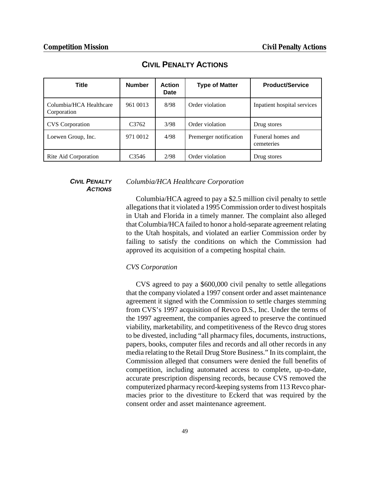| <b>Title</b>                           | <b>Number</b>     | <b>Action</b><br><b>Date</b> | <b>Type of Matter</b>  | <b>Product/Service</b>          |
|----------------------------------------|-------------------|------------------------------|------------------------|---------------------------------|
| Columbia/HCA Healthcare<br>Corporation | 961 0013          | 8/98                         | Order violation        | Inpatient hospital services     |
| <b>CVS</b> Corporation                 | C <sub>3762</sub> | 3/98                         | Order violation        | Drug stores                     |
| Loewen Group, Inc.                     | 971 0012          | 4/98                         | Premerger notification | Funeral homes and<br>cemeteries |
| Rite Aid Corporation                   | C <sub>3546</sub> | 2/98                         | Order violation        | Drug stores                     |

# **CIVIL PENALTY ACTIONS**

*CIVIL PENALTY ACTIONS* 

#### *Columbia/HCA Healthcare Corporation*

Columbia/HCA agreed to pay a \$2.5 million civil penalty to settle allegations that it violated a 1995 Commission order to divest hospitals in Utah and Florida in a timely manner. The complaint also alleged that Columbia/HCA failed to honor a hold-separate agreement relating to the Utah hospitals, and violated an earlier Commission order by failing to satisfy the conditions on which the Commission had approved its acquisition of a competing hospital chain.

#### *CVS Corporation*

CVS agreed to pay a \$600,000 civil penalty to settle allegations that the company violated a 1997 consent order and asset maintenance agreement it signed with the Commission to settle charges stemming from CVS's 1997 acquisition of Revco D.S., Inc. Under the terms of the 1997 agreement, the companies agreed to preserve the continued viability, marketability, and competitiveness of the Revco drug stores to be divested, including "all pharmacy files, documents, instructions, papers, books, computer files and records and all other records in any media relating to the Retail Drug Store Business." In its complaint, the Commission alleged that consumers were denied the full benefits of competition, including automated access to complete, up-to-date, accurate prescription dispensing records, because CVS removed the computerized pharmacy record-keeping systems from 113 Revco pharmacies prior to the divestiture to Eckerd that was required by the consent order and asset maintenance agreement.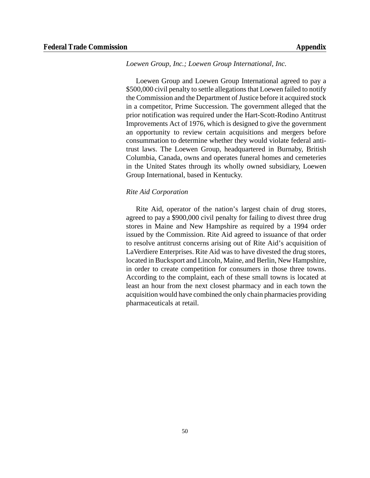#### *Loewen Group, Inc.; Loewen Group International, Inc.*

Loewen Group and Loewen Group International agreed to pay a \$500,000 civil penalty to settle allegations that Loewen failed to notify the Commission and the Department of Justice before it acquired stock in a competitor, Prime Succession. The government alleged that the prior notification was required under the Hart-Scott-Rodino Antitrust Improvements Act of 1976, which is designed to give the government an opportunity to review certain acquisitions and mergers before consummation to determine whether they would violate federal antitrust laws. The Loewen Group, headquartered in Burnaby, British Columbia, Canada, owns and operates funeral homes and cemeteries in the United States through its wholly owned subsidiary, Loewen Group International, based in Kentucky.

#### *Rite Aid Corporation*

Rite Aid, operator of the nation's largest chain of drug stores, agreed to pay a \$900,000 civil penalty for failing to divest three drug stores in Maine and New Hampshire as required by a 1994 order issued by the Commission. Rite Aid agreed to issuance of that order to resolve antitrust concerns arising out of Rite Aid's acquisition of LaVerdiere Enterprises. Rite Aid was to have divested the drug stores, located in Bucksport and Lincoln, Maine, and Berlin, New Hampshire, in order to create competition for consumers in those three towns. According to the complaint, each of these small towns is located at least an hour from the next closest pharmacy and in each town the acquisition would have combined the only chain pharmacies providing pharmaceuticals at retail.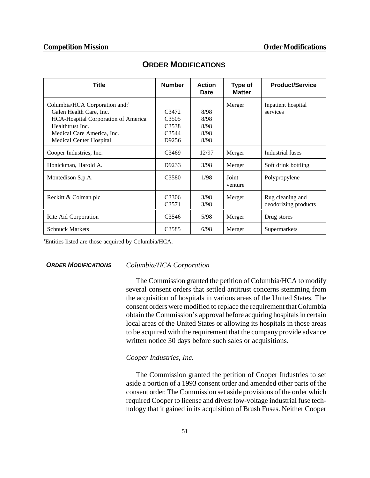| Title                                                                                                                                                                                                   | <b>Number</b>                                                                             | <b>Action</b><br><b>Date</b>         | Type of<br><b>Matter</b> | <b>Product/Service</b>                   |
|---------------------------------------------------------------------------------------------------------------------------------------------------------------------------------------------------------|-------------------------------------------------------------------------------------------|--------------------------------------|--------------------------|------------------------------------------|
| Columbia/HCA Corporation and: <sup>1</sup><br>Galen Health Care, Inc.<br><b>HCA-Hospital Corporation of America</b><br>Healthtrust Inc.<br>Medical Care America, Inc.<br><b>Medical Center Hospital</b> | C <sub>3472</sub><br>C <sub>3505</sub><br>C <sub>3538</sub><br>C <sub>3544</sub><br>D9256 | 8/98<br>8/98<br>8/98<br>8/98<br>8/98 | Merger                   | Inpatient hospital<br>services           |
| Cooper Industries, Inc.                                                                                                                                                                                 | C <sub>3469</sub>                                                                         | 12/97                                | Merger                   | Industrial fuses                         |
| Honickman, Harold A.                                                                                                                                                                                    | D9233                                                                                     | 3/98                                 | Merger                   | Soft drink bottling                      |
| Montedison S.p.A.                                                                                                                                                                                       | C <sub>3580</sub>                                                                         | 1/98                                 | Joint<br>venture         | Polypropylene                            |
| Reckitt & Colman plc                                                                                                                                                                                    | C <sub>3</sub> 306<br>C <sub>3571</sub>                                                   | 3/98<br>3/98                         | Merger                   | Rug cleaning and<br>deodorizing products |
| Rite Aid Corporation                                                                                                                                                                                    | C <sub>3546</sub>                                                                         | 5/98                                 | Merger                   | Drug stores                              |
| <b>Schnuck Markets</b>                                                                                                                                                                                  | C <sub>3585</sub>                                                                         | 6/98                                 | Merger                   | Supermarkets                             |

# **ORDER MODIFICATIONS**

<sup>1</sup>Entities listed are those acquired by Columbia/HCA.

#### *ORDER MODIFICATIONS Columbia/HCA Corporation*

The Commission granted the petition of Columbia/HCA to modify several consent orders that settled antitrust concerns stemming from the acquisition of hospitals in various areas of the United States. The consent orders were modified to replace the requirement that Columbia obtain the Commission's approval before acquiring hospitals in certain local areas of the United States or allowing its hospitals in those areas to be acquired with the requirement that the company provide advance written notice 30 days before such sales or acquisitions.

#### *Cooper Industries, Inc.*

The Commission granted the petition of Cooper Industries to set aside a portion of a 1993 consent order and amended other parts of the consent order. The Commission set aside provisions of the order which required Cooper to license and divest low-voltage industrial fuse technology that it gained in its acquisition of Brush Fuses. Neither Cooper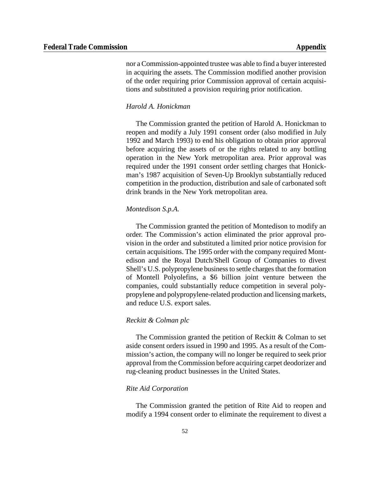nor a Commission-appointed trustee was able to find a buyer interested in acquiring the assets. The Commission modified another provision of the order requiring prior Commission approval of certain acquisitions and substituted a provision requiring prior notification.

## *Harold A. Honickman*

The Commission granted the petition of Harold A. Honickman to reopen and modify a July 1991 consent order (also modified in July 1992 and March 1993) to end his obligation to obtain prior approval before acquiring the assets of or the rights related to any bottling operation in the New York metropolitan area. Prior approval was required under the 1991 consent order settling charges that Honickman's 1987 acquisition of Seven-Up Brooklyn substantially reduced competition in the production, distribution and sale of carbonated soft drink brands in the New York metropolitan area.

#### *Montedison S.p.A.*

The Commission granted the petition of Montedison to modify an order. The Commission's action eliminated the prior approval provision in the order and substituted a limited prior notice provision for certain acquisitions. The 1995 order with the company required Montedison and the Royal Dutch/Shell Group of Companies to divest Shell's U.S. polypropylene business to settle charges that the formation of Montell Polyolefins, a \$6 billion joint venture between the companies, could substantially reduce competition in several polypropylene and polypropylene-related production and licensing markets, and reduce U.S. export sales.

#### *Reckitt & Colman plc*

The Commission granted the petition of Reckitt & Colman to set aside consent orders issued in 1990 and 1995. As a result of the Commission's action, the company will no longer be required to seek prior approval from the Commission before acquiring carpet deodorizer and rug-cleaning product businesses in the United States.

#### *Rite Aid Corporation*

The Commission granted the petition of Rite Aid to reopen and modify a 1994 consent order to eliminate the requirement to divest a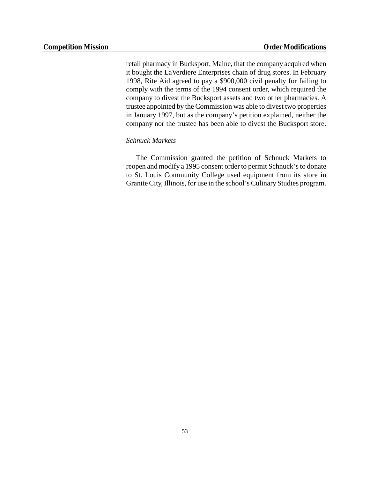retail pharmacy in Bucksport, Maine, that the company acquired when it bought the LaVerdiere Enterprises chain of drug stores. In February 1998, Rite Aid agreed to pay a \$900,000 civil penalty for failing to comply with the terms of the 1994 consent order, which required the company to divest the Bucksport assets and two other pharmacies. A trustee appointed by the Commission was able to divest two properties in January 1997, but as the company's petition explained, neither the company nor the trustee has been able to divest the Bucksport store.

## *Schnuck Markets*

The Commission granted the petition of Schnuck Markets to reopen and modify a 1995 consent order to permit Schnuck's to donate to St. Louis Community College used equipment from its store in Granite City, Illinois, for use in the school's Culinary Studies program.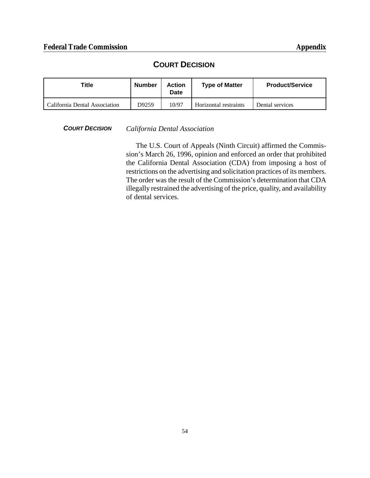# **COURT DECISION**

| ⊤itle                         | Number | Action<br>Date | <b>Type of Matter</b> | <b>Product/Service</b> |
|-------------------------------|--------|----------------|-----------------------|------------------------|
| California Dental Association | D9259  | 10/97          | Horizontal restraints | Dental services        |

*COURT DECISION California Dental Association*

The U.S. Court of Appeals (Ninth Circuit) affirmed the Commission's March 26, 1996, opinion and enforced an order that prohibited the California Dental Association (CDA) from imposing a host of restrictions on the advertising and solicitation practices of its members. The order was the result of the Commission's determination that CDA illegally restrained the advertising of the price, quality, and availability of dental services.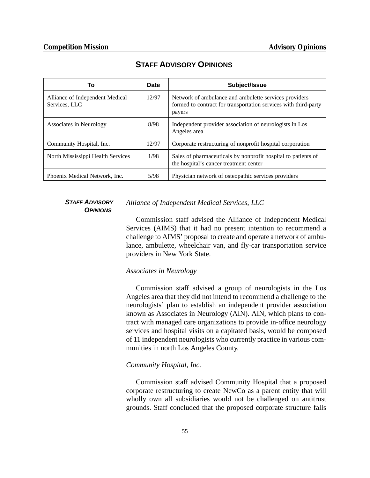| То                                               | Date  | Subject/Issue                                                                                                                      |
|--------------------------------------------------|-------|------------------------------------------------------------------------------------------------------------------------------------|
| Alliance of Independent Medical<br>Services, LLC | 12/97 | Network of ambulance and ambulette services providers<br>formed to contract for transportation services with third-party<br>payers |
| Associates in Neurology                          | 8/98  | Independent provider association of neurologists in Los<br>Angeles area                                                            |
| Community Hospital, Inc.                         | 12/97 | Corporate restructuring of nonprofit hospital corporation                                                                          |
| North Mississippi Health Services                | 1/98  | Sales of pharmaceuticals by nonprofit hospital to patients of<br>the hospital's cancer treatment center                            |
| Phoenix Medical Network, Inc.                    | 5/98  | Physician network of osteopathic services providers                                                                                |

# **STAFF ADVISORY OPINIONS**

#### *STAFF ADVISORY OPINIONS*

*Alliance of Independent Medical Services, LLC*

Commission staff advised the Alliance of Independent Medical Services (AIMS) that it had no present intention to recommend a challenge to AIMS' proposal to create and operate a network of ambulance, ambulette, wheelchair van, and fly-car transportation service providers in New York State.

# *Associates in Neurology*

Commission staff advised a group of neurologists in the Los Angeles area that they did not intend to recommend a challenge to the neurologists' plan to establish an independent provider association known as Associates in Neurology (AIN). AIN, which plans to contract with managed care organizations to provide in-office neurology services and hospital visits on a capitated basis, would be composed of 11 independent neurologists who currently practice in various communities in north Los Angeles County.

# *Community Hospital, Inc.*

Commission staff advised Community Hospital that a proposed corporate restructuring to create NewCo as a parent entity that will wholly own all subsidiaries would not be challenged on antitrust grounds. Staff concluded that the proposed corporate structure falls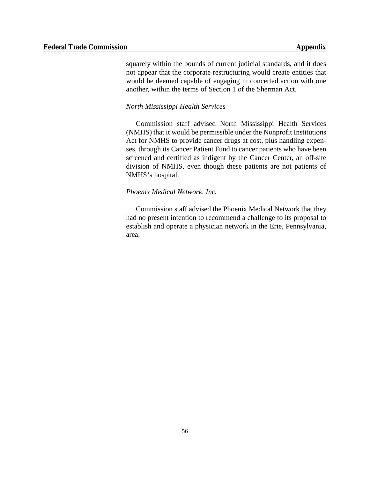squarely within the bounds of current judicial standards, and it does not appear that the corporate restructuring would create entities that would be deemed capable of engaging in concerted action with one another, within the terms of Section 1 of the Sherman Act.

#### *North Mississippi Health Services*

Commission staff advised North Mississippi Health Services (NMHS) that it would be permissible under the Nonprofit Institutions Act for NMHS to provide cancer drugs at cost, plus handling expenses, through its Cancer Patient Fund to cancer patients who have been screened and certified as indigent by the Cancer Center, an off-site division of NMHS, even though these patients are not patients of NMHS's hospital.

#### *Phoenix Medical Network, Inc.*

Commission staff advised the Phoenix Medical Network that they had no present intention to recommend a challenge to its proposal to establish and operate a physician network in the Erie, Pennsylvania, area.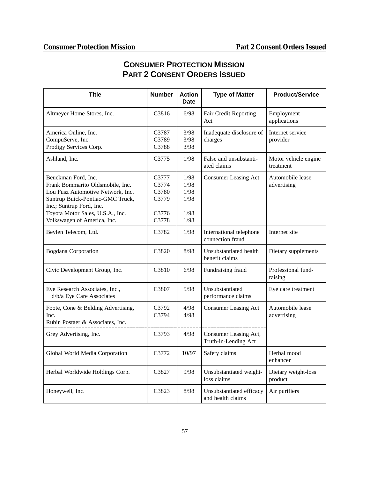# **CONSUMER PROTECTION MISSION PART 2 CONSENT ORDERS ISSUED**

| Title                                                                                                                                                                                                                           | <b>Number</b>                                      | <b>Action</b><br><b>Date</b>                 | <b>Type of Matter</b>                         | <b>Product/Service</b>            |
|---------------------------------------------------------------------------------------------------------------------------------------------------------------------------------------------------------------------------------|----------------------------------------------------|----------------------------------------------|-----------------------------------------------|-----------------------------------|
| Altmeyer Home Stores, Inc.                                                                                                                                                                                                      | C3816                                              | 6/98                                         | Fair Credit Reporting<br>Act                  | Employment<br>applications        |
| America Online, Inc.<br>CompuServe, Inc.<br>Prodigy Services Corp.                                                                                                                                                              | C3787<br>C3789<br>C3788                            | 3/98<br>3/98<br>3/98                         | Inadequate disclosure of<br>charges           | Internet service<br>provider      |
| Ashland, Inc.                                                                                                                                                                                                                   | C3775                                              | 1/98                                         | False and unsubstanti-<br>ated claims         | Motor vehicle engine<br>treatment |
| Beuckman Ford, Inc.<br>Frank Bommarito Oldsmobile, Inc.<br>Lou Fusz Automotive Network, Inc.<br>Suntrup Buick-Pontiac-GMC Truck,<br>Inc.; Suntrup Ford, Inc.<br>Toyota Motor Sales, U.S.A., Inc.<br>Volkswagen of America, Inc. | C3777<br>C3774<br>C3780<br>C3779<br>C3776<br>C3778 | 1/98<br>1/98<br>1/98<br>1/98<br>1/98<br>1/98 | <b>Consumer Leasing Act</b>                   | Automobile lease<br>advertising   |
| Beylen Telecom, Ltd.                                                                                                                                                                                                            | C3782                                              | 1/98                                         | International telephone<br>connection fraud   | Internet site                     |
| <b>Bogdana</b> Corporation                                                                                                                                                                                                      | C <sub>3820</sub>                                  | 8/98                                         | Unsubstantiated health<br>benefit claims      | Dietary supplements               |
| Civic Development Group, Inc.                                                                                                                                                                                                   | C <sub>3810</sub>                                  | 6/98                                         | Fundraising fraud                             | Professional fund-<br>raising     |
| Eye Research Associates, Inc.,<br>d/b/a Eye Care Associates                                                                                                                                                                     | C3807                                              | 5/98                                         | Unsubstantiated<br>performance claims         | Eye care treatment                |
| Foote, Cone & Belding Advertising,<br>Inc.<br>Rubin Postaer & Associates, Inc.                                                                                                                                                  | C3792<br>C3794                                     | 4/98<br>4/98                                 | <b>Consumer Leasing Act</b>                   | Automobile lease<br>advertising   |
| Grey Advertising, Inc.                                                                                                                                                                                                          | C3793                                              | 4/98                                         | Consumer Leasing Act,<br>Truth-in-Lending Act |                                   |
| Global World Media Corporation                                                                                                                                                                                                  | C3772                                              | 10/97                                        | Safety claims                                 | Herbal mood<br>enhancer           |
| Herbal Worldwide Holdings Corp.                                                                                                                                                                                                 | C3827                                              | 9/98                                         | Unsubstantiated weight-<br>loss claims        | Dietary weight-loss<br>product    |
| Honeywell, Inc.                                                                                                                                                                                                                 | C3823                                              | 8/98                                         | Unsubstantiated efficacy<br>and health claims | Air purifiers                     |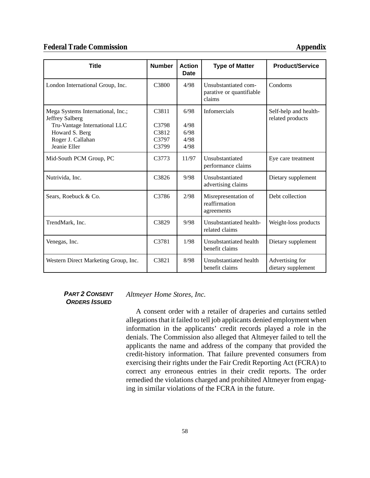# **Federal Trade Commission Appendix**

| <b>Title</b>                                                                                                                                 | <b>Number</b>                                         | <b>Action</b><br><b>Date</b>         | <b>Type of Matter</b>                                      | <b>Product/Service</b>                    |
|----------------------------------------------------------------------------------------------------------------------------------------------|-------------------------------------------------------|--------------------------------------|------------------------------------------------------------|-------------------------------------------|
| London International Group, Inc.                                                                                                             | C3800                                                 | 4/98                                 | Unsubstantiated com-<br>parative or quantifiable<br>claims | Condoms                                   |
| Mega Systems International, Inc.;<br>Jeffrey Salberg<br>Tru-Vantage International LLC<br>Howard S. Berg<br>Roger J. Callahan<br>Jeanie Eller | C <sub>3811</sub><br>C3798<br>C3812<br>C3797<br>C3799 | 6/98<br>4/98<br>6/98<br>4/98<br>4/98 | Infomercials                                               | Self-help and health-<br>related products |
| Mid-South PCM Group, PC                                                                                                                      | C3773                                                 | 11/97                                | Unsubstantiated<br>performance claims                      | Eye care treatment                        |
| Nutrivida, Inc.                                                                                                                              | C <sub>3826</sub>                                     | 9/98                                 | Unsubstantiated<br>advertising claims                      | Dietary supplement                        |
| Sears, Roebuck & Co.                                                                                                                         | C3786                                                 | 2/98                                 | Misrepresentation of<br>reaffirmation<br>agreements        | Debt collection                           |
| TrendMark, Inc.                                                                                                                              | C3829                                                 | 9/98                                 | Unsubstantiated health-<br>related claims                  | Weight-loss products                      |
| Venegas, Inc.                                                                                                                                | C3781                                                 | 1/98                                 | Unsubstantiated health<br>benefit claims                   | Dietary supplement                        |
| Western Direct Marketing Group, Inc.                                                                                                         | C <sub>3821</sub>                                     | 8/98                                 | Unsubstantiated health<br>benefit claims                   | Advertising for<br>dietary supplement     |

#### *PART 2 CONSENT ORDERS ISSUED*

*Altmeyer Home Stores, Inc.*

A consent order with a retailer of draperies and curtains settled allegations that it failed to tell job applicants denied employment when information in the applicants' credit records played a role in the denials. The Commission also alleged that Altmeyer failed to tell the applicants the name and address of the company that provided the credit-history information. That failure prevented consumers from exercising their rights under the Fair Credit Reporting Act (FCRA) to correct any erroneous entries in their credit reports. The order remedied the violations charged and prohibited Altmeyer from engaging in similar violations of the FCRA in the future.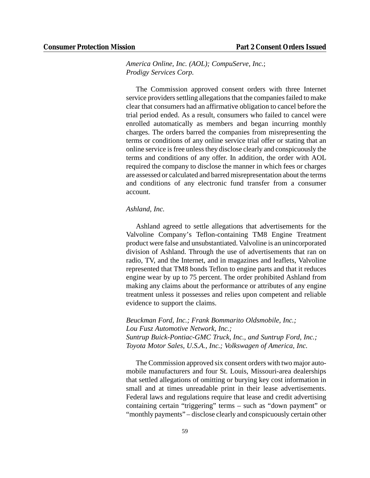*America Online, Inc. (AOL); CompuServe, Inc.*; *Prodigy Services Corp.*

The Commission approved consent orders with three Internet service providers settling allegations that the companies failed to make clear that consumers had an affirmative obligation to cancel before the trial period ended. As a result, consumers who failed to cancel were enrolled automatically as members and began incurring monthly charges. The orders barred the companies from misrepresenting the terms or conditions of any online service trial offer or stating that an online service isfree unlessthey disclose clearly and conspicuously the terms and conditions of any offer. In addition, the order with AOL required the company to disclose the manner in which fees or charges are assessed or calculated and barred misrepresentation about the terms and conditions of any electronic fund transfer from a consumer account.

## *Ashland, Inc.*

Ashland agreed to settle allegations that advertisements for the Valvoline Company's Teflon-containing TM8 Engine Treatment product were false and unsubstantiated. Valvoline is an unincorporated division of Ashland. Through the use of advertisements that ran on radio, TV, and the Internet, and in magazines and leaflets, Valvoline represented that TM8 bonds Teflon to engine parts and that it reduces engine wear by up to 75 percent. The order prohibited Ashland from making any claims about the performance or attributes of any engine treatment unless it possesses and relies upon competent and reliable evidence to support the claims.

*Beuckman Ford, Inc.; Frank Bommarito Oldsmobile, Inc.; Lou Fusz Automotive Network, Inc.; Suntrup Buick-Pontiac-GMC Truck, Inc., and Suntrup Ford, Inc.; Toyota Motor Sales, U.S.A., Inc.; Volkswagen of America, Inc.*

The Commission approved six consent orders with two major automobile manufacturers and four St. Louis, Missouri-area dealerships that settled allegations of omitting or burying key cost information in small and at times unreadable print in their lease advertisements. Federal laws and regulations require that lease and credit advertising containing certain "triggering" terms – such as "down payment" or "monthly payments" – disclose clearly and conspicuously certain other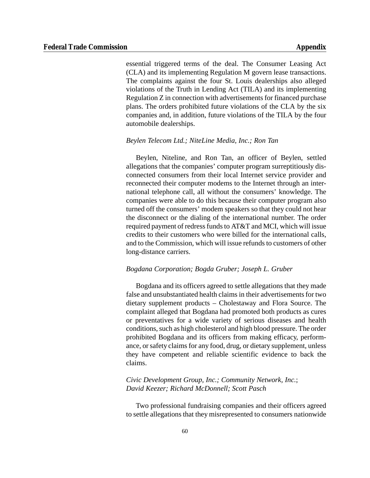essential triggered terms of the deal. The Consumer Leasing Act (CLA) and its implementing Regulation M govern lease transactions. The complaints against the four St. Louis dealerships also alleged violations of the Truth in Lending Act (TILA) and its implementing Regulation  $Z$  in connection with advertisements for financed purchase plans. The orders prohibited future violations of the CLA by the six companies and, in addition, future violations of the TILA by the four automobile dealerships.

## *Beylen Telecom Ltd.; NiteLine Media, Inc.; Ron Tan*

Beylen, Niteline, and Ron Tan, an officer of Beylen, settled allegations that the companies' computer program surreptitiously disconnected consumers from their local Internet service provider and reconnected their computer modems to the Internet through an international telephone call, all without the consumers' knowledge. The companies were able to do this because their computer program also turned off the consumers' modem speakers so that they could not hear the disconnect or the dialing of the international number. The order required payment of redress funds to  $AT&T$  and MCI, which will issue credits to their customers who were billed for the international calls, and to the Commission, which will issue refunds to customers of other long-distance carriers.

#### *Bogdana Corporation; Bogda Gruber; Joseph L. Gruber*

Bogdana and its officers agreed to settle allegations that they made false and unsubstantiated health claims in their advertisements for two dietary supplement products – Cholestaway and Flora Source. The complaint alleged that Bogdana had promoted both products as cures or preventatives for a wide variety of serious diseases and health conditions, such as high cholesterol and high blood pressure. The order prohibited Bogdana and its officers from making efficacy, performance, or safety claims for any food, drug, or dietary supplement, unless they have competent and reliable scientific evidence to back the claims.

# *Civic Development Group, Inc.; Community Network, Inc.*; *David Keezer; Richard McDonnell; Scott Pasch*

Two professional fundraising companies and their officers agreed to settle allegations that they misrepresented to consumers nationwide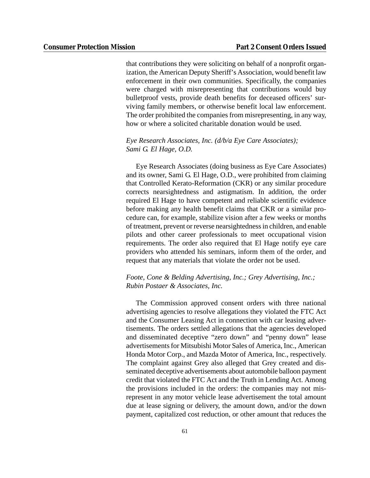that contributions they were soliciting on behalf of a nonprofit organization, the American Deputy Sheriff's Association, would benefit law enforcement in their own communities. Specifically, the companies were charged with misrepresenting that contributions would buy bulletproof vests, provide death benefits for deceased officers' surviving family members, or otherwise benefit local law enforcement. The order prohibited the companies from misrepresenting, in any way, how or where a solicited charitable donation would be used.

# *Eye Research Associates, Inc. (d/b/a Eye Care Associates); Sami G. El Hage, O.D.*

Eye Research Associates (doing business as Eye Care Associates) and its owner, Sami G. El Hage, O.D., were prohibited from claiming that Controlled Kerato-Reformation (CKR) or any similar procedure corrects nearsightedness and astigmatism. In addition, the order required El Hage to have competent and reliable scientific evidence before making any health benefit claims that CKR or a similar procedure can, for example, stabilize vision after a few weeks or months of treatment, prevent or reverse nearsightedness in children, and enable pilots and other career professionals to meet occupational vision requirements. The order also required that El Hage notify eye care providers who attended his seminars, inform them of the order, and request that any materials that violate the order not be used.

# *Foote, Cone & Belding Advertising, Inc.; Grey Advertising, Inc.; Rubin Postaer & Associates, Inc.*

The Commission approved consent orders with three national advertising agencies to resolve allegations they violated the FTC Act and the Consumer Leasing Act in connection with car leasing advertisements. The orders settled allegations that the agencies developed and disseminated deceptive "zero down" and "penny down" lease advertisements for Mitsubishi Motor Sales of America, Inc., American Honda Motor Corp., and Mazda Motor of America, Inc., respectively. The complaint against Grey also alleged that Grey created and disseminated deceptive advertisements about automobile balloon payment credit that violated the FTC Act and the Truth in Lending Act. Among the provisions included in the orders: the companies may not misrepresent in any motor vehicle lease advertisement the total amount due at lease signing or delivery, the amount down, and/or the down payment, capitalized cost reduction, or other amount that reduces the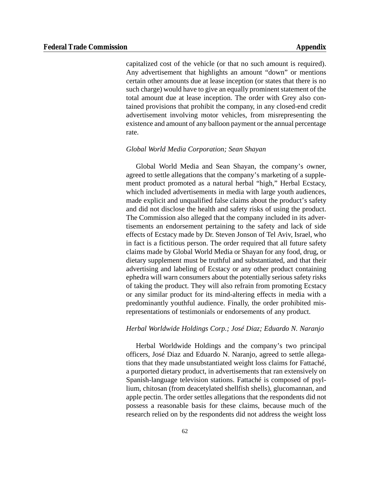capitalized cost of the vehicle (or that no such amount is required). Any advertisement that highlights an amount "down" or mentions certain other amounts due at lease inception (or states that there is no such charge) would have to give an equally prominent statement of the total amount due at lease inception. The order with Grey also contained provisions that prohibit the company, in any closed-end credit advertisement involving motor vehicles, from misrepresenting the existence and amount of any balloon payment or the annual percentage rate.

#### *Global World Media Corporation; Sean Shayan*

Global World Media and Sean Shayan, the company's owner, agreed to settle allegations that the company's marketing of a supplement product promoted as a natural herbal "high," Herbal Ecstacy, which included advertisements in media with large youth audiences, made explicit and unqualified false claims about the product's safety and did not disclose the health and safety risks of using the product. The Commission also alleged that the company included in its advertisements an endorsement pertaining to the safety and lack of side effects of Ecstacy made by Dr. Steven Jonson of Tel Aviv, Israel, who in fact is a fictitious person. The order required that all future safety claims made by Global World Media or Shayan for any food, drug, or dietary supplement must be truthful and substantiated, and that their advertising and labeling of Ecstacy or any other product containing ephedra will warn consumers about the potentially serious safety risks of taking the product. They will also refrain from promoting Ecstacy or any similar product for its mind-altering effects in media with a predominantly youthful audience. Finally, the order prohibited misrepresentations of testimonials or endorsements of any product.

### *Herbal Worldwide Holdings Corp.; José Diaz; Eduardo N. Naranjo*

Herbal Worldwide Holdings and the company's two principal officers, José Diaz and Eduardo N. Naranjo, agreed to settle allegations that they made unsubstantiated weight loss claims for Fattaché, a purported dietary product, in advertisements that ran extensively on Spanish-language television stations. Fattaché is composed of psyllium, chitosan (from deacetylated shellfish shells), glucomannan, and apple pectin. The order settles allegations that the respondents did not possess a reasonable basis for these claims, because much of the research relied on by the respondents did not address the weight loss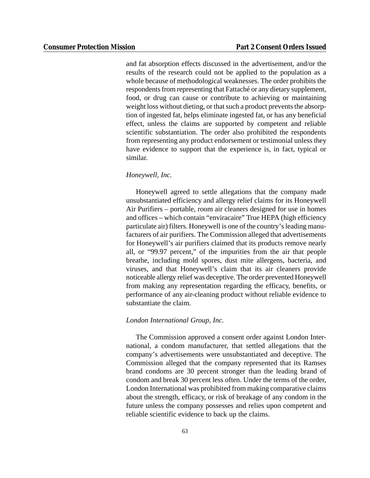and fat absorption effects discussed in the advertisement, and/or the results of the research could not be applied to the population as a whole because of methodological weaknesses. The order prohibits the respondents from representing that Fattaché or any dietary supplement, food, or drug can cause or contribute to achieving or maintaining weight loss without dieting, or that such a product prevents the absorption of ingested fat, helps eliminate ingested fat, or has any beneficial effect, unless the claims are supported by competent and reliable scientific substantiation. The order also prohibited the respondents from representing any product endorsement or testimonial unless they have evidence to support that the experience is, in fact, typical or similar.

#### *Honeywell, Inc.*

Honeywell agreed to settle allegations that the company made unsubstantiated efficiency and allergy relief claims for its Honeywell Air Purifiers – portable, room air cleaners designed for use in homes and offices – which contain "enviracaire" True HEPA (high efficiency particulate air) filters. Honeywell is one of the country's leading manufacturers of air purifiers. The Commission alleged that advertisements for Honeywell's air purifiers claimed that its products remove nearly all, or "99.97 percent," of the impurities from the air that people breathe, including mold spores, dust mite allergens, bacteria, and viruses, and that Honeywell's claim that its air cleaners provide noticeable allergy relief was deceptive. The order prevented Honeywell from making any representation regarding the efficacy, benefits, or performance of any air-cleaning product without reliable evidence to substantiate the claim.

#### *London International Group, Inc.*

The Commission approved a consent order against London International, a condom manufacturer, that settled allegations that the company's advertisements were unsubstantiated and deceptive. The Commission alleged that the company represented that its Ramses brand condoms are 30 percent stronger than the leading brand of condom and break 30 percent less often. Under the terms of the order, London International was prohibited from making comparative claims about the strength, efficacy, or risk of breakage of any condom in the future unless the company possesses and relies upon competent and reliable scientific evidence to back up the claims.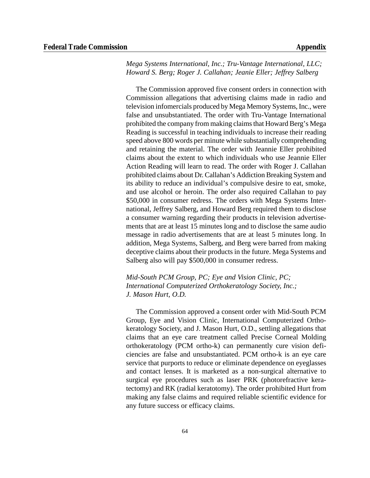*Mega Systems International, Inc.; Tru-Vantage International, LLC; Howard S. Berg; Roger J. Callahan; Jeanie Eller; Jeffrey Salberg*

The Commission approved five consent orders in connection with Commission allegations that advertising claims made in radio and television infomercials produced by Mega Memory Systems, Inc., were false and unsubstantiated. The order with Tru-Vantage International prohibited the company from making claims that Howard Berg's Mega Reading is successful in teaching individuals to increase their reading speed above 800 words per minute while substantially comprehending and retaining the material. The order with Jeannie Eller prohibited claims about the extent to which individuals who use Jeannie Eller Action Reading will learn to read. The order with Roger J. Callahan prohibited claims about Dr. Callahan's Addiction Breaking System and its ability to reduce an individual's compulsive desire to eat, smoke, and use alcohol or heroin. The order also required Callahan to pay \$50,000 in consumer redress. The orders with Mega Systems International, Jeffrey Salberg, and Howard Berg required them to disclose a consumer warning regarding their products in television advertisements that are at least 15 minutes long and to disclose the same audio message in radio advertisements that are at least 5 minutes long. In addition, Mega Systems, Salberg, and Berg were barred from making deceptive claims about their products in the future. Mega Systems and Salberg also will pay \$500,000 in consumer redress.

*Mid-South PCM Group, PC; Eye and Vision Clinic, PC; International Computerized Orthokeratology Society, Inc.; J. Mason Hurt, O.D.*

The Commission approved a consent order with Mid-South PCM Group, Eye and Vision Clinic, International Computerized Orthokeratology Society, and J. Mason Hurt, O.D., settling allegations that claims that an eye care treatment called Precise Corneal Molding orthokeratology (PCM ortho-k) can permanently cure vision deficiencies are false and unsubstantiated. PCM ortho-k is an eye care service that purports to reduce or eliminate dependence on eyeglasses and contact lenses. It is marketed as a non-surgical alternative to surgical eye procedures such as laser PRK (photorefractive keratectomy) and RK (radial keratotomy). The order prohibited Hurt from making any false claims and required reliable scientific evidence for any future success or efficacy claims.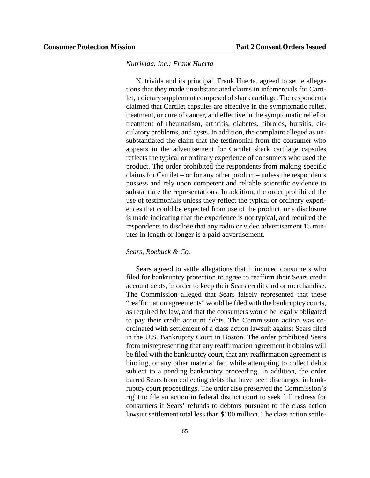## *Nutrivida, Inc.; Frank Huerta*

Nutrivida and its principal, Frank Huerta, agreed to settle allegations that they made unsubstantiated claims in infomercials for Cartilet, a dietary supplement composed of shark cartilage. The respondents claimed that Cartilet capsules are effective in the symptomatic relief, treatment, or cure of cancer, and effective in the symptomatic relief or treatment of rheumatism, arthritis, diabetes, fibroids, bursitis, circulatory problems, and cysts. In addition, the complaint alleged as unsubstantiated the claim that the testimonial from the consumer who appears in the advertisement for Cartilet shark cartilage capsules reflects the typical or ordinary experience of consumers who used the product. The order prohibited the respondents from making specific claims for Cartilet – or for any other product – unless the respondents possess and rely upon competent and reliable scientific evidence to substantiate the representations. In addition, the order prohibited the use of testimonials unless they reflect the typical or ordinary experiences that could be expected from use of the product, or a disclosure is made indicating that the experience is not typical, and required the respondents to disclose that any radio or video advertisement 15 minutes in length or longer is a paid advertisement.

#### *Sears, Roebuck & Co.*

Sears agreed to settle allegations that it induced consumers who filed for bankruptcy protection to agree to reaffirm their Sears credit account debts, in order to keep their Sears credit card or merchandise. The Commission alleged that Sears falsely represented that these "reaffirmation agreements" would be filed with the bankruptcy courts, as required by law, and that the consumers would be legally obligated to pay their credit account debts. The Commission action was coordinated with settlement of a class action lawsuit against Sears filed in the U.S. Bankruptcy Court in Boston. The order prohibited Sears from misrepresenting that any reaffirmation agreement it obtains will be filed with the bankruptcy court, that any reaffirmation agreement is binding, or any other material fact while attempting to collect debts subject to a pending bankruptcy proceeding. In addition, the order barred Sears from collecting debts that have been discharged in bankruptcy court proceedings. The order also preserved the Commission's right to file an action in federal district court to seek full redress for consumers if Sears' refunds to debtors pursuant to the class action lawsuit settlement total less than \$100 million. The class action settle-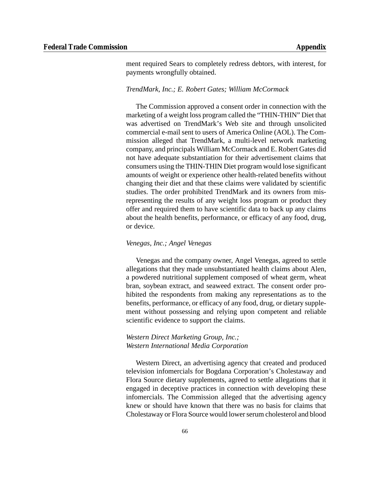ment required Sears to completely redress debtors, with interest, for payments wrongfully obtained.

#### *TrendMark, Inc.; E. Robert Gates; William McCormack*

The Commission approved a consent order in connection with the marketing of a weight loss program called the "THIN-THIN" Diet that was advertised on TrendMark's Web site and through unsolicited commercial e-mail sent to users of America Online (AOL). The Commission alleged that TrendMark, a multi-level network marketing company, and principals William McCormack and E. Robert Gates did not have adequate substantiation for their advertisement claims that consumers using the THIN-THIN Diet program would lose significant amounts of weight or experience other health-related benefits without changing their diet and that these claims were validated by scientific studies. The order prohibited TrendMark and its owners from misrepresenting the results of any weight loss program or product they offer and required them to have scientific data to back up any claims about the health benefits, performance, or efficacy of any food, drug, or device.

#### *Venegas, Inc.; Angel Venegas*

Venegas and the company owner, Angel Venegas, agreed to settle allegations that they made unsubstantiated health claims about Alen, a powdered nutritional supplement composed of wheat germ, wheat bran, soybean extract, and seaweed extract. The consent order prohibited the respondents from making any representations as to the benefits, performance, or efficacy of any food, drug, or dietary supplement without possessing and relying upon competent and reliable scientific evidence to support the claims.

#### *Western Direct Marketing Group, Inc.; Western International Media Corporation*

Western Direct, an advertising agency that created and produced television infomercials for Bogdana Corporation's Cholestaway and Flora Source dietary supplements, agreed to settle allegations that it engaged in deceptive practices in connection with developing these infomercials. The Commission alleged that the advertising agency knew or should have known that there was no basis for claims that Cholestaway or Flora Source would lower serum cholesterol and blood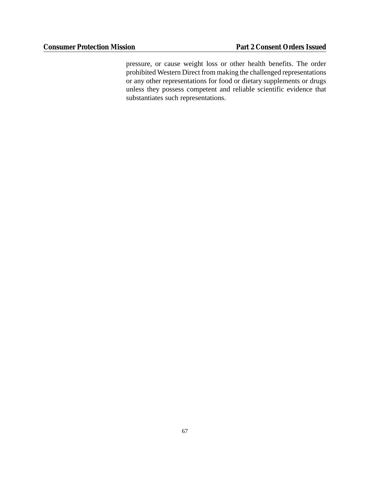pressure, or cause weight loss or other health benefits. The order prohibited Western Direct from making the challenged representations or any other representations for food or dietary supplements or drugs unless they possess competent and reliable scientific evidence that substantiates such representations.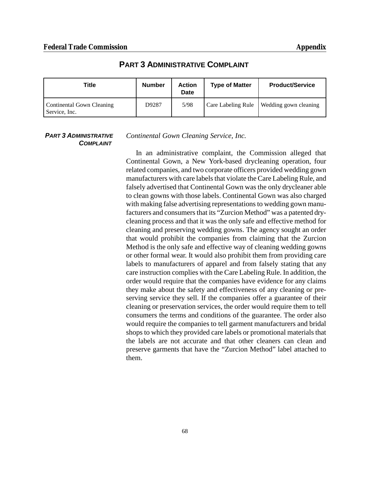## **PART 3 ADMINISTRATIVE COMPLAINT**

| Title                                      | <b>Number</b> | <b>Action</b><br><b>Date</b> | <b>Type of Matter</b> | <b>Product/Service</b> |
|--------------------------------------------|---------------|------------------------------|-----------------------|------------------------|
| Continental Gown Cleaning<br>Service, Inc. | D9287         | 5/98                         | Care Labeling Rule    | Wedding gown cleaning  |

#### *PART 3 ADMINISTRATIVE COMPLAINT*

#### *Continental Gown Cleaning Service, Inc.*

In an administrative complaint, the Commission alleged that Continental Gown, a New York-based drycleaning operation, four related companies, and two corporate officers provided wedding gown manufacturers with care labels that violate the Care Labeling Rule, and falsely advertised that Continental Gown was the only drycleaner able to clean gowns with those labels. Continental Gown was also charged with making false advertising representations to wedding gown manufacturers and consumers that its "Zurcion Method" was a patented drycleaning process and that it was the only safe and effective method for cleaning and preserving wedding gowns. The agency sought an order that would prohibit the companies from claiming that the Zurcion Method is the only safe and effective way of cleaning wedding gowns or other formal wear. It would also prohibit them from providing care labels to manufacturers of apparel and from falsely stating that any care instruction complies with the Care Labeling Rule. In addition, the order would require that the companies have evidence for any claims they make about the safety and effectiveness of any cleaning or preserving service they sell. If the companies offer a guarantee of their cleaning or preservation services, the order would require them to tell consumers the terms and conditions of the guarantee. The order also would require the companies to tell garment manufacturers and bridal shops to which they provided care labels or promotional materials that the labels are not accurate and that other cleaners can clean and preserve garments that have the "Zurcion Method" label attached to them.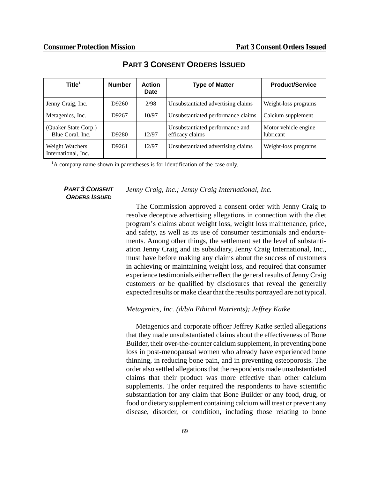| Title <sup>1</sup>                       | <b>Number</b> | <b>Action</b><br>Date | <b>Type of Matter</b>                              | <b>Product/Service</b>            |
|------------------------------------------|---------------|-----------------------|----------------------------------------------------|-----------------------------------|
| Jenny Craig, Inc.                        | D9260         | 2/98                  | Unsubstantiated advertising claims                 | Weight-loss programs              |
| Metagenics, Inc.                         | D9267         | 10/97                 | Unsubstantiated performance claims                 | Calcium supplement                |
| (Quaker State Corp.)<br>Blue Coral, Inc. | D9280         | 12/97                 | Unsubstantiated performance and<br>efficacy claims | Motor vehicle engine<br>lubricant |
| Weight Watchers<br>International, Inc.   | D9261         | 12/97                 | Unsubstantiated advertising claims                 | Weight-loss programs              |

# **PART 3 CONSENT ORDERS ISSUED**

 ${}^{1}$ A company name shown in parentheses is for identification of the case only.

#### *PART 3 CONSENT ORDERS ISSUED*

#### *Jenny Craig, Inc.; Jenny Craig International, Inc.*

The Commission approved a consent order with Jenny Craig to resolve deceptive advertising allegations in connection with the diet program's claims about weight loss, weight loss maintenance, price, and safety, as well as its use of consumer testimonials and endorsements. Among other things, the settlement set the level of substantiation Jenny Craig and its subsidiary, Jenny Craig International, Inc., must have before making any claims about the success of customers in achieving or maintaining weight loss, and required that consumer experience testimonials either reflect the general results of Jenny Craig customers or be qualified by disclosures that reveal the generally expected results or make clear that the results portrayed are not typical.

#### *Metagenics, Inc. (d/b/a Ethical Nutrients); Jeffrey Katke*

Metagenics and corporate officer Jeffrey Katke settled allegations that they made unsubstantiated claims about the effectiveness of Bone Builder, their over-the-counter calcium supplement, in preventing bone loss in post-menopausal women who already have experienced bone thinning, in reducing bone pain, and in preventing osteoporosis. The order also settled allegations that the respondents made unsubstantiated claims that their product was more effective than other calcium supplements. The order required the respondents to have scientific substantiation for any claim that Bone Builder or any food, drug, or food or dietary supplement containing calcium will treat or prevent any disease, disorder, or condition, including those relating to bone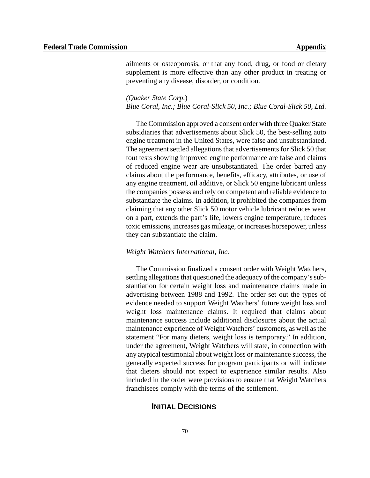ailments or osteoporosis, or that any food, drug, or food or dietary supplement is more effective than any other product in treating or preventing any disease, disorder, or condition.

#### *(Quaker State Corp.*)

*Blue Coral, Inc.; Blue Coral-Slick 50, Inc.; Blue Coral-Slick 50, Ltd.*

The Commission approved a consent order with three Quaker State subsidiaries that advertisements about Slick 50, the best-selling auto engine treatment in the United States, were false and unsubstantiated. The agreement settled allegations that advertisements for Slick 50 that tout tests showing improved engine performance are false and claims of reduced engine wear are unsubstantiated. The order barred any claims about the performance, benefits, efficacy, attributes, or use of any engine treatment, oil additive, or Slick 50 engine lubricant unless the companies possess and rely on competent and reliable evidence to substantiate the claims. In addition, it prohibited the companies from claiming that any other Slick 50 motor vehicle lubricant reduces wear on a part, extends the part's life, lowers engine temperature, reduces toxic emissions, increases gas mileage, or increases horsepower, unless they can substantiate the claim.

#### *Weight Watchers International, Inc.*

The Commission finalized a consent order with Weight Watchers, settling allegations that questioned the adequacy of the company's substantiation for certain weight loss and maintenance claims made in advertising between 1988 and 1992. The order set out the types of evidence needed to support Weight Watchers' future weight loss and weight loss maintenance claims. It required that claims about maintenance success include additional disclosures about the actual maintenance experience of Weight Watchers' customers, as well asthe statement "For many dieters, weight loss is temporary." In addition, under the agreement, Weight Watchers will state, in connection with any atypical testimonial about weight loss or maintenance success, the generally expected success for program participants or will indicate that dieters should not expect to experience similar results. Also included in the order were provisions to ensure that Weight Watchers franchisees comply with the terms of the settlement.

# **INITIAL DECISIONS**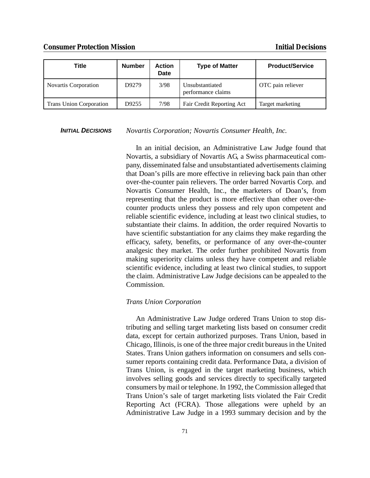| Title                   | <b>Number</b> | <b>Action</b><br>Date | <b>Type of Matter</b>                 | <b>Product/Service</b> |
|-------------------------|---------------|-----------------------|---------------------------------------|------------------------|
| Novartis Corporation    | D9279         | 3/98                  | Unsubstantiated<br>performance claims | OTC pain reliever      |
| Trans Union Corporation | D9255         | 7/98                  | Fair Credit Reporting Act             | Target marketing       |

#### *INITIAL DECISIONS Novartis Corporation; Novartis Consumer Health, Inc.*

In an initial decision, an Administrative Law Judge found that Novartis, a subsidiary of Novartis AG, a Swiss pharmaceutical company, disseminated false and unsubstantiated advertisements claiming that Doan's pills are more effective in relieving back pain than other over-the-counter pain relievers. The order barred Novartis Corp. and Novartis Consumer Health, Inc., the marketers of Doan's, from representing that the product is more effective than other over-thecounter products unless they possess and rely upon competent and reliable scientific evidence, including at least two clinical studies, to substantiate their claims. In addition, the order required Novartis to have scientific substantiation for any claims they make regarding the efficacy, safety, benefits, or performance of any over-the-counter analgesic they market. The order further prohibited Novartis from making superiority claims unless they have competent and reliable scientific evidence, including at least two clinical studies, to support the claim. Administrative Law Judge decisions can be appealed to the Commission.

#### *Trans Union Corporation*

An Administrative Law Judge ordered Trans Union to stop distributing and selling target marketing lists based on consumer credit data, except for certain authorized purposes. Trans Union, based in Chicago, Illinois, is one of the three major credit bureaus in the United States. Trans Union gathers information on consumers and sells consumer reports containing credit data. Performance Data, a division of Trans Union, is engaged in the target marketing business, which involves selling goods and services directly to specifically targeted consumers by mail or telephone. In 1992, the Commission alleged that Trans Union's sale of target marketing lists violated the Fair Credit Reporting Act (FCRA). Those allegations were upheld by an Administrative Law Judge in a 1993 summary decision and by the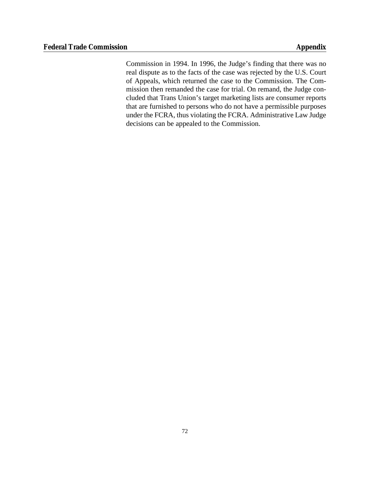Commission in 1994. In 1996, the Judge's finding that there was no real dispute as to the facts of the case was rejected by the U.S. Court of Appeals, which returned the case to the Commission. The Commission then remanded the case for trial. On remand, the Judge concluded that Trans Union's target marketing lists are consumer reports that are furnished to persons who do not have a permissible purposes under the FCRA, thus violating the FCRA. Administrative Law Judge decisions can be appealed to the Commission.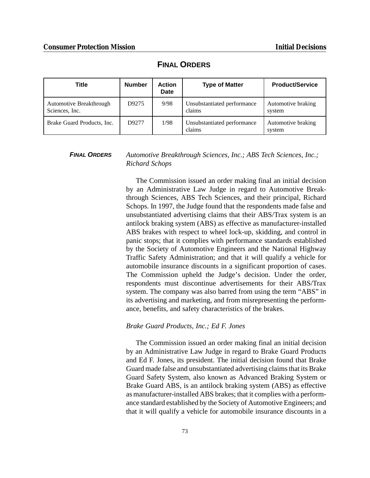| Title                                     | <b>Number</b> | <b>Action</b><br>Date | <b>Type of Matter</b>                 | <b>Product/Service</b>       |
|-------------------------------------------|---------------|-----------------------|---------------------------------------|------------------------------|
| Automotive Breakthrough<br>Sciences, Inc. | D9275         | 9/98                  | Unsubstantiated performance<br>claims | Automotive braking<br>system |
| Brake Guard Products, Inc.                | D9277         | 1/98                  | Unsubstantiated performance<br>claims | Automotive braking<br>system |

**FINAL ORDERS** 

#### *FINAL ORDERS Automotive Breakthrough Sciences, Inc.; ABS Tech Sciences, Inc.; Richard Schops*

The Commission issued an order making final an initial decision by an Administrative Law Judge in regard to Automotive Breakthrough Sciences, ABS Tech Sciences, and their principal, Richard Schops. In 1997, the Judge found that the respondents made false and unsubstantiated advertising claims that their ABS/Trax system is an antilock braking system (ABS) as effective as manufacturer-installed ABS brakes with respect to wheel lock-up, skidding, and control in panic stops; that it complies with performance standards established by the Society of Automotive Engineers and the National Highway Traffic Safety Administration; and that it will qualify a vehicle for automobile insurance discounts in a significant proportion of cases. The Commission upheld the Judge's decision. Under the order, respondents must discontinue advertisements for their ABS/Trax system. The company was also barred from using the term "ABS" in its advertising and marketing, and from misrepresenting the performance, benefits, and safety characteristics of the brakes.

#### *Brake Guard Products, Inc.; Ed F. Jones*

The Commission issued an order making final an initial decision by an Administrative Law Judge in regard to Brake Guard Products and Ed F. Jones, its president. The initial decision found that Brake Guard made false and unsubstantiated advertising claimsthat its Brake Guard Safety System, also known as Advanced Braking System or Brake Guard ABS, is an antilock braking system (ABS) as effective as manufacturer-installed ABS brakes; that it complies with a performance standard established by the Society of Automotive Engineers; and that it will qualify a vehicle for automobile insurance discounts in a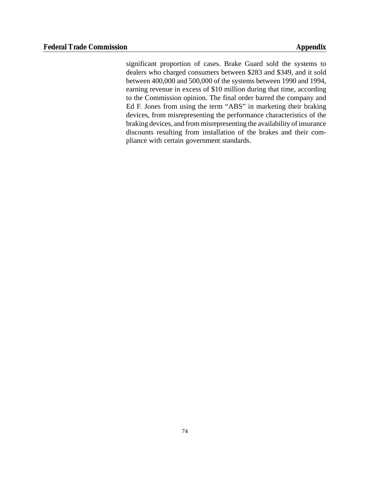significant proportion of cases. Brake Guard sold the systems to dealers who charged consumers between \$283 and \$349, and it sold between 400,000 and 500,000 of the systems between 1990 and 1994, earning revenue in excess of \$10 million during that time, according to the Commission opinion. The final order barred the company and Ed F. Jones from using the term "ABS" in marketing their braking devices, from misrepresenting the performance characteristics of the braking devices, and from misrepresenting the availability of insurance discounts resulting from installation of the brakes and their compliance with certain government standards.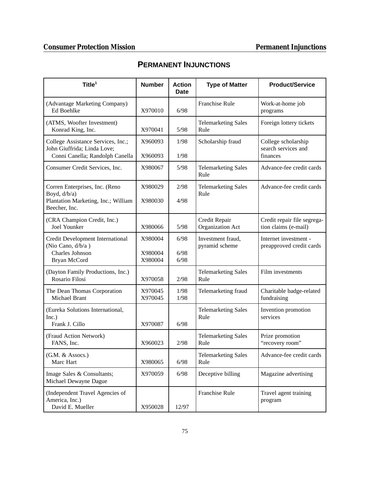# **Consumer Protection Mission Permanent Injunctions**

# **PERMANENT INJUNCTIONS**

| Title <sup>1</sup>                                                                                   | <b>Number</b>                 | <b>Action</b><br><b>Date</b> | <b>Type of Matter</b>               | <b>Product/Service</b>                                 |
|------------------------------------------------------------------------------------------------------|-------------------------------|------------------------------|-------------------------------------|--------------------------------------------------------|
| (Advantage Marketing Company)<br>Ed Boehlke                                                          | X970010                       | 6/98                         | <b>Franchise Rule</b>               | Work-at-home job<br>programs                           |
| (ATMS, Woofter Investment)<br>Konrad King, Inc.                                                      | X970041                       | 5/98                         | <b>Telemarketing Sales</b><br>Rule  | Foreign lottery tickets                                |
| College Assistance Services, Inc.;<br>John Giuffrida; Linda Love;<br>Conni Canella; Randolph Canella | X960093<br>X960093            | 1/98<br>1/98                 | Scholarship fraud                   | College scholarship<br>search services and<br>finances |
| Consumer Credit Services, Inc.                                                                       | X980067                       | 5/98                         | <b>Telemarketing Sales</b><br>Rule  | Advance-fee credit cards                               |
| Corren Enterprises, Inc. (Reno<br>Boyd, d/b/a)                                                       | X980029                       | 2/98                         | <b>Telemarketing Sales</b><br>Rule  | Advance-fee credit cards                               |
| Plantation Marketing, Inc.; William<br>Beecher, Inc.                                                 | X980030                       | 4/98                         |                                     |                                                        |
| (CRA Champion Credit, Inc.)<br>Joel Younker                                                          | X980066                       | 5/98                         | Credit Repair<br>Organization Act   | Credit repair file segrega-<br>tion claims (e-mail)    |
| Credit Development International<br>(Nio Cano, d/b/a)<br><b>Charles Johnson</b><br>Bryan McCord      | X980004<br>X980004<br>X980004 | 6/98<br>6/98<br>6/98         | Investment fraud,<br>pyramid scheme | Internet investment -<br>preapproved credit cards      |
| (Dayton Family Productions, Inc.)<br>Rosario Filosi                                                  | X970058                       | 2/98                         | <b>Telemarketing Sales</b><br>Rule  | Film investments                                       |
| The Dean Thomas Corporation<br>Michael Brant                                                         | X970045<br>X970045            | 1/98<br>1/98                 | Telemarketing fraud                 | Charitable badge-related<br>fundraising                |
| (Eureka Solutions International,<br>Inc.)<br>Frank J. Cillo                                          | X970087                       | 6/98                         | <b>Telemarketing Sales</b><br>Rule  | Invention promotion<br>services                        |
| (Fraud Action Network)<br>FANS, Inc.                                                                 | X960023                       | 2/98                         | <b>Telemarketing Sales</b><br>Rule  | Prize promotion<br>"recovery room"                     |
| (G.M. & Assocs.)<br>Marc Hart                                                                        | X980065                       | 6/98                         | <b>Telemarketing Sales</b><br>Rule  | Advance-fee credit cards                               |
| Image Sales & Consultants;<br>Michael Dewayne Dague                                                  | X970059                       | 6/98                         | Deceptive billing                   | Magazine advertising                                   |
| (Independent Travel Agencies of<br>America, Inc.)<br>David E. Mueller                                | X950028                       | 12/97                        | Franchise Rule                      | Travel agent training<br>program                       |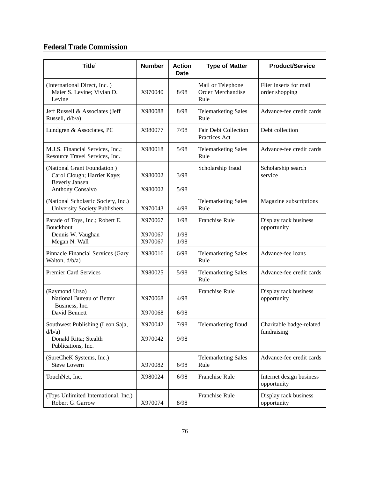# **Federal Trade Commission**

| Title <sup>1</sup>                                                                                      | <b>Number</b>                 | <b>Action</b><br><b>Date</b> | <b>Type of Matter</b>                          | <b>Product/Service</b>                   |
|---------------------------------------------------------------------------------------------------------|-------------------------------|------------------------------|------------------------------------------------|------------------------------------------|
| (International Direct, Inc.)<br>Maier S. Levine; Vivian D.<br>Levine                                    | X970040                       | 8/98                         | Mail or Telephone<br>Order Merchandise<br>Rule | Flier inserts for mail<br>order shopping |
| Jeff Russell & Associates (Jeff<br>Russell, d/b/a)                                                      | X980088                       | 8/98                         | <b>Telemarketing Sales</b><br>Rule             | Advance-fee credit cards                 |
| Lundgren & Associates, PC                                                                               | X980077                       | 7/98                         | <b>Fair Debt Collection</b><br>Practices Act   | Debt collection                          |
| M.J.S. Financial Services, Inc.;<br>Resource Travel Services, Inc.                                      | X980018                       | 5/98                         | <b>Telemarketing Sales</b><br>Rule             | Advance-fee credit cards                 |
| (National Grant Foundation)<br>Carol Clough; Harriet Kaye;<br><b>Beverly Jansen</b><br>Anthony Consalvo | X980002<br>X980002            | 3/98<br>5/98                 | Scholarship fraud                              | Scholarship search<br>service            |
| (National Scholastic Society, Inc.)<br><b>University Society Publishers</b>                             | X970043                       | 4/98                         | <b>Telemarketing Sales</b><br>Rule             | Magazine subscriptions                   |
| Parade of Toys, Inc.; Robert E.<br><b>Bouckhout</b><br>Dennis W. Vaughan<br>Megan N. Wall               | X970067<br>X970067<br>X970067 | 1/98<br>1/98<br>1/98         | Franchise Rule                                 | Display rack business<br>opportunity     |
| Pinnacle Financial Services (Gary<br>Walton, d/b/a)                                                     | X980016                       | 6/98                         | <b>Telemarketing Sales</b><br>Rule             | Advance-fee loans                        |
| <b>Premier Card Services</b>                                                                            | X980025                       | 5/98                         | <b>Telemarketing Sales</b><br>Rule             | Advance-fee credit cards                 |
| (Raymond Urso)<br>National Bureau of Better<br>Business, Inc.<br>David Bennett                          | X970068<br>X970068            | 4/98<br>6/98                 | Franchise Rule                                 | Display rack business<br>opportunity     |
| Southwest Publishing (Leon Saja,<br>d/b/a)<br>Donald Ritta; Stealth<br>Publications, Inc.               | X970042<br>X970042            | 7/98<br>9/98                 | Telemarketing fraud                            | Charitable badge-related<br>fundraising  |
| (SureCheK Systems, Inc.)<br><b>Steve Lovern</b>                                                         | X970082                       | 6/98                         | <b>Telemarketing Sales</b><br>Rule             | Advance-fee credit cards                 |
| TouchNet, Inc.                                                                                          | X980024                       | 6/98                         | Franchise Rule                                 | Internet design business<br>opportunity  |
| (Toys Unlimited International, Inc.)<br>Robert G. Garrow                                                | X970074                       | 8/98                         | Franchise Rule                                 | Display rack business<br>opportunity     |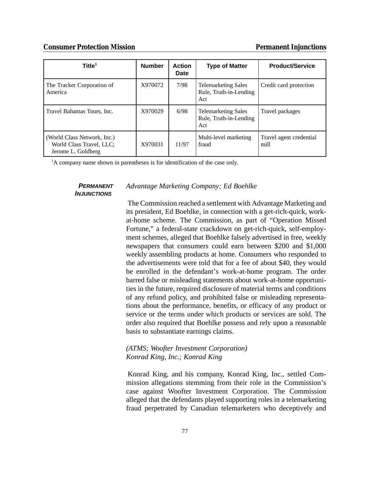#### **Consumer Protection Mission Permanent Injunctions**

| Title <sup>1</sup>                                                            | <b>Number</b> | <b>Action</b><br>Date | <b>Type of Matter</b>                                       | <b>Product/Service</b>          |
|-------------------------------------------------------------------------------|---------------|-----------------------|-------------------------------------------------------------|---------------------------------|
| The Tracker Corporation of<br>America                                         | X970072       | 7/98                  | <b>Telemarketing Sales</b><br>Rule, Truth-in-Lending<br>Act | Credit card protection          |
| Travel Bahamas Tours, Inc.                                                    | X970029       | 6/98                  | <b>Telemarketing Sales</b><br>Rule, Truth-in-Lending<br>Act | Travel packages                 |
| (World Class Network, Inc.)<br>World Class Travel, LLC;<br>Jerome L. Goldberg | X970031       | 11/97                 | Multi-level marketing<br>fraud                              | Travel agent credential<br>mill |

 ${}^{1}$ A company name shown in parentheses is for identification of the case only.

#### *PERMANENT INJUNCTIONS*

#### *Advantage Marketing Company; Ed Boehlke*

The Commission reached a settlement with Advantage Marketing and its president, Ed Boehlke, in connection with a get-rich-quick, workat-home scheme. The Commission, as part of "Operation Missed Fortune," a federal-state crackdown on get-rich-quick, self-employment schemes, alleged that Boehlke falsely advertised in free, weekly newspapers that consumers could earn between \$200 and \$1,000 weekly assembling products at home. Consumers who responded to the advertisements were told that for a fee of about \$40, they would be enrolled in the defendant's work-at-home program. The order barred false or misleading statements about work-at-home opportunities in the future, required disclosure of material terms and conditions of any refund policy, and prohibited false or misleading representations about the performance, benefits, or efficacy of any product or service or the terms under which products or services are sold. The order also required that Boehlke possess and rely upon a reasonable basis to substantiate earnings claims.

#### *(ATMS; Woofter Investment Corporation) Konrad King, Inc.; Konrad King*

Konrad King, and his company, Konrad King, Inc., settled Commission allegations stemming from their role in the Commission's case against Woofter Investment Corporation. The Commission alleged that the defendants played supporting roles in a telemarketing fraud perpetrated by Canadian telemarketers who deceptively and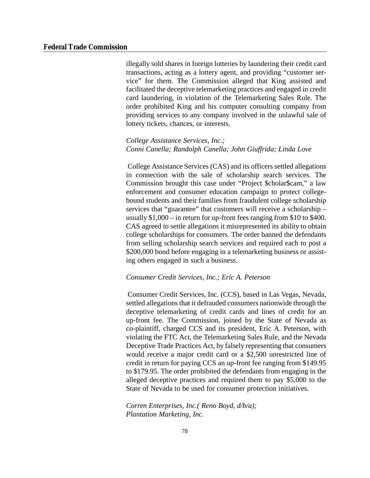illegally sold shares in foreign lotteries by laundering their credit card transactions, acting as a lottery agent, and providing "customer service" for them. The Commission alleged that King assisted and facilitated the deceptive telemarketing practices and engaged in credit card laundering, in violation of the Telemarketing Sales Rule. The order prohibited King and his computer consulting company from providing services to any company involved in the unlawful sale of lottery tickets, chances, or interests.

### *College Assistance Services, Inc.; Conni Canella; Randolph Canella; John Giuffrida; Linda Love*

College Assistance Services (CAS) and its officers settled allegations in connection with the sale of scholarship search services. The Commission brought this case under "Project \$cholar\$cam," a law enforcement and consumer education campaign to protect collegebound students and their families from fraudulent college scholarship services that "guarantee" that customers will receive a scholarship – usually \$1,000 – in return for up-front fees ranging from \$10 to \$400. CAS agreed to settle allegations it misrepresented its ability to obtain college scholarships for consumers. The order banned the defendants from selling scholarship search services and required each to post a \$200,000 bond before engaging in a telemarketing business or assisting others engaged in such a business.

#### *Consumer Credit Services, Inc.; Eric A. Peterson*

Consumer Credit Services, Inc. (CCS), based in Las Vegas, Nevada, settled allegations that it defrauded consumers nationwide through the deceptive telemarketing of credit cards and lines of credit for an up-front fee. The Commission, joined by the State of Nevada as co-plaintiff, charged CCS and its president, Eric A. Peterson, with violating the FTC Act, the Telemarketing Sales Rule, and the Nevada Deceptive Trade Practices Act, by falsely representing that consumers would receive a major credit card or a \$2,500 unrestricted line of credit in return for paying CCS an up-front fee ranging from \$149.95 to \$179.95. The order prohibited the defendants from engaging in the alleged deceptive practices and required them to pay \$5,000 to the State of Nevada to be used for consumer protection initiatives.

*Corren Enterprises, Inc.( Reno Boyd, d/b/a); Plantation Marketing, Inc.*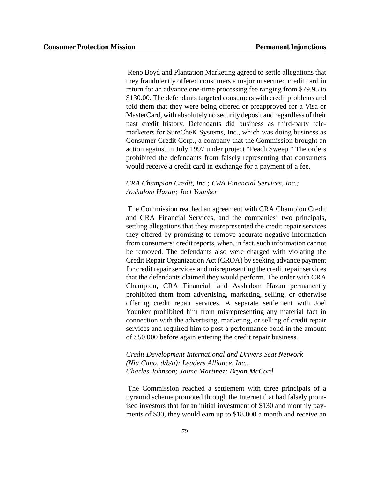Reno Boyd and Plantation Marketing agreed to settle allegations that they fraudulently offered consumers a major unsecured credit card in return for an advance one-time processing fee ranging from \$79.95 to \$130.00. The defendants targeted consumers with credit problems and told them that they were being offered or preapproved for a Visa or MasterCard, with absolutely no security deposit and regardless of their past credit history. Defendants did business as third-party telemarketers for SureCheK Systems, Inc., which was doing business as Consumer Credit Corp., a company that the Commission brought an action against in July 1997 under project "Peach Sweep." The orders prohibited the defendants from falsely representing that consumers would receive a credit card in exchange for a payment of a fee.

#### *CRA Champion Credit, Inc.; CRA Financial Services, Inc.; Avshalom Hazan; Joel Younker*

The Commission reached an agreement with CRA Champion Credit and CRA Financial Services, and the companies' two principals, settling allegations that they misrepresented the credit repair services they offered by promising to remove accurate negative information from consumers' credit reports, when, in fact, such information cannot be removed. The defendants also were charged with violating the Credit Repair Organization Act (CROA) by seeking advance payment for credit repair services and misrepresenting the credit repair services that the defendants claimed they would perform. The order with CRA Champion, CRA Financial, and Avshalom Hazan permanently prohibited them from advertising, marketing, selling, or otherwise offering credit repair services. A separate settlement with Joel Younker prohibited him from misrepresenting any material fact in connection with the advertising, marketing, or selling of credit repair services and required him to post a performance bond in the amount of \$50,000 before again entering the credit repair business.

*Credit Development International and Drivers Seat Network (Nia Cano, d/b/a); Leaders Alliance, Inc.; Charles Johnson; Jaime Martinez; Bryan McCord*

The Commission reached a settlement with three principals of a pyramid scheme promoted through the Internet that had falsely promised investors that for an initial investment of \$130 and monthly payments of \$30, they would earn up to \$18,000 a month and receive an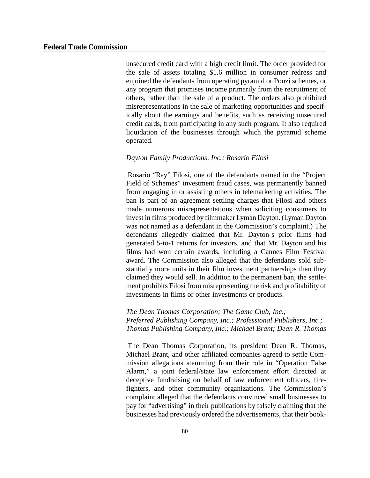unsecured credit card with a high credit limit. The order provided for the sale of assets totaling \$1.6 million in consumer redress and enjoined the defendants from operating pyramid or Ponzi schemes, or any program that promises income primarily from the recruitment of others, rather than the sale of a product. The orders also prohibited misrepresentations in the sale of marketing opportunities and specifically about the earnings and benefits, such as receiving unsecured credit cards, from participating in any such program. It also required liquidation of the businesses through which the pyramid scheme operated.

#### *Dayton Family Productions, Inc.; Rosario Filosi*

Rosario "Ray" Filosi, one of the defendants named in the "Project Field of Schemes" investment fraud cases, was permanently banned from engaging in or assisting others in telemarketing activities. The ban is part of an agreement settling charges that Filosi and others made numerous misrepresentations when soliciting consumers to invest in films produced by filmmaker Lyman Dayton. (Lyman Dayton was not named as a defendant in the Commission's complaint.) The defendants allegedly claimed that Mr. Dayton's prior films had generated 5-to-1 returns for investors, and that Mr. Dayton and his films had won certain awards, including a Cannes Film Festival award. The Commission also alleged that the defendants sold substantially more units in their film investment partnerships than they claimed they would sell. In addition to the permanent ban, the settlement prohibits Filosi from misrepresenting the risk and profitability of investments in films or other investments or products.

### *The Dean Thomas Corporation; The Game Club, Inc.; Preferred Publishing Company, Inc.; Professional Publishers, Inc.; Thomas Publishing Company, Inc.; Michael Brant; Dean R. Thomas*

The Dean Thomas Corporation, its president Dean R. Thomas, Michael Brant, and other affiliated companies agreed to settle Commission allegations stemming from their role in "Operation False Alarm," a joint federal/state law enforcement effort directed at deceptive fundraising on behalf of law enforcement officers, firefighters, and other community organizations. The Commission's complaint alleged that the defendants convinced small businesses to pay for "advertising" in their publications by falsely claiming that the businesses had previously ordered the advertisements, that their book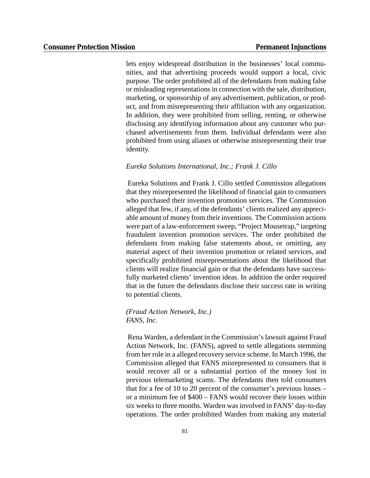lets enjoy widespread distribution in the businesses' local communities, and that advertising proceeds would support a local, civic purpose. The order prohibited all of the defendants from making false or misleading representations in connection with the sale, distribution, marketing, or sponsorship of any advertisement, publication, or product, and from misrepresenting their affiliation with any organization. In addition, they were prohibited from selling, renting, or otherwise disclosing any identifying information about any customer who purchased advertisements from them. Individual defendants were also prohibited from using aliases or otherwise misrepresenting their true identity.

#### *Eureka Solutions International, Inc.; Frank J. Cillo*

Eureka Solutions and Frank J. Cillo settled Commission allegations that they misrepresented the likelihood of financial gain to consumers who purchased their invention promotion services. The Commission alleged that few, if any, of the defendants' clients realized any appreciable amount of money from their inventions. The Commission actions were part of a law-enforcement sweep, "Project Mousetrap," targeting fraudulent invention promotion services. The order prohibited the defendants from making false statements about, or omitting, any material aspect of their invention promotion or related services, and specifically prohibited misrepresentations about the likelihood that clients will realize financial gain or that the defendants have successfully marketed clients' invention ideas. In addition the order required that in the future the defendants disclose their success rate in writing to potential clients.

#### *(Fraud Action Network, Inc.) FANS, Inc.*

Rena Warden, a defendant in the Commission's lawsuit against Fraud Action Network, Inc. (FANS), agreed to settle allegations stemming from her role in a alleged recovery service scheme. In March 1996, the Commission alleged that FANS misrepresented to consumers that it would recover all or a substantial portion of the money lost in previous telemarketing scams. The defendants then told consumers that for a fee of 10 to 20 percent of the consumer's previous losses – or a minimum fee of \$400 – FANS would recover their losses within six weeks to three months. Warden was involved in FANS' day-to-day operations. The order prohibited Warden from making any material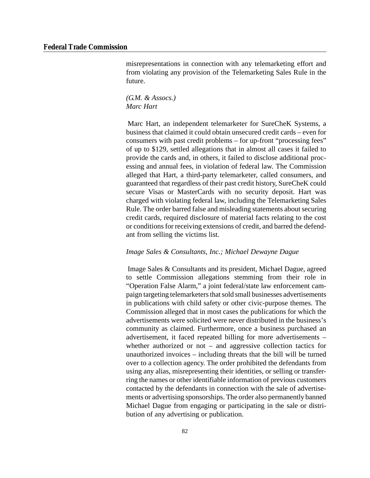misrepresentations in connection with any telemarketing effort and from violating any provision of the Telemarketing Sales Rule in the future.

#### *(G.M. & Assocs.) Marc Hart*

Marc Hart, an independent telemarketer for SureCheK Systems, a business that claimed it could obtain unsecured credit cards – even for consumers with past credit problems – for up-front "processing fees" of up to \$129, settled allegations that in almost all cases it failed to provide the cards and, in others, it failed to disclose additional processing and annual fees, in violation of federal law. The Commission alleged that Hart, a third-party telemarketer, called consumers, and guaranteed that regardless of their past credit history, SureCheK could secure Visas or MasterCards with no security deposit. Hart was charged with violating federal law, including the Telemarketing Sales Rule. The order barred false and misleading statements about securing credit cards, required disclosure of material facts relating to the cost or conditions for receiving extensions of credit, and barred the defendant from selling the victims list.

#### *Image Sales & Consultants*, *Inc.; Michael Dewayne Dague*

Image Sales & Consultants and its president, Michael Dague, agreed to settle Commission allegations stemming from their role in "Operation False Alarm," a joint federal/state law enforcement campaign targeting telemarketers that sold small businesses advertisements in publications with child safety or other civic-purpose themes. The Commission alleged that in most cases the publications for which the advertisements were solicited were never distributed in the business's community as claimed. Furthermore, once a business purchased an advertisement, it faced repeated billing for more advertisements – whether authorized or not – and aggressive collection tactics for unauthorized invoices – including threats that the bill will be turned over to a collection agency. The order prohibited the defendants from using any alias, misrepresenting their identities, or selling or transferring the names or other identifiable information of previous customers contacted by the defendants in connection with the sale of advertisements or advertising sponsorships. The order also permanently banned Michael Dague from engaging or participating in the sale or distribution of any advertising or publication.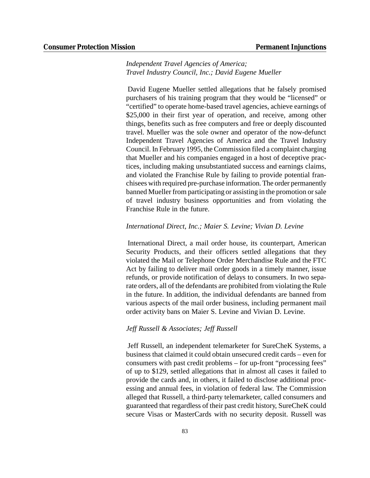#### *Independent Travel Agencies of America; Travel Industry Council, Inc.; David Eugene Mueller*

David Eugene Mueller settled allegations that he falsely promised purchasers of his training program that they would be "licensed" or "certified" to operate home-based travel agencies, achieve earnings of \$25,000 in their first year of operation, and receive, among other things, benefits such as free computers and free or deeply discounted travel. Mueller was the sole owner and operator of the now-defunct Independent Travel Agencies of America and the Travel Industry Council. In February 1995, the Commission filed a complaint charging that Mueller and his companies engaged in a host of deceptive practices, including making unsubstantiated success and earnings claims, and violated the Franchise Rule by failing to provide potential franchisees with required pre-purchase information. The order permanently banned Mueller from participating or assisting in the promotion orsale of travel industry business opportunities and from violating the Franchise Rule in the future.

#### *International Direct, Inc.; Maier S. Levine; Vivian D. Levine*

International Direct, a mail order house, its counterpart, American Security Products, and their officers settled allegations that they violated the Mail or Telephone Order Merchandise Rule and the FTC Act by failing to deliver mail order goods in a timely manner, issue refunds, or provide notification of delays to consumers. In two separate orders, all of the defendants are prohibited from violating the Rule in the future. In addition, the individual defendants are banned from various aspects of the mail order business, including permanent mail order activity bans on Maier S. Levine and Vivian D. Levine.

#### *Jeff Russell & Associates; Jeff Russell*

Jeff Russell, an independent telemarketer for SureCheK Systems, a business that claimed it could obtain unsecured credit cards – even for consumers with past credit problems – for up-front "processing fees" of up to \$129, settled allegations that in almost all cases it failed to provide the cards and, in others, it failed to disclose additional processing and annual fees, in violation of federal law. The Commission alleged that Russell, a third-party telemarketer, called consumers and guaranteed that regardless of their past credit history, SureCheK could secure Visas or MasterCards with no security deposit. Russell was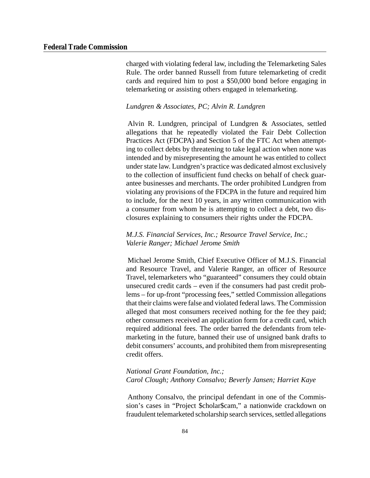charged with violating federal law, including the Telemarketing Sales Rule. The order banned Russell from future telemarketing of credit cards and required him to post a \$50,000 bond before engaging in telemarketing or assisting others engaged in telemarketing.

#### *Lundgren & Associates, PC; Alvin R. Lundgren*

Alvin R. Lundgren, principal of Lundgren & Associates, settled allegations that he repeatedly violated the Fair Debt Collection Practices Act (FDCPA) and Section 5 of the FTC Act when attempting to collect debts by threatening to take legal action when none was intended and by misrepresenting the amount he was entitled to collect under state law. Lundgren's practice was dedicated almost exclusively to the collection of insufficient fund checks on behalf of check guarantee businesses and merchants. The order prohibited Lundgren from violating any provisions of the FDCPA in the future and required him to include, for the next 10 years, in any written communication with a consumer from whom he is attempting to collect a debt, two disclosures explaining to consumers their rights under the FDCPA.

#### *M.J.S. Financial Services, Inc.; Resource Travel Service, Inc.; Valerie Ranger; Michael Jerome Smith*

Michael Jerome Smith, Chief Executive Officer of M.J.S. Financial and Resource Travel, and Valerie Ranger, an officer of Resource Travel, telemarketers who "guaranteed" consumers they could obtain unsecured credit cards – even if the consumers had past credit problems – for up-front "processing fees," settled Commission allegations that their claims were false and violated federal laws. The Commission alleged that most consumers received nothing for the fee they paid; other consumers received an application form for a credit card, which required additional fees. The order barred the defendants from telemarketing in the future, banned their use of unsigned bank drafts to debit consumers' accounts, and prohibited them from misrepresenting credit offers.

#### *National Grant Foundation, Inc.; Carol Clough; Anthony Consalvo; Beverly Jansen; Harriet Kaye*

Anthony Consalvo, the principal defendant in one of the Commission's cases in "Project \$cholar\$cam," a nationwide crackdown on fraudulent telemarketed scholarship search services, settled allegations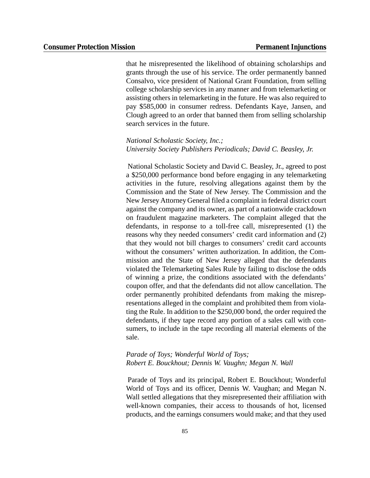that he misrepresented the likelihood of obtaining scholarships and grants through the use of his service. The order permanently banned Consalvo, vice president of National Grant Foundation, from selling college scholarship services in any manner and from telemarketing or assisting others in telemarketing in the future. He was also required to pay \$585,000 in consumer redress. Defendants Kaye, Jansen, and Clough agreed to an order that banned them from selling scholarship search services in the future.

#### *National Scholastic Society, Inc.; University Society Publishers Periodicals; David C. Beasley, Jr.*

National Scholastic Society and David C. Beasley, Jr., agreed to post a \$250,000 performance bond before engaging in any telemarketing activities in the future, resolving allegations against them by the Commission and the State of New Jersey. The Commission and the New Jersey Attorney General filed a complaint in federal district court against the company and its owner, as part of a nationwide crackdown on fraudulent magazine marketers. The complaint alleged that the defendants, in response to a toll-free call, misrepresented (1) the reasons why they needed consumers' credit card information and (2) that they would not bill charges to consumers' credit card accounts without the consumers' written authorization. In addition, the Commission and the State of New Jersey alleged that the defendants violated the Telemarketing Sales Rule by failing to disclose the odds of winning a prize, the conditions associated with the defendants' coupon offer, and that the defendants did not allow cancellation. The order permanently prohibited defendants from making the misrepresentations alleged in the complaint and prohibited them from violating the Rule. In addition to the \$250,000 bond, the order required the defendants, if they tape record any portion of a sales call with consumers, to include in the tape recording all material elements of the sale.

#### *Parade of Toys; Wonderful World of Toys; Robert E. Bouckhout; Dennis W. Vaughn; Megan N. Wall*

Parade of Toys and its principal, Robert E. Bouckhout; Wonderful World of Toys and its officer, Dennis W. Vaughan; and Megan N. Wall settled allegations that they misrepresented their affiliation with well-known companies, their access to thousands of hot, licensed products, and the earnings consumers would make; and that they used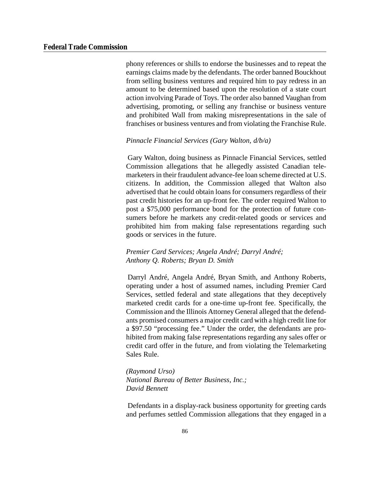phony references or shills to endorse the businesses and to repeat the earnings claims made by the defendants. The order banned Bouckhout from selling business ventures and required him to pay redress in an amount to be determined based upon the resolution of a state court action involving Parade of Toys. The order also banned Vaughan from advertising, promoting, or selling any franchise or business venture and prohibited Wall from making misrepresentations in the sale of franchises or business ventures and from violating the Franchise Rule.

#### *Pinnacle Financial Services (Gary Walton, d/b/a)*

Gary Walton, doing business as Pinnacle Financial Services, settled Commission allegations that he allegedly assisted Canadian telemarketers in their fraudulent advance-fee loan scheme directed at U.S. citizens. In addition, the Commission alleged that Walton also advertised that he could obtain loans for consumers regardless of their past credit histories for an up-front fee. The order required Walton to post a \$75,000 performance bond for the protection of future consumers before he markets any credit-related goods or services and prohibited him from making false representations regarding such goods or services in the future.

*Premier Card Services; Angela André; Darryl André; Anthony Q. Roberts; Bryan D. Smith*

Darryl André, Angela André, Bryan Smith, and Anthony Roberts, operating under a host of assumed names, including Premier Card Services, settled federal and state allegations that they deceptively marketed credit cards for a one-time up-front fee. Specifically, the Commission and the Illinois Attorney General alleged that the defendants promised consumers a major credit card with a high credit line for a \$97.50 "processing fee." Under the order, the defendants are prohibited from making false representations regarding any sales offer or credit card offer in the future, and from violating the Telemarketing Sales Rule.

*(Raymond Urso) National Bureau of Better Business, Inc.; David Bennett*

Defendants in a display-rack business opportunity for greeting cards and perfumes settled Commission allegations that they engaged in a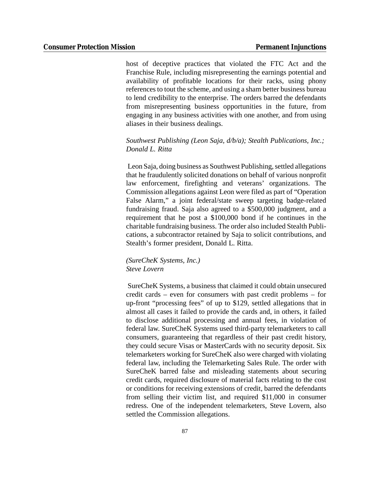host of deceptive practices that violated the FTC Act and the Franchise Rule, including misrepresenting the earnings potential and availability of profitable locations for their racks, using phony references to tout the scheme, and using a sham better business bureau to lend credibility to the enterprise. The orders barred the defendants from misrepresenting business opportunities in the future, from engaging in any business activities with one another, and from using aliases in their business dealings.

#### *Southwest Publishing (Leon Saja, d/b/a); Stealth Publications, Inc.; Donald L. Ritta*

Leon Saja, doing business as Southwest Publishing, settled allegations that he fraudulently solicited donations on behalf of various nonprofit law enforcement, firefighting and veterans' organizations. The Commission allegations against Leon were filed as part of "Operation False Alarm," a joint federal/state sweep targeting badge-related fundraising fraud. Saja also agreed to a \$500,000 judgment, and a requirement that he post a \$100,000 bond if he continues in the charitable fundraising business. The order also included Stealth Publications, a subcontractor retained by Saja to solicit contributions, and Stealth's former president, Donald L. Ritta.

*(SureCheK Systems, Inc.) Steve Lovern*

SureCheK Systems, a business that claimed it could obtain unsecured credit cards – even for consumers with past credit problems – for up-front "processing fees" of up to \$129, settled allegations that in almost all cases it failed to provide the cards and, in others, it failed to disclose additional processing and annual fees, in violation of federal law. SureCheK Systems used third-party telemarketers to call consumers, guaranteeing that regardless of their past credit history, they could secure Visas or MasterCards with no security deposit. Six telemarketers working for SureCheK also were charged with violating federal law, including the Telemarketing Sales Rule. The order with SureCheK barred false and misleading statements about securing credit cards, required disclosure of material facts relating to the cost or conditions for receiving extensions of credit, barred the defendants from selling their victim list, and required \$11,000 in consumer redress. One of the independent telemarketers, Steve Lovern, also settled the Commission allegations.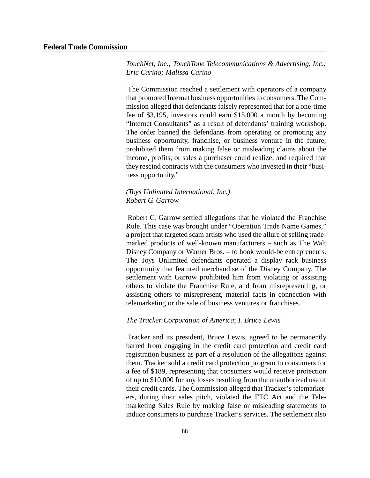*TouchNet, Inc.; TouchTone Telecommunications & Advertising, Inc.; Eric Carino; Malissa Carino*

The Commission reached a settlement with operators of a company that promoted Internet business opportunities to consumers. The Commission alleged that defendants falsely represented that for a one-time fee of \$3,195, investors could earn \$15,000 a month by becoming "Internet Consultants" as a result of defendants' training workshop. The order banned the defendants from operating or promoting any business opportunity, franchise, or business venture in the future; prohibited them from making false or misleading claims about the income, profits, or sales a purchaser could realize; and required that they rescind contracts with the consumers who invested in their "business opportunity."

#### *(Toys Unlimited International, Inc.) Robert G. Garrow*

Robert G. Garrow settled allegations that he violated the Franchise Rule. This case was brought under "Operation Trade Name Games," a project that targeted scam artists who used the allure of selling trademarked products of well-known manufacturers – such as The Walt Disney Company or Warner Bros. – to hook would-be entrepreneurs. The Toys Unlimited defendants operated a display rack business opportunity that featured merchandise of the Disney Company. The settlement with Garrow prohibited him from violating or assisting others to violate the Franchise Rule, and from misrepresenting, or assisting others to misrepresent, material facts in connection with telemarketing or the sale of business ventures or franchises.

#### *The Tracker Corporation of America*; *I. Bruce Lewis*

Tracker and its president, Bruce Lewis, agreed to be permanently barred from engaging in the credit card protection and credit card registration business as part of a resolution of the allegations against them. Tracker sold a credit card protection program to consumers for a fee of \$189, representing that consumers would receive protection of up to \$10,000 for any losses resulting from the unauthorized use of their credit cards. The Commission alleged that Tracker's telemarketers, during their sales pitch, violated the FTC Act and the Telemarketing Sales Rule by making false or misleading statements to induce consumers to purchase Tracker's services. The settlement also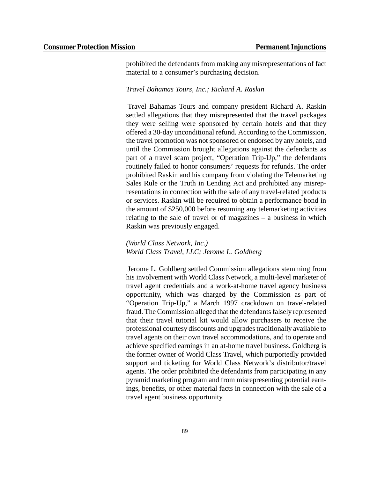prohibited the defendants from making any misrepresentations of fact material to a consumer's purchasing decision.

#### *Travel Bahamas Tours, Inc.; Richard A. Raskin*

Travel Bahamas Tours and company president Richard A. Raskin settled allegations that they misrepresented that the travel packages they were selling were sponsored by certain hotels and that they offered a 30-day unconditional refund. According to the Commission, the travel promotion was not sponsored or endorsed by any hotels, and until the Commission brought allegations against the defendants as part of a travel scam project, "Operation Trip-Up," the defendants routinely failed to honor consumers' requests for refunds. The order prohibited Raskin and his company from violating the Telemarketing Sales Rule or the Truth in Lending Act and prohibited any misrepresentations in connection with the sale of any travel-related products or services. Raskin will be required to obtain a performance bond in the amount of \$250,000 before resuming any telemarketing activities relating to the sale of travel or of magazines – a business in which Raskin was previously engaged.

#### *(World Class Network, Inc.) World Class Travel, LLC; Jerome L. Goldberg*

Jerome L. Goldberg settled Commission allegations stemming from his involvement with World Class Network, a multi-level marketer of travel agent credentials and a work-at-home travel agency business opportunity, which was charged by the Commission as part of "Operation Trip-Up," a March 1997 crackdown on travel-related fraud. The Commission alleged that the defendants falsely represented that their travel tutorial kit would allow purchasers to receive the professional courtesy discounts and upgradestraditionally available to travel agents on their own travel accommodations, and to operate and achieve specified earnings in an at-home travel business. Goldberg is the former owner of World Class Travel, which purportedly provided support and ticketing for World Class Network's distributor/travel agents. The order prohibited the defendants from participating in any pyramid marketing program and from misrepresenting potential earnings, benefits, or other material facts in connection with the sale of a travel agent business opportunity.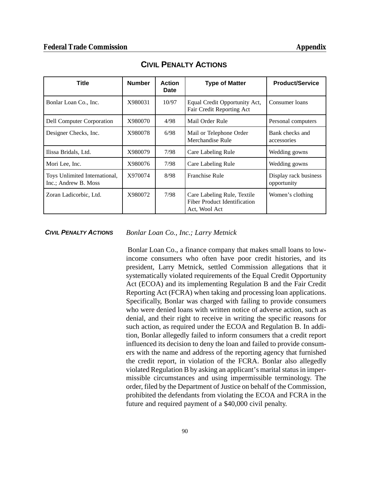| Title                                                 | <b>Number</b> | <b>Action</b><br><b>Date</b> | <b>Type of Matter</b>                                                        | <b>Product/Service</b>               |
|-------------------------------------------------------|---------------|------------------------------|------------------------------------------------------------------------------|--------------------------------------|
| Bonlar Loan Co., Inc.                                 | X980031       | 10/97                        | Equal Credit Opportunity Act,<br>Fair Credit Reporting Act                   | Consumer loans                       |
| Dell Computer Corporation                             | X980070       | 4/98                         | Mail Order Rule                                                              | Personal computers                   |
| Designer Checks, Inc.                                 | X980078       | 6/98                         | Mail or Telephone Order<br>Merchandise Rule                                  | Bank checks and<br>accessories       |
| Ilissa Bridals, Ltd.                                  | X980079       | 7/98                         | Care Labeling Rule                                                           | Wedding gowns                        |
| Mori Lee, Inc.                                        | X980076       | 7/98                         | Care Labeling Rule                                                           | Wedding gowns                        |
| Toys Unlimited International,<br>Inc.; Andrew B. Moss | X970074       | 8/98                         | <b>Franchise Rule</b>                                                        | Display rack business<br>opportunity |
| Zoran Ladicorbic, Ltd.                                | X980072       | 7/98                         | Care Labeling Rule, Textile<br>Fiber Product Identification<br>Act, Wool Act | Women's clothing                     |

**CIVIL PENALTY ACTIONS** 

*CIVIL PENALTY ACTIONS Bonlar Loan Co., Inc.; Larry Metnick*

Bonlar Loan Co., a finance company that makes small loans to lowincome consumers who often have poor credit histories, and its president, Larry Metnick, settled Commission allegations that it systematically violated requirements of the Equal Credit Opportunity Act (ECOA) and its implementing Regulation B and the Fair Credit Reporting Act (FCRA) when taking and processing loan applications. Specifically, Bonlar was charged with failing to provide consumers who were denied loans with written notice of adverse action, such as denial, and their right to receive in writing the specific reasons for such action, as required under the ECOA and Regulation B. In addition, Bonlar allegedly failed to inform consumers that a credit report influenced its decision to deny the loan and failed to provide consumers with the name and address of the reporting agency that furnished the credit report, in violation of the FCRA. Bonlar also allegedly violated Regulation B by asking an applicant's marital statusin impermissible circumstances and using impermissible terminology. The order, filed by the Department of Justice on behalf of the Commission, prohibited the defendants from violating the ECOA and FCRA in the future and required payment of a \$40,000 civil penalty.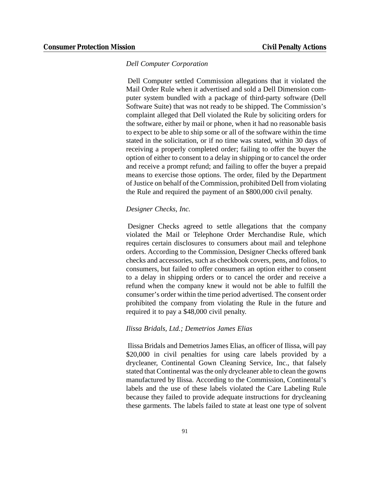#### *Dell Computer Corporation*

Dell Computer settled Commission allegations that it violated the Mail Order Rule when it advertised and sold a Dell Dimension computer system bundled with a package of third-party software (Dell Software Suite) that was not ready to be shipped. The Commission's complaint alleged that Dell violated the Rule by soliciting orders for the software, either by mail or phone, when it had no reasonable basis to expect to be able to ship some or all of the software within the time stated in the solicitation, or if no time was stated, within 30 days of receiving a properly completed order; failing to offer the buyer the option of either to consent to a delay in shipping or to cancel the order and receive a prompt refund; and failing to offer the buyer a prepaid means to exercise those options. The order, filed by the Department of Justice on behalf of the Commission, prohibited Dell from violating the Rule and required the payment of an \$800,000 civil penalty.

#### *Designer Checks, Inc.*

Designer Checks agreed to settle allegations that the company violated the Mail or Telephone Order Merchandise Rule, which requires certain disclosures to consumers about mail and telephone orders. According to the Commission, Designer Checks offered bank checks and accessories, such as checkbook covers, pens, and folios, to consumers, but failed to offer consumers an option either to consent to a delay in shipping orders or to cancel the order and receive a refund when the company knew it would not be able to fulfill the consumer's order within the time period advertised. The consent order prohibited the company from violating the Rule in the future and required it to pay a \$48,000 civil penalty.

#### *Ilissa Bridals, Ltd.; Demetrios James Elias*

Ilissa Bridals and Demetrios James Elias, an officer of Ilissa, will pay \$20,000 in civil penalties for using care labels provided by a drycleaner, Continental Gown Cleaning Service, Inc., that falsely stated that Continental was the only drycleaner able to clean the gowns manufactured by Ilissa. According to the Commission, Continental's labels and the use of these labels violated the Care Labeling Rule because they failed to provide adequate instructions for drycleaning these garments. The labels failed to state at least one type of solvent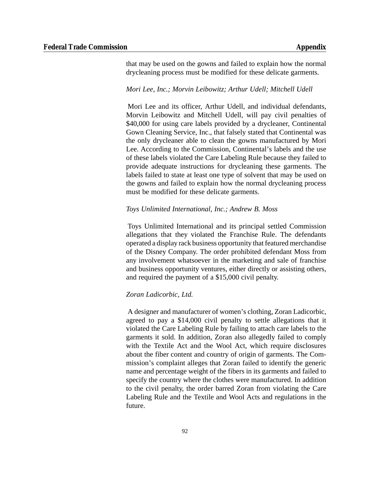that may be used on the gowns and failed to explain how the normal drycleaning process must be modified for these delicate garments.

#### *Mori Lee, Inc.; Morvin Leibowitz; Arthur Udell; Mitchell Udell*

Mori Lee and its officer, Arthur Udell, and individual defendants, Morvin Leibowitz and Mitchell Udell, will pay civil penalties of \$40,000 for using care labels provided by a drycleaner, Continental Gown Cleaning Service, Inc., that falsely stated that Continental was the only drycleaner able to clean the gowns manufactured by Mori Lee. According to the Commission, Continental's labels and the use of these labels violated the Care Labeling Rule because they failed to provide adequate instructions for drycleaning these garments. The labels failed to state at least one type of solvent that may be used on the gowns and failed to explain how the normal drycleaning process must be modified for these delicate garments.

#### *Toys Unlimited International, Inc.; Andrew B. Moss*

Toys Unlimited International and its principal settled Commission allegations that they violated the Franchise Rule. The defendants operated a display rack business opportunity that featured merchandise of the Disney Company. The order prohibited defendant Moss from any involvement whatsoever in the marketing and sale of franchise and business opportunity ventures, either directly or assisting others, and required the payment of a \$15,000 civil penalty.

#### *Zoran Ladicorbic, Ltd.*

A designer and manufacturer of women's clothing, Zoran Ladicorbic, agreed to pay a \$14,000 civil penalty to settle allegations that it violated the Care Labeling Rule by failing to attach care labels to the garments it sold. In addition, Zoran also allegedly failed to comply with the Textile Act and the Wool Act, which require disclosures about the fiber content and country of origin of garments. The Commission's complaint alleges that Zoran failed to identify the generic name and percentage weight of the fibers in its garments and failed to specify the country where the clothes were manufactured. In addition to the civil penalty, the order barred Zoran from violating the Care Labeling Rule and the Textile and Wool Acts and regulations in the future.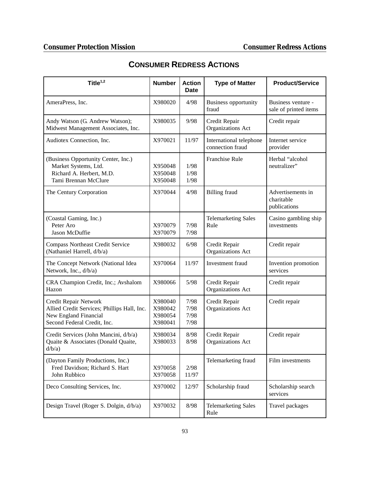# **CONSUMER REDRESS ACTIONS**

| Title $1,2$                                                                                                                  | <b>Number</b>                            | <b>Action</b><br><b>Date</b> | <b>Type of Matter</b>                       | <b>Product/Service</b>                          |
|------------------------------------------------------------------------------------------------------------------------------|------------------------------------------|------------------------------|---------------------------------------------|-------------------------------------------------|
| AmeraPress, Inc.                                                                                                             | X980020                                  | 4/98                         | <b>Business opportunity</b><br>fraud        | Business venture -<br>sale of printed items     |
| Andy Watson (G. Andrew Watson);<br>Midwest Management Associates, Inc.                                                       | X980035                                  | 9/98                         | Credit Repair<br>Organizations Act          | Credit repair                                   |
| Audiotex Connection, Inc.                                                                                                    | X970021                                  | 11/97                        | International telephone<br>connection fraud | Internet service<br>provider                    |
| (Business Opportunity Center, Inc.)<br>Market Systems, Ltd.<br>Richard A. Herbert, M.D.<br>Tami Brennan McClure              | X950048<br>X950048<br>X950048            | 1/98<br>1/98<br>1/98         | Franchise Rule                              | Herbal "alcohol<br>neutralizer"                 |
| The Century Corporation                                                                                                      | X970044                                  | 4/98                         | <b>Billing</b> fraud                        | Advertisements in<br>charitable<br>publications |
| (Coastal Gaming, Inc.)<br>Peter Aro<br>Jason McDuffie                                                                        | X970079<br>X970079                       | 7/98<br>7/98                 | <b>Telemarketing Sales</b><br>Rule          | Casino gambling ship<br>investments             |
| <b>Compass Northeast Credit Service</b><br>(Nathaniel Harrell, d/b/a)                                                        | X980032                                  | 6/98                         | Credit Repair<br>Organizations Act          | Credit repair                                   |
| The Concept Network (National Idea<br>Network, Inc., d/b/a)                                                                  | X970064                                  | 11/97                        | Investment fraud                            | Invention promotion<br>services                 |
| CRA Champion Credit, Inc.; Avshalom<br>Hazon                                                                                 | X980066                                  | 5/98                         | Credit Repair<br>Organizations Act          | Credit repair                                   |
| Credit Repair Network<br>Allied Credit Services; Phillips Hall, Inc.<br>New England Financial<br>Second Federal Credit, Inc. | X980040<br>X980042<br>X980054<br>X980041 | 7/98<br>7/98<br>7/98<br>7/98 | Credit Repair<br>Organizations Act          | Credit repair                                   |
| Credit Services (John Mancini, d/b/a)<br>Quaite & Associates (Donald Quaite,<br>d/b/a                                        | X980034<br>X980033                       | 8/98<br>8/98                 | Credit Repair<br>Organizations Act          | Credit repair                                   |
| (Dayton Family Productions, Inc.)<br>Fred Davidson; Richard S. Hart<br>John Rubbico                                          | X970058<br>X970058                       | 2/98<br>11/97                | Telemarketing fraud                         | Film investments                                |
| Deco Consulting Services, Inc.                                                                                               | X970002                                  | 12/97                        | Scholarship fraud                           | Scholarship search<br>services                  |
| Design Travel (Roger S. Dolgin, d/b/a)                                                                                       | X970032                                  | 8/98                         | <b>Telemarketing Sales</b><br>Rule          | Travel packages                                 |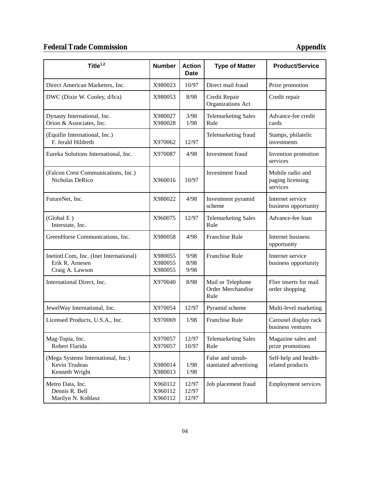# **Federal Trade Commission Appendix**

| Title $1,2$                                                                   | <b>Number</b>                 | <b>Action</b><br><b>Date</b> | <b>Type of Matter</b>                          | <b>Product/Service</b>                           |
|-------------------------------------------------------------------------------|-------------------------------|------------------------------|------------------------------------------------|--------------------------------------------------|
| Direct American Marketers, Inc.                                               | X980023                       | 10/97                        | Direct mail fraud                              | Prize promotion                                  |
| DWC (Dixie W. Cooley, d/b/a)                                                  | X980053                       | 8/98                         | Credit Repair<br>Organizations Act             | Credit repair                                    |
| Dynasty International, Inc.<br>Orion & Associates, Inc.                       | X980027<br>X980028            | 3/98<br>1/98                 | <b>Telemarketing Sales</b><br>Rule             | Advance-fee credit<br>cards                      |
| (Equifin International, Inc.)<br>F. Jerald Hildreth                           | X970062                       | 12/97                        | Telemarketing fraud                            | Stamps, philatelic<br>investments                |
| Eureka Solutions International, Inc.                                          | X970087                       | 4/98                         | Investment fraud                               | Invention promotion<br>services                  |
| (Falcon Crest Communications, Inc.)<br>Nicholas DeRico                        | X960016                       | 10/97                        | Investment fraud                               | Mobile radio and<br>paging licensing<br>services |
| FutureNet, Inc.                                                               | X980022                       | 4/98                         | Investment pyramid<br>scheme                   | Internet service<br>business opportunity         |
| (Global E)<br>Interstate, Inc.                                                | X960075                       | 12/97                        | <b>Telemarketing Sales</b><br>Rule             | Advance-fee loan                                 |
| GreenHorse Communications, Inc.                                               | X980058                       | 4/98                         | Franchise Rule                                 | Internet business<br>opportunity                 |
| Inetintl.Com, Inc. (Inet International)<br>Erik R. Arnesen<br>Craig A. Lawson | X980055<br>X980055<br>X980055 | 9/98<br>8/98<br>9/98         | <b>Franchise Rule</b>                          | Internet service<br>business opportunity         |
| International Direct, Inc.                                                    | X970040                       | 8/98                         | Mail or Telephone<br>Order Merchandise<br>Rule | Flier inserts for mail<br>order shopping         |
| JewelWay International, Inc.                                                  | X970054                       | 12/97                        | Pyramid scheme                                 | Multi-level marketing                            |
| Licensed Products, U.S.A., Inc.                                               | X970069                       | 1/98                         | Franchise Rule                                 | Carousel display rack<br>business ventures       |
| Mag-Topia, Inc.<br>Robert Flarida                                             | X970057<br>X970057            | 12/97<br>10/97               | <b>Telemarketing Sales</b><br>Rule             | Magazine sales and<br>prize promotions           |
| (Mega Systems International, Inc.)<br>Kevin Trudeau<br>Kenneth Wright         | X980014<br>X980013            | 1/98<br>1/98                 | False and unsub-<br>stantiated advertising     | Self-help and health-<br>related products        |
| Metro Data, Inc.<br>Dennis R. Bell<br>Marilyn N. Koblasz                      | X960112<br>X960112<br>X960112 | 12/97<br>12/97<br>12/97      | Job placement fraud                            | <b>Employment services</b>                       |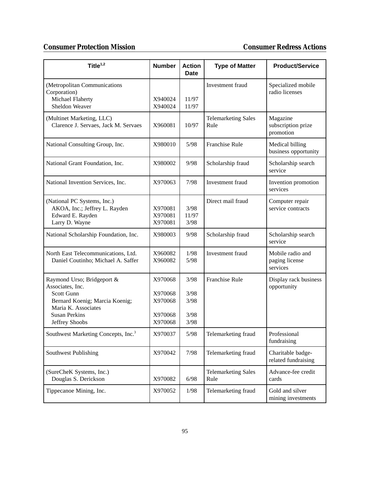# **Consumer Protection Mission** *Consumer Redress Actions*

| Title $1,2$                                                                                                                                                     | <b>Number</b>                                       | <b>Action</b><br><b>Date</b>         | <b>Type of Matter</b>              | <b>Product/Service</b>                         |
|-----------------------------------------------------------------------------------------------------------------------------------------------------------------|-----------------------------------------------------|--------------------------------------|------------------------------------|------------------------------------------------|
| (Metropolitan Communications<br>Corporation)<br>Michael Flaherty<br>Sheldon Weaver                                                                              | X940024<br>X940024                                  | 11/97<br>11/97                       | Investment fraud                   | Specialized mobile<br>radio licenses           |
| (Multinet Marketing, LLC)<br>Clarence J. Servaes, Jack M. Servaes                                                                                               | X960081                                             | 10/97                                | <b>Telemarketing Sales</b><br>Rule | Magazine<br>subscription prize<br>promotion    |
| National Consulting Group, Inc.                                                                                                                                 | X980010                                             | 5/98                                 | Franchise Rule                     | Medical billing<br>business opportunity        |
| National Grant Foundation, Inc.                                                                                                                                 | X980002                                             | 9/98                                 | Scholarship fraud                  | Scholarship search<br>service                  |
| National Invention Services, Inc.                                                                                                                               | X970063                                             | 7/98                                 | Investment fraud                   | Invention promotion<br>services                |
| (National PC Systems, Inc.)<br>AKOA, Inc.; Jeffrey L. Rayden<br>Edward E. Rayden<br>Larry D. Wayne                                                              | X970081<br>X970081<br>X970081                       | 3/98<br>11/97<br>3/98                | Direct mail fraud                  | Computer repair<br>service contracts           |
| National Scholarship Foundation, Inc.                                                                                                                           | X980003                                             | 9/98                                 | Scholarship fraud                  | Scholarship search<br>service                  |
| North East Telecommunications, Ltd.<br>Daniel Coutinho; Michael A. Saffer                                                                                       | X960082<br>X960082                                  | 1/98<br>5/98                         | Investment fraud                   | Mobile radio and<br>paging license<br>services |
| Raymond Urso; Bridgeport &<br>Associates, Inc.<br>Scott Gunn<br>Bernard Koenig; Marcia Koenig;<br>Maria K. Associates<br><b>Susan Perkins</b><br>Jeffrey Shoobs | X970068<br>X970068<br>X970068<br>X970068<br>X970068 | 3/98<br>3/98<br>3/98<br>3/98<br>3/98 | Franchise Rule                     | Display rack business<br>opportunity           |
| Southwest Marketing Concepts, Inc. <sup>3</sup>                                                                                                                 | X970037                                             | 5/98                                 | Telemarketing fraud                | Professional<br>fundraising                    |
| Southwest Publishing                                                                                                                                            | X970042                                             | 7/98                                 | Telemarketing fraud                | Charitable badge-<br>related fundraising       |
| (SureCheK Systems, Inc.)<br>Douglas S. Derickson                                                                                                                | X970082                                             | 6/98                                 | <b>Telemarketing Sales</b><br>Rule | Advance-fee credit<br>cards                    |
| Tippecanoe Mining, Inc.                                                                                                                                         | X970052                                             | 1/98                                 | Telemarketing fraud                | Gold and silver<br>mining investments          |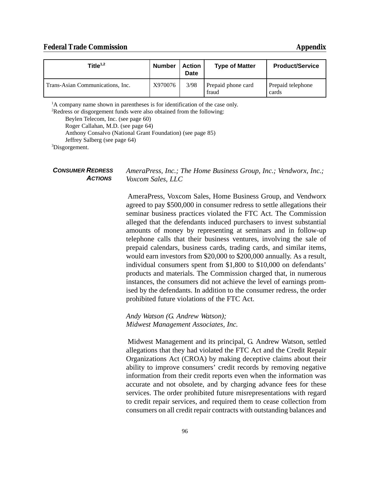#### **Federal Trade Commission Appendix**

| Title $1,2$                             | <b>Number</b> | <b>Action</b><br><b>Date</b> | <b>Type of Matter</b>       | <b>Product/Service</b>     |
|-----------------------------------------|---------------|------------------------------|-----------------------------|----------------------------|
| <b>Trans-Asian Communications. Inc.</b> | X970076       | 3/98                         | Prepaid phone card<br>fraud | Prepaid telephone<br>cards |

<sup>1</sup>A company name shown in parentheses is for identification of the case only.

<sup>2</sup>Redress or disgorgement funds were also obtained from the following:

Beylen Telecom, Inc. (see page 60)

Roger Callahan, M.D. (see page 64)

Anthony Consalvo (National Grant Foundation) (see page 85)

Jeffrey Salberg (see page 64)

<sup>3</sup>Disgorgement.

#### *CONSUMER REDRESS ACTIONS*

*AmeraPress, Inc.; The Home Business Group, Inc.; Vendworx, Inc.; Voxcom Sales, LLC*

AmeraPress, Voxcom Sales, Home Business Group, and Vendworx agreed to pay \$500,000 in consumer redress to settle allegations their seminar business practices violated the FTC Act. The Commission alleged that the defendants induced purchasers to invest substantial amounts of money by representing at seminars and in follow-up telephone calls that their business ventures, involving the sale of prepaid calendars, business cards, trading cards, and similar items, would earn investors from \$20,000 to \$200,000 annually. As a result, individual consumers spent from \$1,800 to \$10,000 on defendants' products and materials. The Commission charged that, in numerous instances, the consumers did not achieve the level of earnings promised by the defendants. In addition to the consumer redress, the order prohibited future violations of the FTC Act.

*Andy Watson (G. Andrew Watson); Midwest Management Associates, Inc.*

Midwest Management and its principal, G. Andrew Watson, settled allegations that they had violated the FTC Act and the Credit Repair Organizations Act (CROA) by making deceptive claims about their ability to improve consumers' credit records by removing negative information from their credit reports even when the information was accurate and not obsolete, and by charging advance fees for these services. The order prohibited future misrepresentations with regard to credit repair services, and required them to cease collection from consumers on all credit repair contracts with outstanding balances and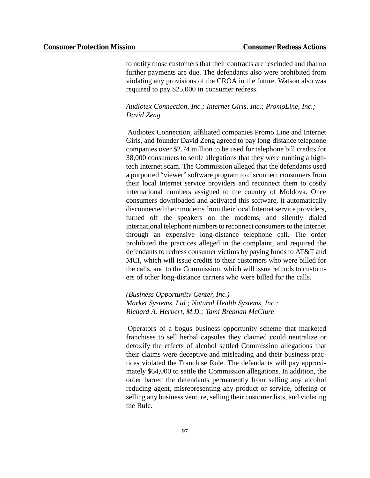to notify those customers that their contracts are rescinded and that no further payments are due. The defendants also were prohibited from violating any provisions of the CROA in the future. Watson also was required to pay \$25,000 in consumer redress.

#### *Audiotex Connection, Inc.; Internet Girls, Inc.; PromoLine, Inc.; David Zeng*

Audiotex Connection, affiliated companies Promo Line and Internet Girls, and founder David Zeng agreed to pay long-distance telephone companies over \$2.74 million to be used for telephone bill credits for 38,000 consumers to settle allegations that they were running a hightech Internet scam. The Commission alleged that the defendants used a purported "viewer" software program to disconnect consumers from their local Internet service providers and reconnect them to costly international numbers assigned to the country of Moldova. Once consumers downloaded and activated this software, it automatically disconnected their modems from their local Internet service providers, turned off the speakers on the modems, and silently dialed international telephone numbers to reconnect consumers to the Internet through an expensive long-distance telephone call. The order prohibited the practices alleged in the complaint, and required the defendants to redress consumer victims by paying funds to AT&T and MCI, which will issue credits to their customers who were billed for the calls, and to the Commission, which will issue refunds to customers of other long-distance carriers who were billed for the calls.

*(Business Opportunity Center, Inc.) Market Systems, Ltd.; Natural Health Systems, Inc.; Richard A. Herbert, M.D.; Tami Brennan McClure*

Operators of a bogus business opportunity scheme that marketed franchises to sell herbal capsules they claimed could neutralize or detoxify the effects of alcohol settled Commission allegations that their claims were deceptive and misleading and their business practices violated the Franchise Rule. The defendants will pay approximately \$64,000 to settle the Commission allegations. In addition, the order barred the defendants permanently from selling any alcohol reducing agent, misrepresenting any product or service, offering or selling any business venture, selling their customer lists, and violating the Rule.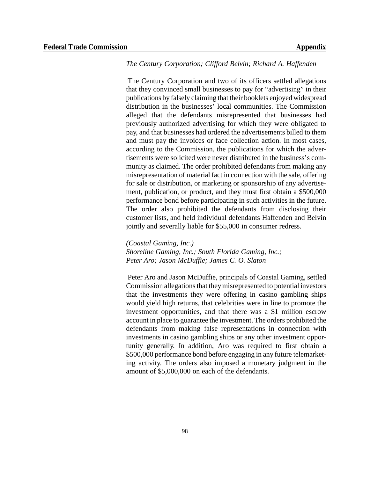#### *The Century Corporation; Clifford Belvin; Richard A. Haffenden*

The Century Corporation and two of its officers settled allegations that they convinced small businesses to pay for "advertising" in their publications by falsely claiming that their booklets enjoyed widespread distribution in the businesses' local communities. The Commission alleged that the defendants misrepresented that businesses had previously authorized advertising for which they were obligated to pay, and that businesses had ordered the advertisements billed to them and must pay the invoices or face collection action. In most cases, according to the Commission, the publications for which the advertisements were solicited were never distributed in the business's community as claimed. The order prohibited defendants from making any misrepresentation of material fact in connection with the sale, offering for sale or distribution, or marketing or sponsorship of any advertisement, publication, or product, and they must first obtain a \$500,000 performance bond before participating in such activities in the future. The order also prohibited the defendants from disclosing their customer lists, and held individual defendants Haffenden and Belvin jointly and severally liable for \$55,000 in consumer redress.

*(Coastal Gaming, Inc.) Shoreline Gaming, Inc.; South Florida Gaming, Inc.; Peter Aro; Jason McDuffie; James C. O. Slaton*

Peter Aro and Jason McDuffie, principals of Coastal Gaming, settled Commission allegations that they misrepresented to potential investors that the investments they were offering in casino gambling ships would yield high returns, that celebrities were in line to promote the investment opportunities, and that there was a \$1 million escrow account in place to guarantee the investment. The orders prohibited the defendants from making false representations in connection with investments in casino gambling ships or any other investment opportunity generally. In addition, Aro was required to first obtain a \$500,000 performance bond before engaging in any future telemarketing activity. The orders also imposed a monetary judgment in the amount of \$5,000,000 on each of the defendants.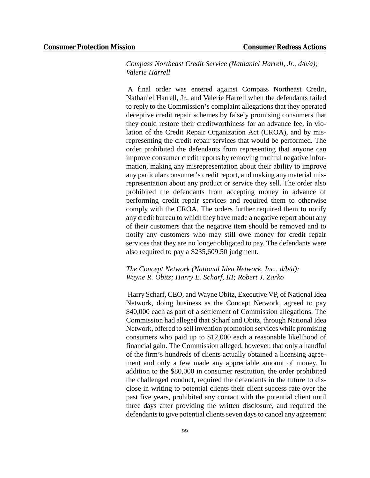*Compass Northeast Credit Service (Nathaniel Harrell, Jr., d/b/a); Valerie Harrell*

A final order was entered against Compass Northeast Credit, Nathaniel Harrell, Jr., and Valerie Harrell when the defendants failed to reply to the Commission's complaint allegations that they operated deceptive credit repair schemes by falsely promising consumers that they could restore their creditworthiness for an advance fee, in violation of the Credit Repair Organization Act (CROA), and by misrepresenting the credit repair services that would be performed. The order prohibited the defendants from representing that anyone can improve consumer credit reports by removing truthful negative information, making any misrepresentation about their ability to improve any particular consumer's credit report, and making any material misrepresentation about any product or service they sell. The order also prohibited the defendants from accepting money in advance of performing credit repair services and required them to otherwise comply with the CROA. The orders further required them to notify any credit bureau to which they have made a negative report about any of their customers that the negative item should be removed and to notify any customers who may still owe money for credit repair services that they are no longer obligated to pay. The defendants were also required to pay a \$235,609.50 judgment.

#### *The Concept Network (National Idea Network, Inc., d/b/a); Wayne R. Obitz; Harry E. Scharf, III; Robert J. Zarko*

Harry Scharf, CEO, and Wayne Obitz, Executive VP, of National Idea Network, doing business as the Concept Network, agreed to pay \$40,000 each as part of a settlement of Commission allegations. The Commission had alleged that Scharf and Obitz, through National Idea Network, offered to sell invention promotion services while promising consumers who paid up to \$12,000 each a reasonable likelihood of financial gain. The Commission alleged, however, that only a handful of the firm's hundreds of clients actually obtained a licensing agreement and only a few made any appreciable amount of money. In addition to the \$80,000 in consumer restitution, the order prohibited the challenged conduct, required the defendants in the future to disclose in writing to potential clients their client success rate over the past five years, prohibited any contact with the potential client until three days after providing the written disclosure, and required the defendants to give potential clients seven days to cancel any agreement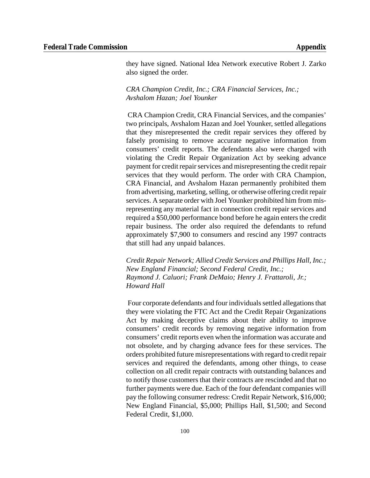they have signed. National Idea Network executive Robert J. Zarko also signed the order.

*CRA Champion Credit, Inc.; CRA Financial Services, Inc.; Avshalom Hazan; Joel Younker*

CRA Champion Credit, CRA Financial Services, and the companies' two principals, Avshalom Hazan and Joel Younker, settled allegations that they misrepresented the credit repair services they offered by falsely promising to remove accurate negative information from consumers' credit reports. The defendants also were charged with violating the Credit Repair Organization Act by seeking advance payment for credit repair services and misrepresenting the credit repair services that they would perform. The order with CRA Champion, CRA Financial, and Avshalom Hazan permanently prohibited them from advertising, marketing, selling, or otherwise offering credit repair services. A separate order with Joel Younker prohibited him from misrepresenting any material fact in connection credit repair services and required a \$50,000 performance bond before he again enters the credit repair business. The order also required the defendants to refund approximately \$7,900 to consumers and rescind any 1997 contracts that still had any unpaid balances.

*Credit Repair Network; Allied Credit Services and Phillips Hall, Inc.; New England Financial; Second Federal Credit, Inc.; Raymond J. Caluori; Frank DeMaio; Henry J. Frattaroli, Jr.; Howard Hall*

Four corporate defendants and four individuals settled allegations that they were violating the FTC Act and the Credit Repair Organizations Act by making deceptive claims about their ability to improve consumers' credit records by removing negative information from consumers' credit reports even when the information was accurate and not obsolete, and by charging advance fees for these services. The orders prohibited future misrepresentations with regard to credit repair services and required the defendants, among other things, to cease collection on all credit repair contracts with outstanding balances and to notify those customers that their contracts are rescinded and that no further payments were due. Each of the four defendant companies will pay the following consumer redress: Credit Repair Network, \$16,000; New England Financial, \$5,000; Phillips Hall, \$1,500; and Second Federal Credit, \$1,000.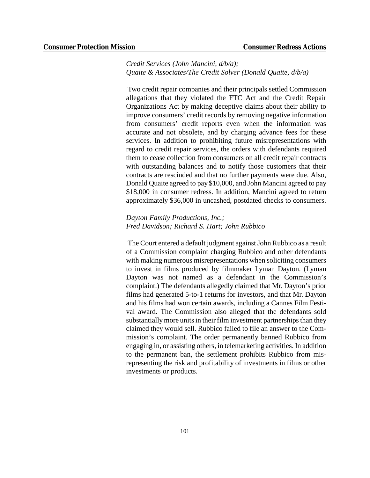### *Credit Services (John Mancini, d/b/a); Quaite & Associates/The Credit Solver (Donald Quaite, d/b/a)*

Two credit repair companies and their principals settled Commission allegations that they violated the FTC Act and the Credit Repair Organizations Act by making deceptive claims about their ability to improve consumers' credit records by removing negative information from consumers' credit reports even when the information was accurate and not obsolete, and by charging advance fees for these services. In addition to prohibiting future misrepresentations with regard to credit repair services, the orders with defendants required them to cease collection from consumers on all credit repair contracts with outstanding balances and to notify those customers that their contracts are rescinded and that no further payments were due. Also, Donald Quaite agreed to pay \$10,000, and John Mancini agreed to pay \$18,000 in consumer redress. In addition, Mancini agreed to return approximately \$36,000 in uncashed, postdated checks to consumers.

#### *Dayton Family Productions, Inc.; Fred Davidson; Richard S. Hart; John Rubbico*

The Court entered a default judgment against John Rubbico as a result of a Commission complaint charging Rubbico and other defendants with making numerous misrepresentations when soliciting consumers to invest in films produced by filmmaker Lyman Dayton. (Lyman Dayton was not named as a defendant in the Commission's complaint.) The defendants allegedly claimed that Mr. Dayton's prior films had generated 5-to-1 returns for investors, and that Mr. Dayton and his films had won certain awards, including a Cannes Film Festival award. The Commission also alleged that the defendants sold substantially more units in their film investment partnerships than they claimed they would sell. Rubbico failed to file an answer to the Commission's complaint. The order permanently banned Rubbico from engaging in, or assisting others, in telemarketing activities. In addition to the permanent ban, the settlement prohibits Rubbico from misrepresenting the risk and profitability of investments in films or other investments or products.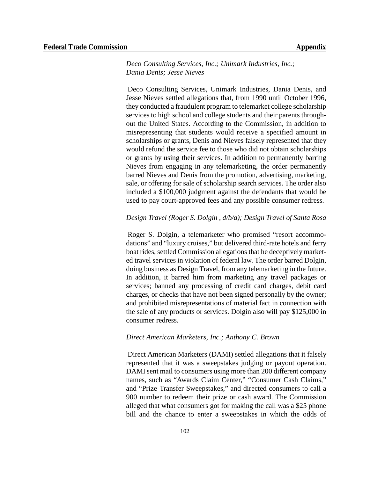*Deco Consulting Services, Inc.; Unimark Industries, Inc.; Dania Denis; Jesse Nieves*

Deco Consulting Services, Unimark Industries, Dania Denis, and Jesse Nieves settled allegations that, from 1990 until October 1996, they conducted a fraudulent program to telemarket college scholarship services to high school and college students and their parents throughout the United States. According to the Commission, in addition to misrepresenting that students would receive a specified amount in scholarships or grants, Denis and Nieves falsely represented that they would refund the service fee to those who did not obtain scholarships or grants by using their services. In addition to permanently barring Nieves from engaging in any telemarketing, the order permanently barred Nieves and Denis from the promotion, advertising, marketing, sale, or offering for sale of scholarship search services. The order also included a \$100,000 judgment against the defendants that would be used to pay court-approved fees and any possible consumer redress.

#### *Design Travel (Roger S. Dolgin , d/b/a); Design Travel of Santa Rosa*

Roger S. Dolgin, a telemarketer who promised "resort accommodations" and "luxury cruises," but delivered third-rate hotels and ferry boat rides, settled Commission allegations that he deceptively marketed travel services in violation of federal law. The order barred Dolgin, doing business as Design Travel, from any telemarketing in the future. In addition, it barred him from marketing any travel packages or services; banned any processing of credit card charges, debit card charges, or checks that have not been signed personally by the owner; and prohibited misrepresentations of material fact in connection with the sale of any products or services. Dolgin also will pay \$125,000 in consumer redress.

#### *Direct American Marketers, Inc.; Anthony C. Brown*

Direct American Marketers (DAMI) settled allegations that it falsely represented that it was a sweepstakes judging or payout operation. DAMI sent mail to consumers using more than 200 different company names, such as "Awards Claim Center," "Consumer Cash Claims," and "Prize Transfer Sweepstakes," and directed consumers to call a 900 number to redeem their prize or cash award. The Commission alleged that what consumers got for making the call was a \$25 phone bill and the chance to enter a sweepstakes in which the odds of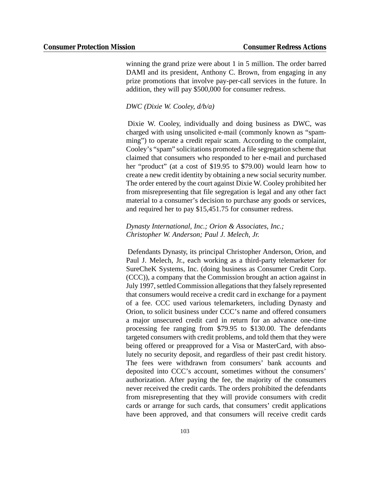winning the grand prize were about 1 in 5 million. The order barred DAMI and its president, Anthony C. Brown, from engaging in any prize promotions that involve pay-per-call services in the future. In addition, they will pay \$500,000 for consumer redress.

*DWC (Dixie W. Cooley, d/b/a)*

Dixie W. Cooley, individually and doing business as DWC, was charged with using unsolicited e-mail (commonly known as "spamming") to operate a credit repair scam. According to the complaint, Cooley's "spam" solicitations promoted a file segregation scheme that claimed that consumers who responded to her e-mail and purchased her "product" (at a cost of \$19.95 to \$79.00) would learn how to create a new credit identity by obtaining a new social security number. The order entered by the court against Dixie W. Cooley prohibited her from misrepresenting that file segregation is legal and any other fact material to a consumer's decision to purchase any goods or services, and required her to pay \$15,451.75 for consumer redress.

*Dynasty International, Inc.; Orion & Associates, Inc.; Christopher W. Anderson; Paul J. Melech, Jr.*

Defendants Dynasty, its principal Christopher Anderson, Orion, and Paul J. Melech, Jr., each working as a third-party telemarketer for SureCheK Systems, Inc. (doing business as Consumer Credit Corp. (CCC)), a company that the Commission brought an action against in July 1997, settled Commission allegations that they falsely represented that consumers would receive a credit card in exchange for a payment of a fee. CCC used various telemarketers, including Dynasty and Orion, to solicit business under CCC's name and offered consumers a major unsecured credit card in return for an advance one-time processing fee ranging from \$79.95 to \$130.00. The defendants targeted consumers with credit problems, and told them that they were being offered or preapproved for a Visa or MasterCard, with absolutely no security deposit, and regardless of their past credit history. The fees were withdrawn from consumers' bank accounts and deposited into CCC's account, sometimes without the consumers' authorization. After paying the fee, the majority of the consumers never received the credit cards. The orders prohibited the defendants from misrepresenting that they will provide consumers with credit cards or arrange for such cards, that consumers' credit applications have been approved, and that consumers will receive credit cards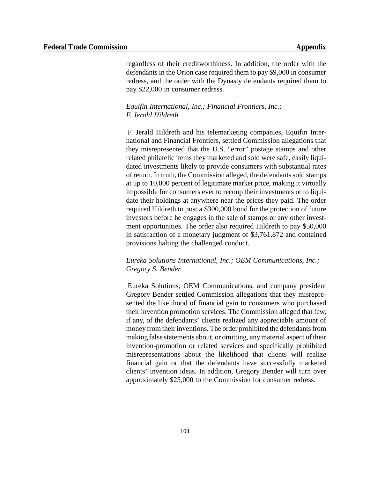regardless of their creditworthiness. In addition, the order with the defendants in the Orion case required them to pay \$9,000 in consumer redress, and the order with the Dynasty defendants required them to pay \$22,000 in consumer redress.

### *Equifin International, Inc.; Financial Frontiers, Inc.; F. Jerald Hildreth*

F. Jerald Hildreth and his telemarketing companies, Equifin International and Financial Frontiers, settled Commission allegations that they misrepresented that the U.S. "error" postage stamps and other related philatelic items they marketed and sold were safe, easily liquidated investments likely to provide consumers with substantial rates of return. In truth, the Commission alleged, the defendants sold stamps at up to 10,000 percent of legitimate market price, making it virtually impossible for consumers ever to recoup their investments or to liquidate their holdings at anywhere near the prices they paid. The order required Hildreth to post a \$300,000 bond for the protection of future investors before he engages in the sale of stamps or any other investment opportunities. The order also required Hildreth to pay \$50,000 in satisfaction of a monetary judgment of \$3,761,872 and contained provisions halting the challenged conduct.

### *Eureka Solutions International, Inc.; OEM Communications, Inc.; Gregory S. Bender*

Eureka Solutions, OEM Communications, and company president Gregory Bender settled Commission allegations that they misrepresented the likelihood of financial gain to consumers who purchased their invention promotion services. The Commission alleged that few, if any, of the defendants' clients realized any appreciable amount of money from their inventions. The order prohibited the defendants from making false statements about, or omitting, anymaterial aspect of their invention-promotion or related services and specifically prohibited misrepresentations about the likelihood that clients will realize financial gain or that the defendants have successfully marketed clients' invention ideas. In addition, Gregory Bender will turn over approximately \$25,000 to the Commission for consumer redress.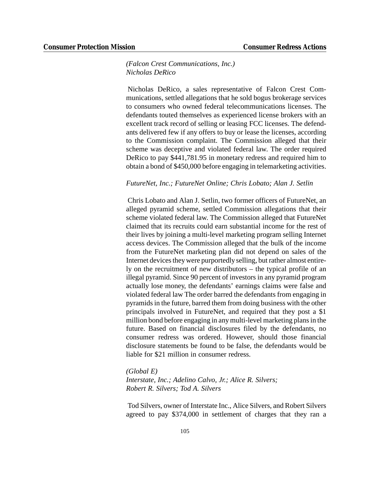*(Falcon Crest Communications, Inc.) Nicholas DeRico*

Nicholas DeRico, a sales representative of Falcon Crest Communications, settled allegations that he sold bogus brokerage services to consumers who owned federal telecommunications licenses. The defendants touted themselves as experienced license brokers with an excellent track record of selling or leasing FCC licenses. The defendants delivered few if any offers to buy or lease the licenses, according to the Commission complaint. The Commission alleged that their scheme was deceptive and violated federal law. The order required DeRico to pay \$441,781.95 in monetary redress and required him to obtain a bond of \$450,000 before engaging in telemarketing activities.

#### *FutureNet, Inc.; FutureNet Online; Chris Lobato; Alan J. Setlin*

Chris Lobato and Alan J. Setlin, two former officers of FutureNet, an alleged pyramid scheme, settled Commission allegations that their scheme violated federal law. The Commission alleged that FutureNet claimed that its recruits could earn substantial income for the rest of their lives by joining a multi-level marketing program selling Internet access devices. The Commission alleged that the bulk of the income from the FutureNet marketing plan did not depend on sales of the Internet devices they were purportedly selling, but rather almost entirely on the recruitment of new distributors – the typical profile of an illegal pyramid. Since 90 percent of investors in any pyramid program actually lose money, the defendants' earnings claims were false and violated federal law The order barred the defendants from engaging in pyramidsin the future, barred them from doing business with the other principals involved in FutureNet, and required that they post a \$1 million bond before engaging in anymulti-level marketing plansin the future. Based on financial disclosures filed by the defendants, no consumer redress was ordered. However, should those financial disclosure statements be found to be false, the defendants would be liable for \$21 million in consumer redress.

## *(Global E) Interstate, Inc.; Adelino Calvo, Jr.; Alice R. Silvers; Robert R. Silvers; Tod A. Silvers*

Tod Silvers, owner of Interstate Inc., Alice Silvers, and Robert Silvers agreed to pay \$374,000 in settlement of charges that they ran a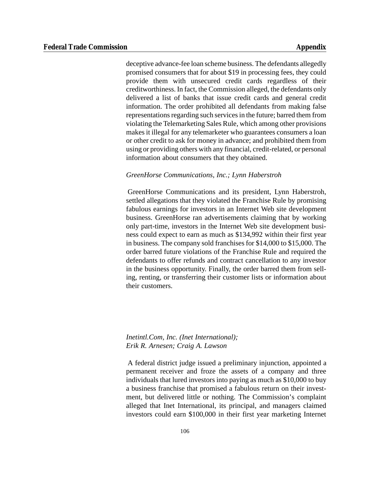deceptive advance-fee loan scheme business. The defendants allegedly promised consumers that for about \$19 in processing fees, they could provide them with unsecured credit cards regardless of their creditworthiness. In fact, the Commission alleged, the defendants only delivered a list of banks that issue credit cards and general credit information. The order prohibited all defendants from making false representations regarding such services in the future; barred them from violating the Telemarketing Sales Rule, which among other provisions makes it illegal for any telemarketer who guarantees consumers a loan or other credit to ask for money in advance; and prohibited them from using or providing others with any financial, credit-related, or personal information about consumers that they obtained.

#### *GreenHorse Communications, Inc.; Lynn Haberstroh*

GreenHorse Communications and its president, Lynn Haberstroh, settled allegations that they violated the Franchise Rule by promising fabulous earnings for investors in an Internet Web site development business. GreenHorse ran advertisements claiming that by working only part-time, investors in the Internet Web site development business could expect to earn as much as \$134,992 within their first year in business. The company sold franchises for \$14,000 to \$15,000. The order barred future violations of the Franchise Rule and required the defendants to offer refunds and contract cancellation to any investor in the business opportunity. Finally, the order barred them from selling, renting, or transferring their customer lists or information about their customers.

#### *Inetintl.Com, Inc. (Inet International); Erik R. Arnesen; Craig A. Lawson*

A federal district judge issued a preliminary injunction, appointed a permanent receiver and froze the assets of a company and three individuals that lured investors into paying as much as \$10,000 to buy a business franchise that promised a fabulous return on their investment, but delivered little or nothing. The Commission's complaint alleged that Inet International, its principal, and managers claimed investors could earn \$100,000 in their first year marketing Internet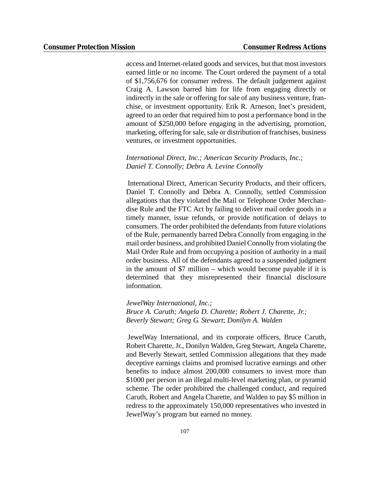access and Internet-related goods and services, but that most investors earned little or no income. The Court ordered the payment of a total of \$1,756,676 for consumer redress. The default judgement against Craig A. Lawson barred him for life from engaging directly or indirectly in the sale or offering for sale of any business venture, franchise, or investment opportunity. Erik R. Arneson, Inet's president, agreed to an order that required him to post a performance bond in the amount of \$250,000 before engaging in the advertising, promotion, marketing, offering for sale, sale or distribution of franchises, business ventures, or investment opportunities.

*International Direct, Inc.; American Security Products, Inc.; Daniel T. Connolly; Debra A. Levine Connolly*

International Direct, American Security Products, and their officers, Daniel T. Connolly and Debra A. Connolly, settled Commission allegations that they violated the Mail or Telephone Order Merchandise Rule and the FTC Act by failing to deliver mail order goods in a timely manner, issue refunds, or provide notification of delays to consumers. The order prohibited the defendants from future violations of the Rule, permanently barred Debra Connolly from engaging in the mail order business, and prohibited Daniel Connolly from violating the Mail Order Rule and from occupying a position of authority in a mail order business. All of the defendants agreed to a suspended judgment in the amount of \$7 million – which would become payable if it is determined that they misrepresented their financial disclosure information.

*JewelWay International, Inc.; Bruce A. Caruth; Angela D. Charette; Robert J. Charette, Jr.; Beverly Stewart; Greg G. Stewart*; *Donilyn A. Walden*

JewelWay International, and its corporate officers, Bruce Caruth, Robert Charette, Jr., Donilyn Walden, Greg Stewart, Angela Charette, and Beverly Stewart, settled Commission allegations that they made deceptive earnings claims and promised lucrative earnings and other benefits to induce almost 200,000 consumers to invest more than \$1000 per person in an illegal multi-level marketing plan, or pyramid scheme. The order prohibited the challenged conduct, and required Caruth, Robert and Angela Charette, and Walden to pay \$5 million in redress to the approximately 150,000 representatives who invested in JewelWay's program but earned no money.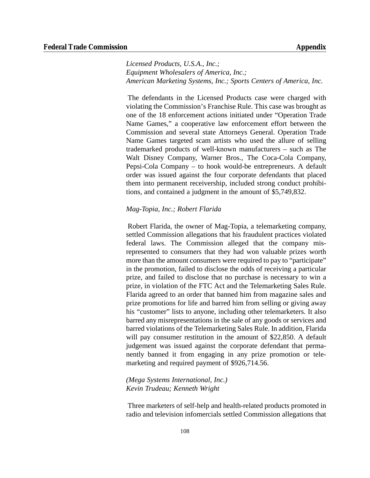*Licensed Products, U.S.A., Inc.; Equipment Wholesalers of America, Inc.; American Marketing Systems, Inc.; Sports Centers of America, Inc.*

The defendants in the Licensed Products case were charged with violating the Commission's Franchise Rule. This case was brought as one of the 18 enforcement actions initiated under "Operation Trade Name Games," a cooperative law enforcement effort between the Commission and several state Attorneys General. Operation Trade Name Games targeted scam artists who used the allure of selling trademarked products of well-known manufacturers – such as The Walt Disney Company, Warner Bros., The Coca-Cola Company, Pepsi-Cola Company – to hook would-be entrepreneurs. A default order was issued against the four corporate defendants that placed them into permanent receivership, included strong conduct prohibitions, and contained a judgment in the amount of \$5,749,832.

#### *Mag-Topia, Inc.; Robert Flarida*

Robert Flarida, the owner of Mag-Topia, a telemarketing company, settled Commission allegations that his fraudulent practices violated federal laws. The Commission alleged that the company misrepresented to consumers that they had won valuable prizes worth more than the amount consumers were required to pay to "participate" in the promotion, failed to disclose the odds of receiving a particular prize, and failed to disclose that no purchase is necessary to win a prize, in violation of the FTC Act and the Telemarketing Sales Rule. Flarida agreed to an order that banned him from magazine sales and prize promotions for life and barred him from selling or giving away his "customer" lists to anyone, including other telemarketers. It also barred any misrepresentations in the sale of any goods or services and barred violations of the Telemarketing Sales Rule. In addition, Flarida will pay consumer restitution in the amount of \$22,850. A default judgement was issued against the corporate defendant that permanently banned it from engaging in any prize promotion or telemarketing and required payment of \$926,714.56.

#### *(Mega Systems International, Inc.) Kevin Trudeau; Kenneth Wright*

Three marketers of self-help and health-related products promoted in radio and television infomercials settled Commission allegations that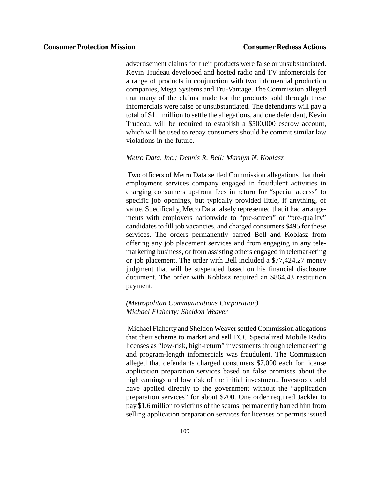advertisement claims for their products were false or unsubstantiated. Kevin Trudeau developed and hosted radio and TV infomercials for a range of products in conjunction with two infomercial production companies, Mega Systems and Tru-Vantage. The Commission alleged that many of the claims made for the products sold through these infomercials were false or unsubstantiated. The defendants will pay a total of \$1.1 million to settle the allegations, and one defendant, Kevin Trudeau, will be required to establish a \$500,000 escrow account, which will be used to repay consumers should he commit similar law violations in the future.

#### *Metro Data, Inc.; Dennis R. Bell; Marilyn N. Koblasz*

Two officers of Metro Data settled Commission allegations that their employment services company engaged in fraudulent activities in charging consumers up-front fees in return for "special access" to specific job openings, but typically provided little, if anything, of value. Specifically, Metro Data falsely represented that it had arrangements with employers nationwide to "pre-screen" or "pre-qualify" candidates to fill job vacancies, and charged consumers \$495 for these services. The orders permanently barred Bell and Koblasz from offering any job placement services and from engaging in any telemarketing business, or from assisting others engaged in telemarketing or job placement. The order with Bell included a \$77,424.27 money judgment that will be suspended based on his financial disclosure document. The order with Koblasz required an \$864.43 restitution payment.

### *(Metropolitan Communications Corporation) Michael Flaherty; Sheldon Weaver*

Michael Flaherty and Sheldon Weaversettled Commission allegations that their scheme to market and sell FCC Specialized Mobile Radio licenses as "low-risk, high-return" investments through telemarketing and program-length infomercials was fraudulent. The Commission alleged that defendants charged consumers \$7,000 each for license application preparation services based on false promises about the high earnings and low risk of the initial investment. Investors could have applied directly to the government without the "application preparation services" for about \$200. One order required Jackler to pay \$1.6 million to victims of the scams, permanently barred him from selling application preparation services for licenses or permits issued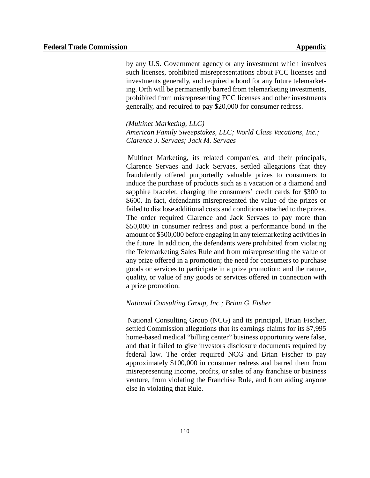by any U.S. Government agency or any investment which involves such licenses, prohibited misrepresentations about FCC licenses and investments generally, and required a bond for any future telemarketing. Orth will be permanently barred from telemarketing investments, prohibited from misrepresenting FCC licenses and other investments generally, and required to pay \$20,000 for consumer redress.

*(Multinet Marketing, LLC) American Family Sweepstakes, LLC; World Class Vacations, Inc.; Clarence J. Servaes; Jack M. Servaes*

Multinet Marketing, its related companies, and their principals, Clarence Servaes and Jack Servaes, settled allegations that they fraudulently offered purportedly valuable prizes to consumers to induce the purchase of products such as a vacation or a diamond and sapphire bracelet, charging the consumers' credit cards for \$300 to \$600. In fact, defendants misrepresented the value of the prizes or failed to disclose additional costs and conditions attached to the prizes. The order required Clarence and Jack Servaes to pay more than \$50,000 in consumer redress and post a performance bond in the amount of \$500,000 before engaging in any telemarketing activities in the future. In addition, the defendants were prohibited from violating the Telemarketing Sales Rule and from misrepresenting the value of any prize offered in a promotion; the need for consumers to purchase goods or services to participate in a prize promotion; and the nature, quality, or value of any goods or services offered in connection with a prize promotion.

#### *National Consulting Group, Inc.; Brian G. Fisher*

National Consulting Group (NCG) and its principal, Brian Fischer, settled Commission allegations that its earnings claims for its \$7,995 home-based medical "billing center" business opportunity were false, and that it failed to give investors disclosure documents required by federal law. The order required NCG and Brian Fischer to pay approximately \$100,000 in consumer redress and barred them from misrepresenting income, profits, or sales of any franchise or business venture, from violating the Franchise Rule, and from aiding anyone else in violating that Rule.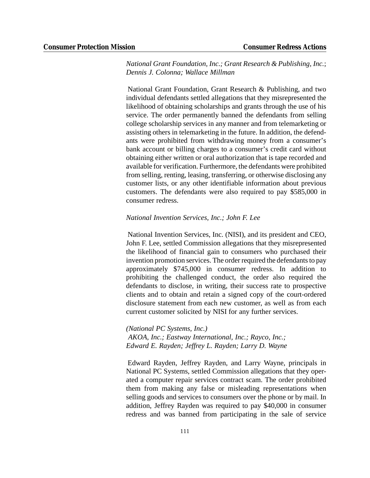*National Grant Foundation, Inc.; Grant Research & Publishing, Inc.*; *Dennis J. Colonna; Wallace Millman*

National Grant Foundation, Grant Research & Publishing, and two individual defendants settled allegations that they misrepresented the likelihood of obtaining scholarships and grants through the use of his service. The order permanently banned the defendants from selling college scholarship services in any manner and from telemarketing or assisting others in telemarketing in the future. In addition, the defendants were prohibited from withdrawing money from a consumer's bank account or billing charges to a consumer's credit card without obtaining either written or oral authorization that is tape recorded and available for verification. Furthermore, the defendants were prohibited from selling, renting, leasing, transferring, or otherwise disclosing any customer lists, or any other identifiable information about previous customers. The defendants were also required to pay \$585,000 in consumer redress.

#### *National Invention Services, Inc.; John F. Lee*

National Invention Services, Inc. (NISI), and its president and CEO, John F. Lee, settled Commission allegations that they misrepresented the likelihood of financial gain to consumers who purchased their invention promotion services. The order required the defendants to pay approximately \$745,000 in consumer redress. In addition to prohibiting the challenged conduct, the order also required the defendants to disclose, in writing, their success rate to prospective clients and to obtain and retain a signed copy of the court-ordered disclosure statement from each new customer, as well as from each current customer solicited by NISI for any further services.

*(National PC Systems, Inc.) AKOA, Inc.; Eastway International, Inc.; Rayco, Inc.; Edward E. Rayden; Jeffrey L. Rayden; Larry D. Wayne*

Edward Rayden, Jeffrey Rayden, and Larry Wayne, principals in National PC Systems, settled Commission allegations that they operated a computer repair services contract scam. The order prohibited them from making any false or misleading representations when selling goods and services to consumers over the phone or by mail. In addition, Jeffrey Rayden was required to pay \$40,000 in consumer redress and was banned from participating in the sale of service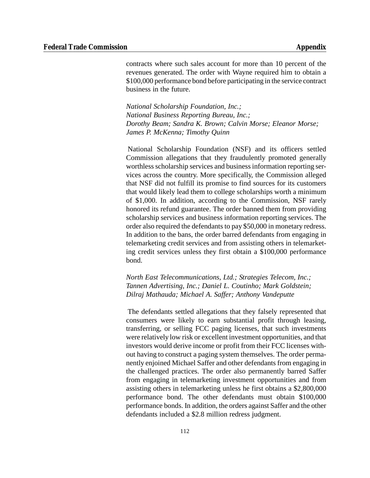contracts where such sales account for more than 10 percent of the revenues generated. The order with Wayne required him to obtain a \$100,000 performance bond before participating in the service contract business in the future.

*National Scholarship Foundation, Inc.; National Business Reporting Bureau, Inc.; Dorothy Beam; Sandra K. Brown; Calvin Morse; Eleanor Morse; James P. McKenna; Timothy Quinn*

National Scholarship Foundation (NSF) and its officers settled Commission allegations that they fraudulently promoted generally worthless scholarship services and business information reporting services across the country. More specifically, the Commission alleged that NSF did not fulfill its promise to find sources for its customers that would likely lead them to college scholarships worth a minimum of \$1,000. In addition, according to the Commission, NSF rarely honored its refund guarantee. The order banned them from providing scholarship services and business information reporting services. The order also required the defendants to pay \$50,000 in monetary redress. In addition to the bans, the order barred defendants from engaging in telemarketing credit services and from assisting others in telemarketing credit services unless they first obtain a \$100,000 performance bond.

*North East Telecommunications, Ltd.; Strategies Telecom, Inc.; Tannen Advertising, Inc.; Daniel L. Coutinho; Mark Goldstein; Dilraj Mathauda; Michael A. Saffer; Anthony Vandeputte*

The defendants settled allegations that they falsely represented that consumers were likely to earn substantial profit through leasing, transferring, or selling FCC paging licenses, that such investments were relatively low risk or excellent investment opportunities, and that investors would derive income or profit from their FCC licenses without having to construct a paging system themselves. The order permanently enjoined Michael Saffer and other defendants from engaging in the challenged practices. The order also permanently barred Saffer from engaging in telemarketing investment opportunities and from assisting others in telemarketing unless he first obtains a \$2,800,000 performance bond. The other defendants must obtain \$100,000 performance bonds. In addition, the orders against Saffer and the other defendants included a \$2.8 million redress judgment.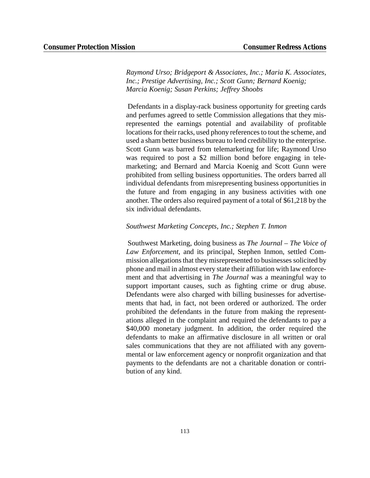*Raymond Urso; Bridgeport & Associates, Inc.; Maria K. Associates, Inc.; Prestige Advertising, Inc.; Scott Gunn; Bernard Koenig; Marcia Koenig; Susan Perkins; Jeffrey Shoobs*

Defendants in a display-rack business opportunity for greeting cards and perfumes agreed to settle Commission allegations that they misrepresented the earnings potential and availability of profitable locations for their racks, used phony references to tout the scheme, and used a sham better business bureau to lend credibility to the enterprise. Scott Gunn was barred from telemarketing for life; Raymond Urso was required to post a \$2 million bond before engaging in telemarketing; and Bernard and Marcia Koenig and Scott Gunn were prohibited from selling business opportunities. The orders barred all individual defendants from misrepresenting business opportunities in the future and from engaging in any business activities with one another. The orders also required payment of a total of \$61,218 by the six individual defendants.

#### *Southwest Marketing Concepts, Inc.; Stephen T. Inmon*

Southwest Marketing, doing business as *The Journal – The Voice of Law Enforcement*, and its principal, Stephen Inmon, settled Commission allegations that they misrepresented to businesses solicited by phone and mail in almost every state their affiliation with law enforcement and that advertising in *The Journal* was a meaningful way to support important causes, such as fighting crime or drug abuse. Defendants were also charged with billing businesses for advertisements that had, in fact, not been ordered or authorized. The order prohibited the defendants in the future from making the representations alleged in the complaint and required the defendants to pay a \$40,000 monetary judgment. In addition, the order required the defendants to make an affirmative disclosure in all written or oral sales communications that they are not affiliated with any governmental or law enforcement agency or nonprofit organization and that payments to the defendants are not a charitable donation or contribution of any kind.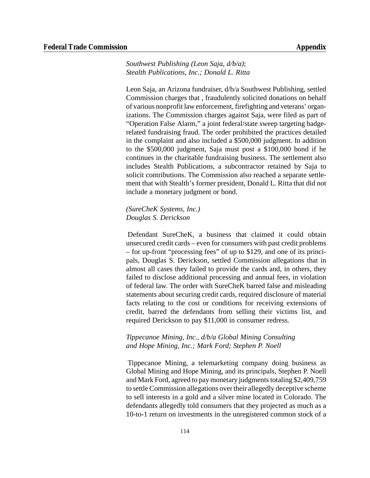*Southwest Publishing (Leon Saja, d/b/a)*; *Stealth Publications, Inc.; Donald L. Ritta*

Leon Saja, an Arizona fundraiser, d/b/a Southwest Publishing, settled Commission charges that , fraudulently solicited donations on behalf of various nonprofit law enforcement, firefighting and veterans' organizations. The Commission charges against Saja, were filed as part of "Operation False Alarm," a joint federal/state sweep targeting badgerelated fundraising fraud. The order prohibited the practices detailed in the complaint and also included a \$500,000 judgment. In addition to the \$500,000 judgment, Saja must post a \$100,000 bond if he continues in the charitable fundraising business. The settlement also includes Stealth Publications, a subcontractor retained by Saja to solicit contributions. The Commission also reached a separate settlement that with Stealth's former president, Donald L. Ritta that did not include a monetary judgment or bond.

*(SureCheK Systems, Inc.) Douglas S. Derickson*

Defendant SureCheK, a business that claimed it could obtain unsecured credit cards – even for consumers with past credit problems – for up-front "processing fees" of up to \$129, and one of its principals, Douglas S. Derickson, settled Commission allegations that in almost all cases they failed to provide the cards and, in others, they failed to disclose additional processing and annual fees, in violation of federal law. The order with SureCheK barred false and misleading statements about securing credit cards, required disclosure of material facts relating to the cost or conditions for receiving extensions of credit, barred the defendants from selling their victims list, and required Derickson to pay \$11,000 in consumer redress.

### *Tippecanoe Mining, Inc., d/b/a Global Mining Consulting and Hope Mining, Inc.; Mark Ford; Stephen P. Noell*

Tippecanoe Mining, a telemarketing company doing business as Global Mining and Hope Mining, and its principals, Stephen P. Noell and Mark Ford, agreed to pay monetary judgments totaling \$2,409,759 to settle Commission allegations over their allegedly deceptive scheme to sell interests in a gold and a silver mine located in Colorado. The defendants allegedly told consumers that they projected as much as a 10-to-1 return on investments in the unregistered common stock of a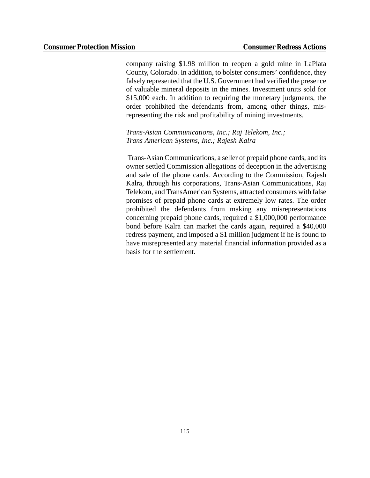company raising \$1.98 million to reopen a gold mine in LaPlata County, Colorado. In addition, to bolster consumers' confidence, they falsely represented that the U.S. Government had verified the presence of valuable mineral deposits in the mines. Investment units sold for \$15,000 each. In addition to requiring the monetary judgments, the order prohibited the defendants from, among other things, misrepresenting the risk and profitability of mining investments.

*Trans-Asian Communications, Inc.; Raj Telekom, Inc.; Trans American Systems, Inc.; Rajesh Kalra*

Trans-Asian Communications, a seller of prepaid phone cards, and its owner settled Commission allegations of deception in the advertising and sale of the phone cards. According to the Commission, Rajesh Kalra, through his corporations, Trans-Asian Communications, Raj Telekom, and TransAmerican Systems, attracted consumers with false promises of prepaid phone cards at extremely low rates. The order prohibited the defendants from making any misrepresentations concerning prepaid phone cards, required a \$1,000,000 performance bond before Kalra can market the cards again, required a \$40,000 redress payment, and imposed a \$1 million judgment if he is found to have misrepresented any material financial information provided as a basis for the settlement.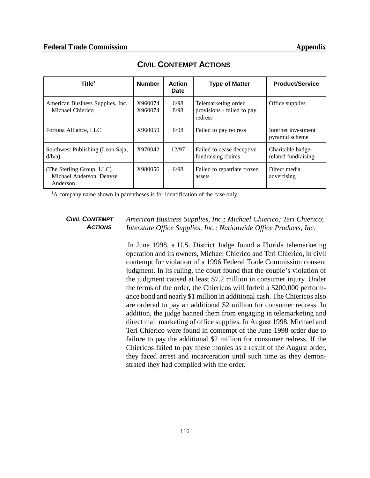| Title <sup>1</sup>                                                | <b>Number</b>      | <b>Action</b><br>Date | <b>Type of Matter</b>                                        | <b>Product/Service</b>                   |
|-------------------------------------------------------------------|--------------------|-----------------------|--------------------------------------------------------------|------------------------------------------|
| American Business Supplies, Inc.<br>Michael Chierico              | X960074<br>X960074 | 6/98<br>8/98          | Telemarketing order<br>provisions - failed to pay<br>redress | Office supplies                          |
| Fortuna Alliance, LLC                                             | X960059            | 6/98                  | Failed to pay redress                                        | Internet investment<br>pyramid scheme    |
| Southwest Publishing (Leon Saja,<br>d/b/a)                        | X970042            | 12/97                 | Failed to cease deceptive<br>fundraising claims              | Charitable badge-<br>related fundraising |
| (The Sterling Group, LLC)<br>Michael Anderson, Denyse<br>Anderson | X980056            | 6/98                  | Failed to repatriate frozen<br>assets                        | Direct media<br>advertising              |

**CIVIL CONTEMPT ACTIONS** 

<sup>1</sup>A company name shown in parentheses is for identification of the case only.

#### *CIVIL CONTEMPT ACTIONS American Business Supplies, Inc.; Michael Chierico; Teri Chierico*; *Interstate Office Supplies, Inc.; Nationwide Office Products, Inc.*

In June 1998, a U.S. District Judge found a Florida telemarketing operation and its owners, Michael Chierico and Teri Chierico, in civil contempt for violation of a 1996 Federal Trade Commission consent judgment. In its ruling, the court found that the couple's violation of the judgment caused at least \$7.2 million in consumer injury. Under the terms of the order, the Chiericos will forfeit a \$200,000 performance bond and nearly \$1 million in additional cash. The Chiericos also are ordered to pay an additional \$2 million for consumer redress. In addition, the judge banned them from engaging in telemarketing and direct mail marketing of office supplies. In August 1998, Michael and Teri Chierico were found in contempt of the June 1998 order due to failure to pay the additional \$2 million for consumer redress. If the Chiericos failed to pay these monies as a result of the August order, they faced arrest and incarceration until such time as they demonstrated they had complied with the order.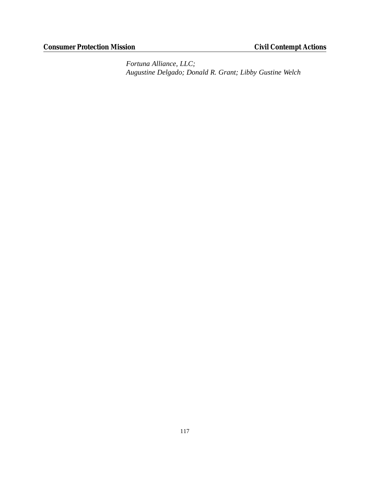*Fortuna Alliance, LLC; Augustine Delgado; Donald R. Grant; Libby Gustine Welch*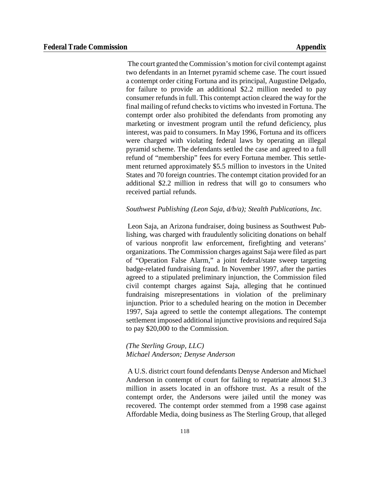The court granted the Commission's motion for civil contempt against two defendants in an Internet pyramid scheme case. The court issued a contempt order citing Fortuna and its principal, Augustine Delgado, for failure to provide an additional \$2.2 million needed to pay consumer refunds in full. This contempt action cleared the way for the final mailing of refund checks to victims who invested in Fortuna. The contempt order also prohibited the defendants from promoting any marketing or investment program until the refund deficiency, plus interest, was paid to consumers. In May 1996, Fortuna and its officers were charged with violating federal laws by operating an illegal pyramid scheme. The defendants settled the case and agreed to a full refund of "membership" fees for every Fortuna member. This settlement returned approximately \$5.5 million to investors in the United States and 70 foreign countries. The contempt citation provided for an additional \$2.2 million in redress that will go to consumers who received partial refunds.

#### *Southwest Publishing (Leon Saja, d/b/a); Stealth Publications, Inc.*

Leon Saja, an Arizona fundraiser, doing business as Southwest Publishing, was charged with fraudulently soliciting donations on behalf of various nonprofit law enforcement, firefighting and veterans' organizations. The Commission charges against Saja were filed as part of "Operation False Alarm," a joint federal/state sweep targeting badge-related fundraising fraud. In November 1997, after the parties agreed to a stipulated preliminary injunction, the Commission filed civil contempt charges against Saja, alleging that he continued fundraising misrepresentations in violation of the preliminary injunction. Prior to a scheduled hearing on the motion in December 1997, Saja agreed to settle the contempt allegations. The contempt settlement imposed additional injunctive provisions and required Saja to pay \$20,000 to the Commission.

### *(The Sterling Group, LLC) Michael Anderson; Denyse Anderson*

A U.S. district court found defendants Denyse Anderson and Michael Anderson in contempt of court for failing to repatriate almost \$1.3 million in assets located in an offshore trust. As a result of the contempt order, the Andersons were jailed until the money was recovered. The contempt order stemmed from a 1998 case against Affordable Media, doing business as The Sterling Group, that alleged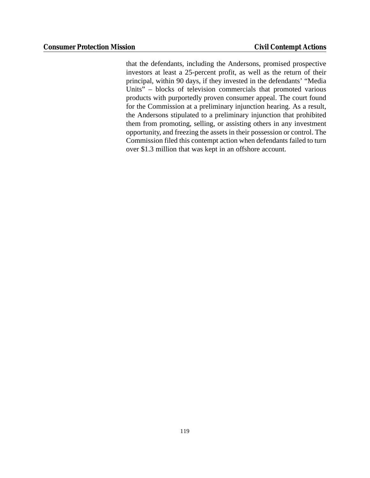that the defendants, including the Andersons, promised prospective investors at least a 25-percent profit, as well as the return of their principal, within 90 days, if they invested in the defendants' "Media Units" – blocks of television commercials that promoted various products with purportedly proven consumer appeal. The court found for the Commission at a preliminary injunction hearing. As a result, the Andersons stipulated to a preliminary injunction that prohibited them from promoting, selling, or assisting others in any investment opportunity, and freezing the assets in their possession or control. The Commission filed this contempt action when defendants failed to turn over \$1.3 million that was kept in an offshore account.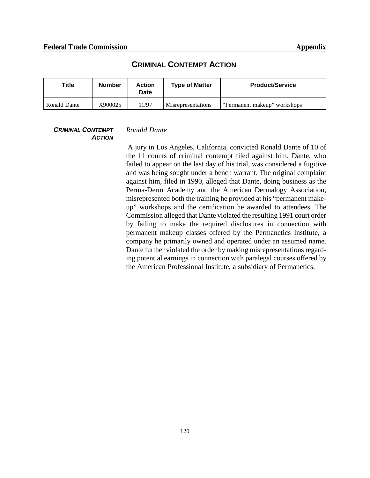## **CRIMINAL CONTEMPT ACTION**

| Title        | <b>Number</b> | Action<br><b>Date</b> | <b>Type of Matter</b>     | <b>Product/Service</b>       |
|--------------|---------------|-----------------------|---------------------------|------------------------------|
| Ronald Dante | X900025       | 11/97                 | <b>Misrepresentations</b> | "Permanent makeup" workshops |

#### *CRIMINAL CONTEMPT ACTION Ronald Dante*

## A jury in Los Angeles, California, convicted Ronald Dante of 10 of the 11 counts of criminal contempt filed against him. Dante, who failed to appear on the last day of his trial, was considered a fugitive and was being sought under a bench warrant. The original complaint against him, filed in 1990, alleged that Dante, doing business as the Perma-Derm Academy and the American Dermalogy Association, misrepresented both the training he provided at his "permanent makeup" workshops and the certification he awarded to attendees. The Commission alleged that Dante violated the resulting 1991 court order by failing to make the required disclosures in connection with permanent makeup classes offered by the Permanetics Institute, a company he primarily owned and operated under an assumed name. Dante further violated the order by making misrepresentations regarding potential earnings in connection with paralegal courses offered by the American Professional Institute, a subsidiary of Permanetics.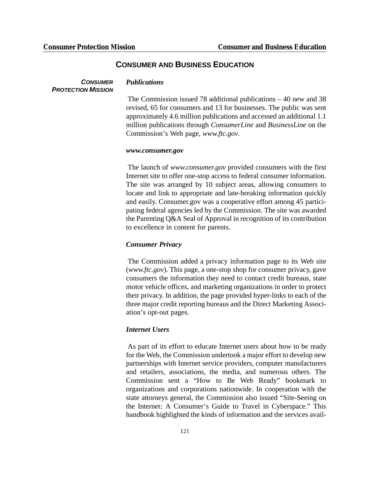### **CONSUMER AND BUSINESS EDUCATION**

#### *CONSUMER Publications*

*PROTECTION MISSION*

The Commission issued 78 additional publications – 40 new and 38 revised, 65 for consumers and 13 for businesses. The public was sent approximately 4.6 million publications and accessed an additional 1.1 million publications through *ConsumerLine* and *BusinessLine* on the Commission's Web page, *www.ftc.gov*.

#### *www.consumer.gov*

The launch of *www.consumer.gov* provided consumers with the first Internet site to offer one-stop access to federal consumer information. The site was arranged by 10 subject areas, allowing consumers to locate and link to appropriate and late-breaking information quickly and easily. Consumer.gov was a cooperative effort among 45 participating federal agencies led by the Commission. The site was awarded the Parenting Q&A Seal of Approval in recognition of its contribution to excellence in content for parents.

#### *Consumer Privacy*

The Commission added a privacy information page to its Web site (*www.ftc.gov*). This page, a one-stop shop for consumer privacy, gave consumers the information they need to contact credit bureaus, state motor vehicle offices, and marketing organizations in order to protect their privacy. In addition, the page provided hyper-links to each of the three major credit reporting bureaus and the Direct Marketing Association's opt-out pages.

#### *Internet Users*

As part of its effort to educate Internet users about how to be ready for the Web, the Commission undertook a major effort to develop new partnerships with Internet service providers, computer manufacturers and retailers, associations, the media, and numerous others. The Commission sent a "How to Be Web Ready" bookmark to organizations and corporations nationwide. In cooperation with the state attorneys general, the Commission also issued "Site-Seeing on the Internet: A Consumer's Guide to Travel in Cyberspace." This handbook highlighted the kinds of information and the services avail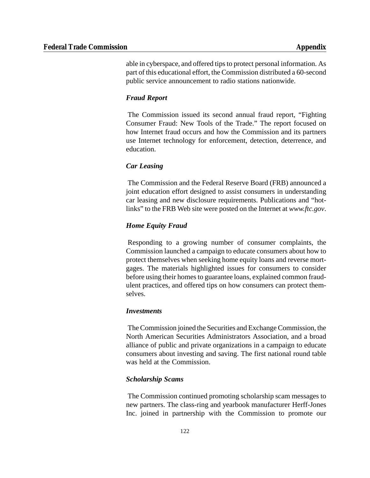able in cyberspace, and offered tips to protect personal information. As part of this educational effort, the Commission distributed a 60-second public service announcement to radio stations nationwide.

#### *Fraud Report*

The Commission issued its second annual fraud report, "Fighting Consumer Fraud: New Tools of the Trade." The report focused on how Internet fraud occurs and how the Commission and its partners use Internet technology for enforcement, detection, deterrence, and education.

#### *Car Leasing*

The Commission and the Federal Reserve Board (FRB) announced a joint education effort designed to assist consumers in understanding car leasing and new disclosure requirements. Publications and "hotlinks" to the FRB Web site were posted on the Internet at *www.ftc.gov*.

#### *Home Equity Fraud*

Responding to a growing number of consumer complaints, the Commission launched a campaign to educate consumers about how to protect themselves when seeking home equity loans and reverse mortgages. The materials highlighted issues for consumers to consider before using their homes to guarantee loans, explained common fraudulent practices, and offered tips on how consumers can protect themselves.

#### *Investments*

The Commission joined the Securities and Exchange Commission, the North American Securities Administrators Association, and a broad alliance of public and private organizations in a campaign to educate consumers about investing and saving. The first national round table was held at the Commission.

#### *Scholarship Scams*

The Commission continued promoting scholarship scam messages to new partners. The class-ring and yearbook manufacturer Herff-Jones Inc. joined in partnership with the Commission to promote our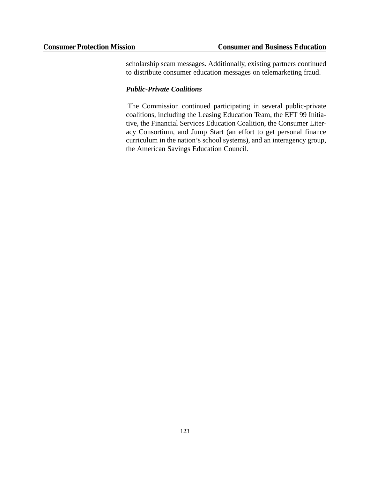scholarship scam messages. Additionally, existing partners continued to distribute consumer education messages on telemarketing fraud.

### *Public-Private Coalitions*

The Commission continued participating in several public-private coalitions, including the Leasing Education Team, the EFT 99 Initiative, the Financial Services Education Coalition, the Consumer Literacy Consortium, and Jump Start (an effort to get personal finance curriculum in the nation's school systems), and an interagency group*,* the American Savings Education Council.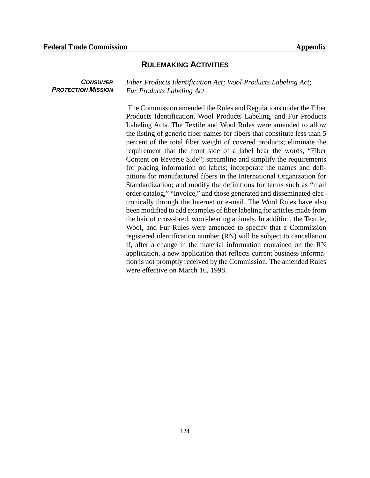### **RULEMAKING ACTIVITIES**

*CONSUMER PROTECTION MISSION* *Fiber Products Identification Act; Wool Products Labeling Act; Fur Products Labeling Act*

The Commission amended the Rules and Regulations under the Fiber Products Identification, Wool Products Labeling, and Fur Products Labeling Acts. The Textile and Wool Rules were amended to allow the listing of generic fiber names for fibers that constitute less than 5 percent of the total fiber weight of covered products; eliminate the requirement that the front side of a label bear the words, "Fiber Content on Reverse Side"; streamline and simplify the requirements for placing information on labels; incorporate the names and definitions for manufactured fibers in the International Organization for Standardization; and modify the definitions for terms such as "mail order catalog," "invoice," and those generated and disseminated electronically through the Internet or e-mail. The Wool Rules have also been modified to add examples of fiber labeling for articles made from the hair of cross-bred, wool-bearing animals. In addition, the Textile, Wool, and Fur Rules were amended to specify that a Commission registered identification number (RN) will be subject to cancellation if, after a change in the material information contained on the RN application, a new application that reflects current business information is not promptly received by the Commission. The amended Rules were effective on March 16, 1998.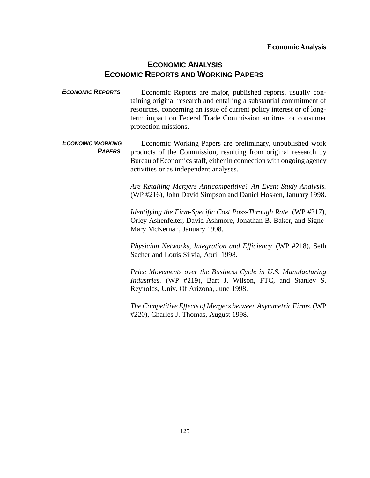## **ECONOMIC ANALYSIS ECONOMIC REPORTS AND WORKING PAPERS**

- *ECONOMIC REPORTS* Economic Reports are major, published reports, usually containing original research and entailing a substantial commitment of resources, concerning an issue of current policy interest or of longterm impact on Federal Trade Commission antitrust or consumer protection missions.
- *ECONOMIC WORKING PAPERS*  Economic Working Papers are preliminary, unpublished work products of the Commission, resulting from original research by Bureau of Economics staff, either in connection with ongoing agency activities or as independent analyses.

*Are Retailing Mergers Anticompetitive? An Event Study Analysis.* (WP #216), John David Simpson and Daniel Hosken, January 1998.

*Identifying the Firm-Specific Cost Pass-Through Rate.* (WP #217), Orley Ashenfelter, David Ashmore, Jonathan B. Baker, and Signe-Mary McKernan, January 1998.

*Physician Networks, Integration and Efficiency.* (WP #218), Seth Sacher and Louis Silvia, April 1998.

*Price Movements over the Business Cycle in U.S. Manufacturing Industries.* (WP #219), Bart J. Wilson, FTC, and Stanley S. Reynolds, Univ. Of Arizona, June 1998.

*The Competitive Effects of Mergers between Asymmetric Firms*. (WP #220), Charles J. Thomas, August 1998.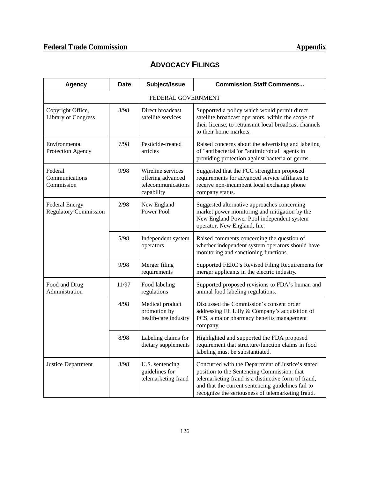## **Federal Trade Commission Appendix**

## **ADVOCACY FILINGS**

| <b>Agency</b>                                         | <b>Date</b>        | Subject/Issue                                                              | <b>Commission Staff Comments</b>                                                                                                                                                                                                                                   |  |  |  |
|-------------------------------------------------------|--------------------|----------------------------------------------------------------------------|--------------------------------------------------------------------------------------------------------------------------------------------------------------------------------------------------------------------------------------------------------------------|--|--|--|
|                                                       | FEDERAL GOVERNMENT |                                                                            |                                                                                                                                                                                                                                                                    |  |  |  |
| Copyright Office,<br><b>Library of Congress</b>       | 3/98               | Direct broadcast<br>satellite services                                     | Supported a policy which would permit direct<br>satellite broadcast operators, within the scope of<br>their license, to retransmit local broadcast channels<br>to their home markets.                                                                              |  |  |  |
| Environmental<br>Protection Agency                    | 7/98               | Pesticide-treated<br>articles                                              | Raised concerns about the advertising and labeling<br>of "antibacterial" or "antimicrobial" agents in<br>providing protection against bacteria or germs.                                                                                                           |  |  |  |
| Federal<br>Communications<br>Commission               | 9/98               | Wireline services<br>offering advanced<br>telecommunications<br>capability | Suggested that the FCC strengthen proposed<br>requirements for advanced service affiliates to<br>receive non-incumbent local exchange phone<br>company status.                                                                                                     |  |  |  |
| <b>Federal Energy</b><br><b>Regulatory Commission</b> | 2/98               | New England<br>Power Pool                                                  | Suggested alternative approaches concerning<br>market power monitoring and mitigation by the<br>New England Power Pool independent system<br>operator, New England, Inc.                                                                                           |  |  |  |
|                                                       | 5/98               | Independent system<br>operators                                            | Raised comments concerning the question of<br>whether independent system operators should have<br>monitoring and sanctioning functions.                                                                                                                            |  |  |  |
|                                                       | 9/98               | Merger filing<br>requirements                                              | Supported FERC's Revised Filing Requirements for<br>merger applicants in the electric industry.                                                                                                                                                                    |  |  |  |
| Food and Drug<br>Administration                       | 11/97              | Food labeling<br>regulations                                               | Supported proposed revisions to FDA's human and<br>animal food labeling regulations.                                                                                                                                                                               |  |  |  |
|                                                       | 4/98               | Medical product<br>promotion by<br>health-care industry                    | Discussed the Commission's consent order<br>addressing Eli Lilly & Company's acquisition of<br>PCS, a major pharmacy benefits management<br>company.                                                                                                               |  |  |  |
|                                                       | 8/98               | Labeling claims for<br>dietary supplements                                 | Highlighted and supported the FDA proposed<br>requirement that structure/function claims in food<br>labeling must be substantiated.                                                                                                                                |  |  |  |
| Justice Department                                    | 3/98               | U.S. sentencing<br>guidelines for<br>telemarketing fraud                   | Concurred with the Department of Justice's stated<br>position to the Sentencing Commission: that<br>telemarketing fraud is a distinctive form of fraud,<br>and that the current sentencing guidelines fail to<br>recognize the seriousness of telemarketing fraud. |  |  |  |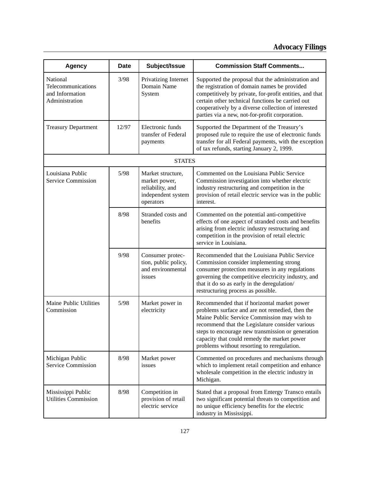# **Advocacy Filings**

| <b>Agency</b>                                                       | <b>Date</b> | Subject/Issue                                                                             | <b>Commission Staff Comments</b>                                                                                                                                                                                                                                                                                                                    |
|---------------------------------------------------------------------|-------------|-------------------------------------------------------------------------------------------|-----------------------------------------------------------------------------------------------------------------------------------------------------------------------------------------------------------------------------------------------------------------------------------------------------------------------------------------------------|
| National<br>Telecommunications<br>and Information<br>Administration | 3/98        | Privatizing Internet<br>Domain Name<br>System                                             | Supported the proposal that the administration and<br>the registration of domain names be provided<br>competitively by private, for-profit entities, and that<br>certain other technical functions be carried out<br>cooperatively by a diverse collection of interested<br>parties via a new, not-for-profit corporation.                          |
| <b>Treasury Department</b>                                          | 12/97       | Electronic funds<br>transfer of Federal<br>payments                                       | Supported the Department of the Treasury's<br>proposed rule to require the use of electronic funds<br>transfer for all Federal payments, with the exception<br>of tax refunds, starting January 2, 1999.                                                                                                                                            |
|                                                                     |             | <b>STATES</b>                                                                             |                                                                                                                                                                                                                                                                                                                                                     |
| Louisiana Public<br>Service Commission                              | 5/98        | Market structure,<br>market power,<br>reliability, and<br>independent system<br>operators | Commented on the Louisiana Public Service<br>Commission investigation into whether electric<br>industry restructuring and competition in the<br>provision of retail electric service was in the public<br>interest.                                                                                                                                 |
|                                                                     | 8/98        | Stranded costs and<br>benefits                                                            | Commented on the potential anti-competitive<br>effects of one aspect of stranded costs and benefits<br>arising from electric industry restructuring and<br>competition in the provision of retail electric<br>service in Louisiana.                                                                                                                 |
|                                                                     | 9/98        | Consumer protec-<br>tion, public policy,<br>and environmental<br>issues                   | Recommended that the Louisiana Public Service<br>Commission consider implementing strong<br>consumer protection measures in any regulations<br>governing the competitive electricity industry, and<br>that it do so as early in the deregulation/<br>restructuring process as possible.                                                             |
| Maine Public Utilities<br>Commission                                | 5/98        | Market power in<br>electricity                                                            | Recommended that if horizontal market power<br>problems surface and are not remedied, then the<br>Maine Public Service Commission may wish to<br>recommend that the Legislature consider various<br>steps to encourage new transmission or generation<br>capacity that could remedy the market power<br>problems without resorting to reregulation. |
| Michigan Public<br><b>Service Commission</b>                        | 8/98        | Market power<br>issues                                                                    | Commented on procedures and mechanisms through<br>which to implement retail competition and enhance<br>wholesale competition in the electric industry in<br>Michigan.                                                                                                                                                                               |
| Mississippi Public<br><b>Utilities Commission</b>                   | 8/98        | Competition in<br>provision of retail<br>electric service                                 | Stated that a proposal from Entergy Transco entails<br>two significant potential threats to competition and<br>no unique efficiency benefits for the electric<br>industry in Mississippi.                                                                                                                                                           |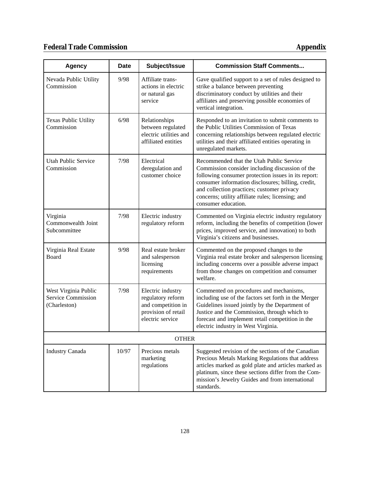## **Federal Trade Commission Appendix**

| <b>Agency</b>                                                     | <b>Date</b> | Subject/Issue                                                                                           | <b>Commission Staff Comments</b>                                                                                                                                                                                                                                                                                                   |
|-------------------------------------------------------------------|-------------|---------------------------------------------------------------------------------------------------------|------------------------------------------------------------------------------------------------------------------------------------------------------------------------------------------------------------------------------------------------------------------------------------------------------------------------------------|
| Nevada Public Utility<br>Commission                               | 9/98        | Affiliate trans-<br>actions in electric<br>or natural gas<br>service                                    | Gave qualified support to a set of rules designed to<br>strike a balance between preventing<br>discriminatory conduct by utilities and their<br>affiliates and preserving possible economies of<br>vertical integration.                                                                                                           |
| Texas Public Utility<br>Commission                                | 6/98        | Relationships<br>between regulated<br>electric utilities and<br>affiliated entities                     | Responded to an invitation to submit comments to<br>the Public Utilities Commission of Texas<br>concerning relationships between regulated electric<br>utilities and their affiliated entities operating in<br>unregulated markets.                                                                                                |
| <b>Utah Public Service</b><br>Commission                          | 7/98        | Electrical<br>deregulation and<br>customer choice                                                       | Recommended that the Utah Public Service<br>Commission consider including discussion of the<br>following consumer protection issues in its report:<br>consumer information disclosures; billing, credit,<br>and collection practices; customer privacy<br>concerns; utility affiliate rules; licensing; and<br>consumer education. |
| Virginia<br>Commonwealth Joint<br>Subcommittee                    | 7/98        | Electric industry<br>regulatory reform                                                                  | Commented on Virginia electric industry regulatory<br>reform, including the benefits of competition (lower<br>prices, improved service, and innovation) to both<br>Virginia's citizens and businesses.                                                                                                                             |
| Virginia Real Estate<br>Board                                     | 9/98        | Real estate broker<br>and salesperson<br>licensing<br>requirements                                      | Commented on the proposed changes to the<br>Virginia real estate broker and salesperson licensing<br>including concerns over a possible adverse impact<br>from those changes on competition and consumer<br>welfare.                                                                                                               |
| West Virginia Public<br><b>Service Commission</b><br>(Charleston) | 7/98        | Electric industry<br>regulatory reform<br>and competition in<br>provision of retail<br>electric service | Commented on procedures and mechanisms,<br>including use of the factors set forth in the Merger<br>Guidelines issued jointly by the Department of<br>Justice and the Commission, through which to<br>forecast and implement retail competition in the<br>electric industry in West Virginia.                                       |
|                                                                   |             | <b>OTHER</b>                                                                                            |                                                                                                                                                                                                                                                                                                                                    |
| <b>Industry Canada</b>                                            | 10/97       | Precious metals<br>marketing<br>regulations                                                             | Suggested revision of the sections of the Canadian<br>Precious Metals Marking Regulations that address<br>articles marked as gold plate and articles marked as<br>platinum, since these sections differ from the Com-<br>mission's Jewelry Guides and from international<br>standards.                                             |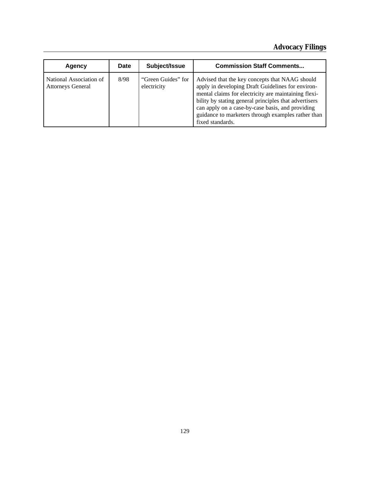## **Advocacy Filings**

| Agency                                              | Date | Subject/Issue                     | <b>Commission Staff Comments</b>                                                                                                                                                                                                                                                                                                                   |
|-----------------------------------------------------|------|-----------------------------------|----------------------------------------------------------------------------------------------------------------------------------------------------------------------------------------------------------------------------------------------------------------------------------------------------------------------------------------------------|
| National Association of<br><b>Attorneys General</b> | 8/98 | "Green Guides" for<br>electricity | Advised that the key concepts that NAAG should<br>apply in developing Draft Guidelines for environ-<br>mental claims for electricity are maintaining flexi-<br>bility by stating general principles that advertisers<br>can apply on a case-by-case basis, and providing<br>guidance to marketers through examples rather than<br>fixed standards. |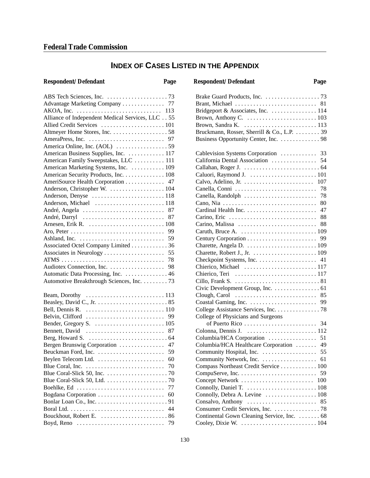## **INDEX OF CASES LISTED IN THE APPENDIX**

| Alliance of Independent Medical Services, LLC 55 |
|--------------------------------------------------|
| Allied Credit Services  101                      |
|                                                  |
|                                                  |
|                                                  |
| American Business Supplies, Inc.  117            |
| American Family Sweepstakes, LLC  111            |
| American Marketing Systems, Inc.  109            |
| American Security Products, Inc. 108             |
| AmeriSource Health Corporation 47                |
|                                                  |
|                                                  |
|                                                  |
| André, Angela<br>87                              |
| 87<br>André, Darryl                              |
|                                                  |
| 99                                               |
| 59                                               |
| Associated Octel Company Limited 36              |
| Associates in Neurology<br>55                    |
| 78                                               |
| 98                                               |
| Automatic Data Processing, Inc. 46               |
| Automotive Breakthrough Sciences, Inc. 73        |
|                                                  |

| Belvin, Clifford<br>- 99                                                                  |
|-------------------------------------------------------------------------------------------|
|                                                                                           |
| Bennett, David<br>87                                                                      |
| Berg, Howard S. $\dots \dots \dots \dots \dots \dots \dots \dots \dots \dots \dots \dots$ |
| Bergen Brunswig Corporation<br>47                                                         |
| 59                                                                                        |
| 60                                                                                        |
| 70                                                                                        |
| Blue Coral-Slick 50, Inc. $\ldots \ldots \ldots \ldots \ldots \ldots \ldots$ 70           |
|                                                                                           |
|                                                                                           |
| Bogdana Corporation<br>60                                                                 |
|                                                                                           |
|                                                                                           |
|                                                                                           |
|                                                                                           |
|                                                                                           |

| Respondent/Defendant | Page | <b>Respondent/Defendant</b> | Page |
|----------------------|------|-----------------------------|------|
|                      |      |                             |      |

| Bruckmann, Rosser, Sherrill & Co., L.P.  39 |    |
|---------------------------------------------|----|
| Business Opportunity Center, Inc. 98        |    |
|                                             |    |
| Cablevision Systems Corporation             | 33 |
| California Dental Association               | 54 |
|                                             |    |
|                                             |    |
|                                             |    |
| Canella, Conni                              | 78 |
| Canella, Randolph                           | 78 |
|                                             | 80 |
|                                             | 47 |
| Carino, Eric                                | 88 |
| Carino, Malissa                             | 88 |
|                                             |    |
|                                             | 99 |
|                                             |    |
|                                             |    |
|                                             |    |
|                                             |    |
|                                             |    |
|                                             |    |
| Civic Development Group, Inc. 61            |    |
|                                             |    |
|                                             |    |
| College Assistance Services, Inc. 78        |    |
| College of Physicians and Surgeons          |    |
| of Puerto Rico                              | 34 |
|                                             |    |
| Columbia/HCA Corporation                    | 51 |
| Columbia/HCA Healthcare Corporation         | 49 |
| Community Hospital, Inc.                    | 55 |
|                                             | 61 |
| Compass Northeast Credit Service 100        |    |
|                                             | 59 |
|                                             |    |
|                                             |    |
|                                             |    |
| Consalvo, Anthony                           | 85 |
|                                             |    |
| Continental Gown Cleaning Service, Inc.  68 |    |
|                                             |    |
|                                             |    |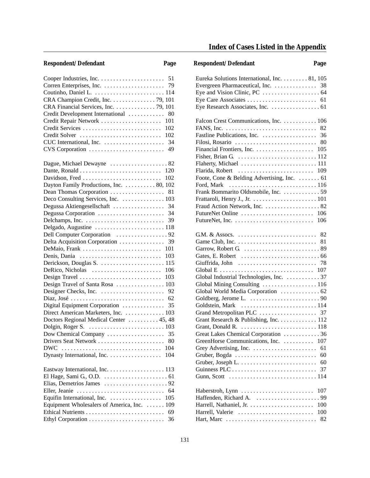| Corren Enterprises, Inc.<br>79                |
|-----------------------------------------------|
| Coutinho, Daniel L.  114                      |
| CRA Champion Credit, Inc. 79, 101             |
| CRA Financial Services, Inc. 79, 101          |
| Credit Development International<br>80        |
| 101                                           |
| Credit Repair Network                         |
| Credit Services<br>102                        |
| 102<br>Credit Solver                          |
| 34<br>CUC International, Inc.                 |
| CVS Corporation<br>49                         |
|                                               |
| Dague, Michael Dewayne  82                    |
| 120                                           |
| Davidson, Fred<br>102                         |
| Dayton Family Productions, Inc. 80, 102       |
| Dean Thomas Corporation<br>81                 |
| Deco Consulting Services, Inc.  103           |
| Degussa Aktiengesellschaft<br>34              |
| 34                                            |
| Degussa Corporation                           |
| Delchamps, Inc.<br>39                         |
|                                               |
| Dell Computer Corporation 92                  |
|                                               |
|                                               |
|                                               |
|                                               |
|                                               |
|                                               |
| Design Travel of Santa Rosa  103              |
|                                               |
|                                               |
| 35<br>Digital Equipment Corporation           |
| Direct American Marketers, Inc. 103           |
| Doctors Regional Medical Center  45, 48       |
|                                               |
|                                               |
|                                               |
|                                               |
| <b>DWC</b><br>104                             |
| Dynasty International, Inc.<br>104            |
|                                               |
|                                               |
|                                               |
|                                               |
| Eller, Jeanie<br>64                           |
| Equifin International, Inc.<br>105            |
| Equipment Wholesalers of America, Inc.<br>109 |
| 69                                            |
| 36                                            |
|                                               |

## **Index of Cases Listed in the Appendix**

## *Respondent/Defendant Page Respondent/Defendant Page*

| Eureka Solutions International, Inc. 81, 105                                          |
|---------------------------------------------------------------------------------------|
|                                                                                       |
|                                                                                       |
|                                                                                       |
| Eye Research Associates, Inc. 61                                                      |
|                                                                                       |
| Falcon Crest Communications, Inc. 106                                                 |
| FANS, Inc. $\ldots \ldots \ldots \ldots \ldots \ldots \ldots \ldots \ldots \ldots$ 82 |
|                                                                                       |
|                                                                                       |
|                                                                                       |
| Fisher, Brian G. $\ldots \ldots \ldots \ldots \ldots \ldots \ldots \ldots 112$        |
|                                                                                       |
| Flarida, Robert $\dots\dots\dots\dots\dots\dots\dots\dots$ 109                        |
| Foote, Cone & Belding Advertising, Inc.  61                                           |
| Ford, Mark $\dots \dots \dots \dots \dots \dots \dots \dots \dots \dots \dots 116$    |
| Frank Bommarito Oldsmobile, Inc. 59                                                   |
|                                                                                       |
|                                                                                       |
|                                                                                       |
| FutureNet, Inc. $\ldots \ldots \ldots \ldots \ldots \ldots \ldots \ldots 106$         |
|                                                                                       |
|                                                                                       |
|                                                                                       |
|                                                                                       |
|                                                                                       |
|                                                                                       |
|                                                                                       |
| Global Industrial Technologies, Inc. 37                                               |
| Global Mining Consulting  116                                                         |
| Global World Media Corporation  62                                                    |
|                                                                                       |
|                                                                                       |
|                                                                                       |
| Grant Research & Publishing, Inc. 112                                                 |
| Grant, Donald R. $\dots \dots \dots \dots \dots \dots \dots \dots \dots \dots \dots$  |
| Great Lakes Chemical Corporation 36                                                   |
| GreenHorse Communications, Inc.  107                                                  |
| Grey Advertising, Inc.<br>61                                                          |
| Gruber, Bogda $\ldots \ldots \ldots \ldots \ldots \ldots \ldots \ldots$<br>60         |
| 60                                                                                    |
| 37                                                                                    |
| 114                                                                                   |
|                                                                                       |
| Haberstroh, Lynn<br>107                                                               |
| Haffenden, Richard A.<br>.99                                                          |
| 100                                                                                   |
| Harrell, Valerie<br>100                                                               |
| Hart, Marc<br>82                                                                      |
|                                                                                       |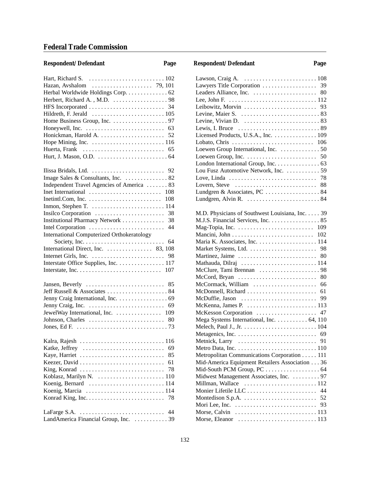## **Federal Trade Commission**

## *Respondent/Defendant Page Respondent/Defendant Page*

| ٠<br>۵ |
|--------|
|        |

| Herbal Worldwide Holdings Corp. 62                |
|---------------------------------------------------|
|                                                   |
|                                                   |
| 34                                                |
|                                                   |
|                                                   |
|                                                   |
| Honickman, Harold A.<br>52                        |
|                                                   |
|                                                   |
|                                                   |
|                                                   |
|                                                   |
|                                                   |
| Image Sales & Consultants, Inc.  82               |
| Independent Travel Agencies of America  83        |
|                                                   |
|                                                   |
|                                                   |
|                                                   |
| 38<br>Insilco Corporation                         |
| Institutional Pharmacy Network<br>38              |
| 44<br>Intel Corporation                           |
| <b>International Computerized Orthokeratology</b> |
| 64                                                |
| International Direct, Inc. 83, 108                |
| 98                                                |
|                                                   |
| Interstate Office Supplies, Inc. 117              |
|                                                   |
|                                                   |
| Jansen, Beverly<br>85                             |
|                                                   |
| Jenny Craig International, Inc. 69                |
| 69                                                |
| JewelWay International, Inc. 109                  |
|                                                   |
|                                                   |
|                                                   |
|                                                   |
| Kalra, Rajesh<br>116                              |
| Katke, Jeffrey<br>69                              |
| Kaye, Harriet<br>85                               |
| 61                                                |
| 78                                                |
| King, Konrad                                      |
| Koblasz, Marilyn N.<br>110                        |
| Koenig, Bernard  114                              |
| Koenig, Marcia  114                               |
| 78                                                |
|                                                   |
| LaFarge S.A.<br>44                                |
|                                                   |
| LandAmerica Financial Group, Inc.  39             |

| Lee, John F. $\dots \dots \dots \dots \dots \dots \dots \dots \dots \dots \dots 112$ |    |
|--------------------------------------------------------------------------------------|----|
|                                                                                      |    |
| Levine, Maier S. $\dots \dots \dots \dots \dots \dots \dots \dots \dots \dots$ 83    |    |
| Levine, Vivian D. $\dots \dots \dots \dots \dots \dots \dots \dots \dots$ 83         |    |
| Lewis, I. Bruce $\ldots \ldots \ldots \ldots \ldots \ldots \ldots \ldots$ . 89       |    |
| Licensed Products, U.S.A., Inc. 109                                                  |    |
|                                                                                      |    |
|                                                                                      |    |
| Loewen Group, Inc. $\dots \dots \dots \dots \dots \dots \dots \dots$ 50              |    |
| London International Group, Inc. 63                                                  |    |
| Lou Fusz Automotive Network, Inc.  59                                                |    |
| Love, Linda $\ldots \ldots \ldots \ldots \ldots \ldots \ldots \ldots \ldots$ 78      |    |
| Lovern, Steve $\ldots \ldots \ldots \ldots \ldots \ldots \ldots \ldots$ 88           |    |
| Lundgren & Associates, PC  84                                                        |    |
| Lundgren, Alvin R. $\ldots \ldots \ldots \ldots \ldots \ldots \ldots 84$             |    |
|                                                                                      |    |
| M.D. Physicians of Southwest Louisiana, Inc. 39                                      |    |
| M.J.S. Financial Services, Inc. 85                                                   |    |
| Mag-Topia, Inc. $\ldots \ldots \ldots \ldots \ldots \ldots \ldots \ldots \ldots$ 109 |    |
|                                                                                      |    |
|                                                                                      |    |
|                                                                                      |    |
| Martinez, Jaime                                                                      | 80 |
|                                                                                      |    |
| McClure, Tami Brennan 98                                                             |    |
| McCord, Bryan $\ldots \ldots \ldots \ldots \ldots \ldots \ldots \ldots$ 80           |    |
|                                                                                      |    |
|                                                                                      |    |
|                                                                                      |    |
| McKenna, James P. $\dots \dots \dots \dots \dots \dots \dots \dots \dots$ 113        |    |
| McKesson Corporation                                                                 | 47 |
| Mega Systems International, Inc. 64, 110                                             |    |
|                                                                                      |    |
|                                                                                      |    |
|                                                                                      |    |
|                                                                                      |    |
| Metropolitan Communications Corporation 111                                          |    |
| Mid-America Equipment Retailers Association 36                                       |    |
|                                                                                      |    |
| Midwest Management Associates, Inc.  97                                              |    |
|                                                                                      |    |
| Monier Lifetile LLC                                                                  | 44 |
| Montedison S.p.A. $\dots \dots \dots \dots \dots \dots \dots$                        | 52 |
| Mori Lee, Inc. $\dots\dots\dots\dots\dots\dots\dots\dots\dots\dots$                  | 93 |
| Morse, Calvin $\dots \dots \dots \dots \dots \dots \dots \dots \dots \dots 113$      |    |

Morse, Eleanor .......................... 113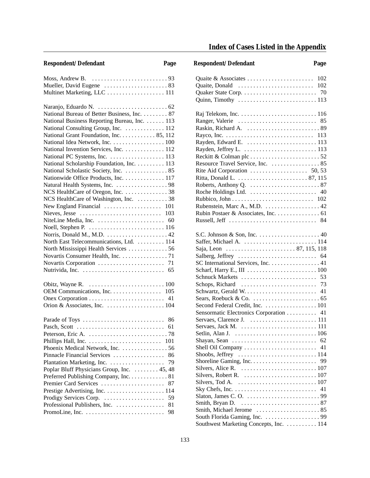# **Index of Cases Listed in the Appendix**

# *Respondent/Defendant Page Respondent/Defendant Page*

| Moss, Andrew B. $\dots \dots \dots \dots \dots \dots \dots \dots \dots$ 93 |
|----------------------------------------------------------------------------|
|                                                                            |
| Multinet Marketing, LLC  111                                               |
|                                                                            |
|                                                                            |
| National Bureau of Better Business, Inc. 87                                |
| National Business Reporting Bureau, Inc. 113                               |
|                                                                            |
| National Consulting Group, Inc.  112                                       |
| National Grant Foundation, Inc. 85, 112                                    |
| National Idea Network, Inc. 100                                            |
| National Invention Services, Inc. 112                                      |
| National PC Systems, Inc. 113                                              |
| National Scholarship Foundation, Inc. 113                                  |
| National Scholastic Society, Inc.  85                                      |
| Nationwide Office Products, Inc. 117                                       |
| Natural Health Systems, Inc. 98                                            |
| NCS HealthCare of Oregon, Inc. 38                                          |
| NCS HealthCare of Washington, Inc.  38                                     |
|                                                                            |
| New England Financial  101                                                 |
|                                                                            |
|                                                                            |
|                                                                            |
|                                                                            |
| North East Telecommunications, Ltd.  114                                   |
| North Mississippi Health Services 56                                       |
| Novartis Consumer Health, Inc. 71                                          |
|                                                                            |
|                                                                            |
|                                                                            |
|                                                                            |
| OEM Communications, Inc. 105                                               |
| 41                                                                         |
|                                                                            |
|                                                                            |
| Parade of Toys<br>86                                                       |
|                                                                            |
|                                                                            |
|                                                                            |
|                                                                            |
| Phoenix Medical Network, Inc. 56                                           |
| Pinnacle Financial Services<br>86                                          |
| Plantation Marketing, Inc.<br>79                                           |
| Poplar Bluff Physicians Group, Inc. 45, 48                                 |
| Preferred Publishing Company, Inc. 81                                      |
| Premier Card Services<br>87                                                |
|                                                                            |
| 59<br>Prodigy Services Corp.                                               |
| Professional Publishers, Inc.<br>81                                        |
| 98                                                                         |
|                                                                            |

| Respondent/Defendant |  |  |
|----------------------|--|--|
|                      |  |  |

| Quaite, Donald $\ldots \ldots \ldots \ldots \ldots \ldots \ldots \ldots \ldots 102$         |
|---------------------------------------------------------------------------------------------|
|                                                                                             |
|                                                                                             |
|                                                                                             |
|                                                                                             |
| Ranger, Valerie  85                                                                         |
|                                                                                             |
|                                                                                             |
|                                                                                             |
|                                                                                             |
|                                                                                             |
|                                                                                             |
|                                                                                             |
|                                                                                             |
|                                                                                             |
| Roberts, Anthony Q. $\ldots \ldots \ldots \ldots \ldots \ldots \ldots 87$                   |
|                                                                                             |
|                                                                                             |
| Rubenstein, Marc A., M.D.  42                                                               |
| Rubin Postaer & Associates, Inc. 61                                                         |
|                                                                                             |
|                                                                                             |
| S.C. Johnson & Son, Inc. $\dots \dots \dots \dots \dots \dots \dots 40$                     |
|                                                                                             |
|                                                                                             |
| Salberg, Jeffrey $\dots \dots \dots \dots \dots \dots \dots \dots \dots$ 64                 |
| SC International Services, Inc. 41                                                          |
|                                                                                             |
|                                                                                             |
|                                                                                             |
|                                                                                             |
| Sears, Roebuck & Co. $\ldots \ldots \ldots \ldots \ldots \ldots$ . 65                       |
| Second Federal Credit, Inc. 101                                                             |
| Sensormatic Electronics Corporation  41                                                     |
|                                                                                             |
|                                                                                             |
| Setlin, Alan J. $\ldots \ldots \ldots \ldots \ldots \ldots \ldots \ldots \ldots 106$        |
| Shayan, Sean $\dots \dots \dots \dots \dots \dots \dots \dots \dots$ 62                     |
| 41                                                                                          |
| Shell Oil Company<br>Shoobs, Jeffrey $\dots\dots\dots\dots\dots\dots\dots\dots\dots$<br>114 |
| 99                                                                                          |
|                                                                                             |
| Silvers, Alice R. $\dots \dots \dots \dots \dots \dots \dots \dots \dots \dots 107$         |
|                                                                                             |
| Silvers, Tod A.                                                                             |
| Sky Chefs, Inc. $\dots \dots \dots \dots \dots \dots \dots \dots$<br>41                     |
| Slaton, James C. O. $\dots \dots \dots \dots \dots \dots \dots \dots$ .99                   |
| Smith, Bryan D.                                                                             |
|                                                                                             |
|                                                                                             |
| Southwest Marketing Concepts, Inc. 114                                                      |